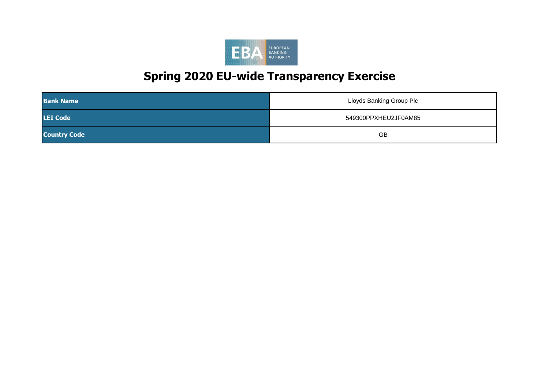| <b>Bank Name</b>    | <b>Lloyds Banking Group Plc</b> |
|---------------------|---------------------------------|
| <b>LEI Code</b>     | 549300PPXHEU2JF0AM85            |
| <b>Country Code</b> | <b>GB</b>                       |

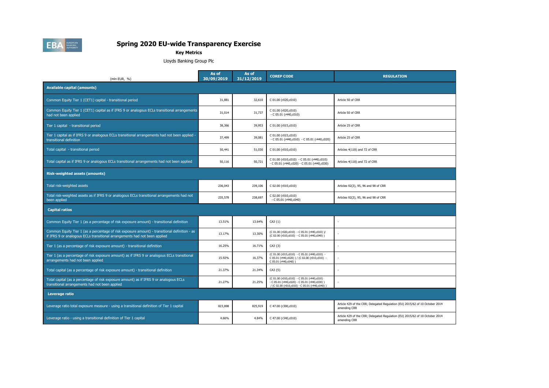| (mln EUR, $\%$ )                                                                                                                                                            | As of<br>30/09/2019 | As of<br>31/12/2019 | <b>COREP CODE</b>                                                                                                                             | <b>REGULATION</b>                                                                            |
|-----------------------------------------------------------------------------------------------------------------------------------------------------------------------------|---------------------|---------------------|-----------------------------------------------------------------------------------------------------------------------------------------------|----------------------------------------------------------------------------------------------|
| <b>Available capital (amounts)</b>                                                                                                                                          |                     |                     |                                                                                                                                               |                                                                                              |
| Common Equity Tier 1 (CET1) capital - transitional period                                                                                                                   | 31,881              | 32,610              | C 01.00 (r020,c010)                                                                                                                           | Article 50 of CRR                                                                            |
| Common Equity Tier 1 (CET1) capital as if IFRS 9 or analogous ECLs transitional arrangements<br>had not been applied                                                        | 31,014              | 31,737              | C 01.00 (r020,c010)<br>$-C 05.01 (r440, c010)$                                                                                                | Article 50 of CRR                                                                            |
| Tier 1 capital - transitional period                                                                                                                                        | 38,366              | 39,953              | C 01.00 (r015,c010)                                                                                                                           | Article 25 of CRR                                                                            |
| Tier 1 capital as if IFRS 9 or analogous ECLs transitional arrangements had not been applied -<br>transitional definition                                                   | 37,499              | 39,081              | C 01.00 (r015,c010)<br>$-C 05.01 (r440, c010) - C 05.01 (r440, c020)$                                                                         | Article 25 of CRR                                                                            |
| Total capital - transitional period                                                                                                                                         | 50,441              | 51,030              | C 01.00 (r010,c010)                                                                                                                           | Articles 4(118) and 72 of CRR                                                                |
| Total capital as if IFRS 9 or analogous ECLs transitional arrangements had not been applied                                                                                 | 50,116              | 50,721              | C 01.00 (r010,c010) - C 05.01 (r440,c010)<br>$-C 05.01 (r440, c020) - C 05.01 (r440, c030)$                                                   | Articles 4(118) and 72 of CRR                                                                |
| <b>Risk-weighted assets (amounts)</b>                                                                                                                                       |                     |                     |                                                                                                                                               |                                                                                              |
| Total risk-weighted assets                                                                                                                                                  | 236,043             | 239,106             | C 02.00 (r010,c010)                                                                                                                           | Articles 92(3), 95, 96 and 98 of CRR                                                         |
| Total risk-weighted assets as if IFRS 9 or analogous ECLs transitional arrangements had not<br>been applied                                                                 | 235,578             | 238,697             | C 02.00 (r010,c010)<br>$-C 05.01 (r440, c040)$                                                                                                | Articles 92(3), 95, 96 and 98 of CRR                                                         |
| <b>Capital ratios</b>                                                                                                                                                       |                     |                     |                                                                                                                                               |                                                                                              |
| Common Equity Tier 1 (as a percentage of risk exposure amount) - transitional definition                                                                                    | 13.51%              | 13.64%              | CA3 $\{1\}$                                                                                                                                   |                                                                                              |
| Common Equity Tier 1 (as a percentage of risk exposure amount) - transitional definition - as<br>if IFRS 9 or analogous ECLs transitional arrangements had not been applied | 13.17%              | 13.30%              | (C 01.00 (r020,c010) - C 05.01 (r440,c010) )/<br>(C 02.00 (r010,c010) - C 05.01 (r440,c040))                                                  |                                                                                              |
| Tier 1 (as a percentage of risk exposure amount) - transitional definition                                                                                                  | 16.25%              | 16.71%              | $CA3 \{3\}$                                                                                                                                   |                                                                                              |
| Tier 1 (as a percentage of risk exposure amount) as if IFRS 9 or analogous ECLs transitional<br>arrangements had not been applied                                           | 15.92%              | 16.37%              | (C 01.00 (r015, c010) - C 05.01 (r440, c010) -<br>C 05.01 (r440,c020) ) / (C 02.00 (r010,c010) -<br>C 05.01 (r440,c040))                      |                                                                                              |
| Total capital (as a percentage of risk exposure amount) - transitional definition                                                                                           | 21.37%              | 21.34%              | CA3 $\{5\}$                                                                                                                                   |                                                                                              |
| Total capital (as a percentage of risk exposure amount) as if IFRS 9 or analogous ECLs<br>transitional arrangements had not been applied                                    | 21.27%              | 21.25%              | (C 01.00 (r010,c010) - C 05.01 (r440,c010)<br>$-C 05.01 (r440, c020) - C 05.01 (r440, c030)$<br>/ (C 02.00 (r010,c010) - C 05.01 (r440,c040)) |                                                                                              |
| Leverage ratio                                                                                                                                                              |                     |                     |                                                                                                                                               |                                                                                              |
| Leverage ratio total exposure measure - using a transitional definition of Tier 1 capital                                                                                   | 823,898             | 825,919             | C 47.00 (r300,c010)                                                                                                                           | Article 429 of the CRR; Delegated Regulation (EU) 2015/62 of 10 October 2014<br>amending CRR |
| Leverage ratio - using a transitional definition of Tier 1 capital                                                                                                          | 4.66%               | 4.84%               | C 47.00 (r340,c010)                                                                                                                           | Article 429 of the CRR; Delegated Regulation (EU) 2015/62 of 10 October 2014<br>amending CRR |



**Key Metrics**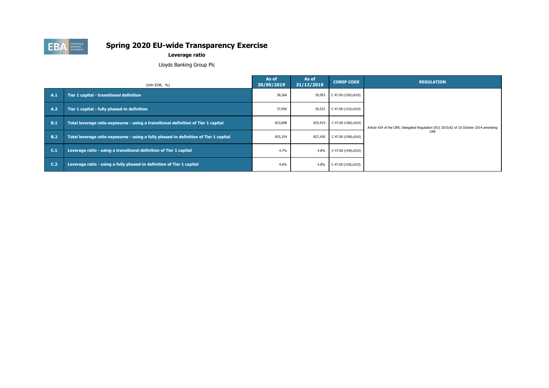|            | (mln EUR, $%$ )                                                                       | As of<br>30/09/2019 | As of<br>31/12/2019 | <b>COREP CODE</b>        | <b>REGULATION</b>                                                                     |
|------------|---------------------------------------------------------------------------------------|---------------------|---------------------|--------------------------|---------------------------------------------------------------------------------------|
| <b>A.1</b> | Tier 1 capital - transitional definition                                              | 38,366              | 39,953              | C 47.00 (r320,c010)      |                                                                                       |
| <b>A.2</b> | Tier 1 capital - fully phased-in definition                                           | 37,956              | 39,522              | $C$ 47.00 (r310,c010)    |                                                                                       |
| <b>B.1</b> | Total leverage ratio exposures - using a transitional definition of Tier 1 capital    |                     | 825,919             | $C$ 47.00 (r300,c010)    | Article 429 of the CRR; Delegated Regulation (EU) 2015/62 of 10 October 2014 amending |
| B.2        | Total leverage ratio exposures - using a fully phased-in definition of Tier 1 capital | 825,354             | 827,430             | C 47.00 ( $r290, c010$ ) | <b>CRR</b>                                                                            |
| C.1        | Leverage ratio - using a transitional definition of Tier 1 capital                    | 4.7%                | 4.8%                | $C$ 47.00 (r340,c010)    |                                                                                       |
| C.2        | Leverage ratio - using a fully phased-in definition of Tier 1 capital                 | 4.6%                | 4.8%                | C 47.00 ( $r330, c010$ ) |                                                                                       |



#### **Leverage ratio**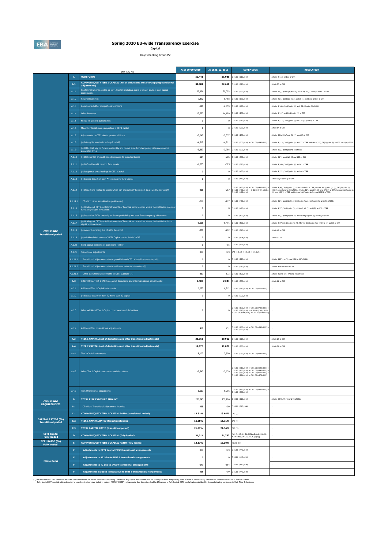|                                                         |                     | (mln EUR, %)                                                                                                                                         | As of 30/09/2019 | As of 31/12/2019        | <b>COREP CODE</b>                                                                                                                                                                              | <b>REGULATION</b>                                                                                                                                                                                                                                                                                         |
|---------------------------------------------------------|---------------------|------------------------------------------------------------------------------------------------------------------------------------------------------|------------------|-------------------------|------------------------------------------------------------------------------------------------------------------------------------------------------------------------------------------------|-----------------------------------------------------------------------------------------------------------------------------------------------------------------------------------------------------------------------------------------------------------------------------------------------------------|
|                                                         | $\overline{A}$      | OWN FUNDS                                                                                                                                            | 50,441           |                         | 51,030 $\begin{array}{ c c c c c }\n\hline\n\text{C 01.00 (r010,c010)}\n\hline\n\end{array}$                                                                                                   | Articles 4(118) and 72 of CRR                                                                                                                                                                                                                                                                             |
|                                                         | A.1                 | <b>COMMON EQUITY TIER 1 CAPITAL (net of deductions and after applying transitional</b><br>adjustments)                                               | 31,881           |                         | <b>32,610</b> C 01.00 (r020,c010)                                                                                                                                                              | Article 50 of CRR                                                                                                                                                                                                                                                                                         |
|                                                         | A.1.1               | Capital instruments eligible as CET1 Capital (including share premium and net own capital                                                            | 27,936           | 29,093                  | C 01.00 (r030,c010)                                                                                                                                                                            | Articles 26(1) points (a) and (b), 27 to 29, 36(1) point (f) and 42 of CRR                                                                                                                                                                                                                                |
|                                                         | A.1.2               | instruments)<br>Retained earnings                                                                                                                    | 7,892            |                         | 8,488 C 01.00 (r130,c010)                                                                                                                                                                      | Articles 26(1) point (c), 26(2) and 36 (1) points (a) and (I) of CRR                                                                                                                                                                                                                                      |
|                                                         | A.1.3               | Accumulated other comprehensive income                                                                                                               | $-121$           | -2,055                  | C 01.00 (r180,c010)                                                                                                                                                                            | Articles 4(100), 26(1) point (d) and 36 (1) point (l) of CRR                                                                                                                                                                                                                                              |
|                                                         |                     |                                                                                                                                                      |                  |                         |                                                                                                                                                                                                |                                                                                                                                                                                                                                                                                                           |
|                                                         | A.1.4               | <b>Other Reserves</b>                                                                                                                                | 13,753           |                         | 14,189 C 01.00 (r200,c010)                                                                                                                                                                     | Articles $4(117)$ and $26(1)$ point (e) of CRR                                                                                                                                                                                                                                                            |
|                                                         | A.1.5               | Funds for general banking risk                                                                                                                       |                  |                         | $0$ C 01.00 (r210, c010)                                                                                                                                                                       | Articles 4(112), 26(1) point (f) and 36 (1) point (l) of CRR                                                                                                                                                                                                                                              |
|                                                         | A.1.6               | Minority interest given recognition in CET1 capital                                                                                                  |                  | $\mathbf 0$             | C 01.00 (r230,c010)                                                                                                                                                                            | Article 84 of CRR                                                                                                                                                                                                                                                                                         |
|                                                         | A.1.7               | Adjustments to CET1 due to prudential filters                                                                                                        | $-3,047$         |                         | $-2,357$ C 01.00 (r250,c010)                                                                                                                                                                   | Articles 32 to 35 of and 36 (1) point (I) of CRR                                                                                                                                                                                                                                                          |
|                                                         | A.1.8               | (-) Intangible assets (including Goodwill)                                                                                                           | $-4,512$         | $-4,911$                | C 01.00 (r300,c010) + C 01.00 (r340,c010)                                                                                                                                                      | Articles 4(113), 36(1) point (b) and 37 of CRR. Articles 4(115), 36(1) point (b) and 37 point (a) of CCR                                                                                                                                                                                                  |
|                                                         | A.1.9               | (-) DTAs that rely on future profitability and do not arise from temporary differences net of<br>associated DTLs                                     | $-3,637$         |                         | $-3,786$ C 01.00 (r370,c010)                                                                                                                                                                   | Articles 36(1) point (c) and 38 of CRR                                                                                                                                                                                                                                                                    |
|                                                         | A.1.10              | (-) IRB shortfall of credit risk adjustments to expected losses                                                                                      | $-104$           | $-286$                  | C 01.00 (r380,c010)                                                                                                                                                                            | Articles 36(1) point (d), 40 and 159 of CRR                                                                                                                                                                                                                                                               |
|                                                         | A.1.11              | (-) Defined benefit pension fund assets                                                                                                              | $-1,605$         |                         | $-625$ C 01.00 (r390,c010)                                                                                                                                                                     | Articles 4(109), 36(1) point (e) and 41 of CRR                                                                                                                                                                                                                                                            |
|                                                         | A.1.12              | (-) Reciprocal cross holdings in CET1 Capital                                                                                                        |                  |                         | $0$ C 01.00 (r430, c010)                                                                                                                                                                       | Articles 4(122), 36(1) point (g) and 44 of CRR                                                                                                                                                                                                                                                            |
|                                                         | A.1.13              | (-) Excess deduction from AT1 items over AT1 Capital                                                                                                 |                  |                         | $0$ C 01.00 (r440,c010)                                                                                                                                                                        | Article 36(1) point (j) of CRR                                                                                                                                                                                                                                                                            |
|                                                         |                     |                                                                                                                                                      |                  |                         |                                                                                                                                                                                                |                                                                                                                                                                                                                                                                                                           |
|                                                         | A.1.14              | (-) Deductions related to assets which can alternatively be subject to a 1.250% risk weight                                                          | $-216$           |                         | $C$ 01.00 (r450,c010) + $C$ 01.00 (r460,c010) +<br>$-217$ C 01.00 (r470,c010) + C 01.00 (r471,c010)+<br>C 01.00 (r472,c010)                                                                    | Articles 4(36), 36(1) point (k) (i) and 89 to 91 of CRR; Articles 36(1) point (k) (ii), 243(1) point (b),<br>244(1) point (b) and 258 of CRR; Articles 36(1) point k) (iii) and 379(3) of CRR; Articles 36(1) point k)<br>(iv) and $153(8)$ of CRR and Articles $36(1)$ point k) (v) and $155(4)$ of CRR. |
|                                                         |                     |                                                                                                                                                      |                  |                         |                                                                                                                                                                                                |                                                                                                                                                                                                                                                                                                           |
|                                                         | A.1.14.1            | Of which: from securitisation positions (-)<br>(-) Holdings of CET1 capital instruments of financial sector entities where the institiution does not | $-216$           |                         | $-217$ C 01.00 (r460,c010)                                                                                                                                                                     | Articles 36(1) point (k) (ii), 243(1) point (b), 244(1) point (b) and 258 of CRR                                                                                                                                                                                                                          |
|                                                         | A.1.15              | have a significant investment                                                                                                                        |                  |                         | $0$ C 01.00 (r480,c010)                                                                                                                                                                        | Articles 4(27), 36(1) point (h); 43 to 46, 49 (2) and (3) and 79 of CRR                                                                                                                                                                                                                                   |
|                                                         | A.1.16              | (-) Deductible DTAs that rely on future profitability and arise from temporary differences                                                           |                  |                         | $0$ C 01.00 (r490,c010)                                                                                                                                                                        | Articles 36(1) point (c) and 38; Articles 48(1) point (a) and 48(2) of CRR                                                                                                                                                                                                                                |
|                                                         | A.1.17              | (-) Holdings of CET1 capital instruments of financial sector entities where the institiution has a<br>significant investment                         | $-5,016$         |                         | $-5,491$ C 01.00 (r500,c010)                                                                                                                                                                   | Articles 4(27); 36(1) point (i); 43, 45; 47; 48(1) point (b); 49(1) to (3) and 79 of CRR                                                                                                                                                                                                                  |
| <b>OWN FUNDS</b><br><b>Transitional period</b>          | A.1.18              | (-) Amount exceding the 17.65% threshold                                                                                                             | $-309$           |                         | $-292$ C 01.00 (r510,c010)                                                                                                                                                                     | Article 48 of CRR                                                                                                                                                                                                                                                                                         |
|                                                         | A.1.19              | (-) Additional deductions of CET1 Capital due to Article 3 CRR                                                                                       |                  |                         | $0$ C 01.00 (r524, c010)                                                                                                                                                                       | Article 3 CRR                                                                                                                                                                                                                                                                                             |
|                                                         | A.1.20              | CET1 capital elements or deductions - other                                                                                                          |                  |                         | $-15$ C 01.00 (r529, c010)                                                                                                                                                                     |                                                                                                                                                                                                                                                                                                           |
|                                                         | A.1.21              | Transitional adjustments                                                                                                                             | 867              |                         | 873 CA1 $\{1.1.1.6 + 1.1.1.8 + 1.1.1.26\}$                                                                                                                                                     |                                                                                                                                                                                                                                                                                                           |
|                                                         | A.1.21.1            | Transitional adjustments due to grandfathered CET1 Capital instruments $(+/-)$                                                                       |                  |                         | $0$ C 01.00 (r220, c010)                                                                                                                                                                       | Articles 483(1) to (3), and 484 to 487 of CRR                                                                                                                                                                                                                                                             |
|                                                         | A.1.21.2            | Transitional adjustments due to additional minority interests $(+/-)$                                                                                |                  |                         | $0$ C 01.00 (r240, c010)                                                                                                                                                                       | Articles 479 and 480 of CRR                                                                                                                                                                                                                                                                               |
|                                                         | A.1.21.3            | Other transitional adjustments to CET1 Capital (+/-)                                                                                                 | 867              |                         | 873 C 01.00 (r520, c010)                                                                                                                                                                       | Articles 469 to 472, 478 and 481 of CRR                                                                                                                                                                                                                                                                   |
|                                                         | <b>A.2</b>          | ADDITIONAL TIER 1 CAPITAL (net of deductions and after transitional adjustments)                                                                     | 6,485            |                         | <b>7,344</b> C 01.00 (r530,c010)                                                                                                                                                               | Article 61 of CRR                                                                                                                                                                                                                                                                                         |
|                                                         | A.2.1               | Additional Tier 1 Capital instruments                                                                                                                | 6,075            |                         | 6,912 C 01.00 (r540,c010) + C 01.00 (r670,c010)                                                                                                                                                |                                                                                                                                                                                                                                                                                                           |
|                                                         | A.2.2               | (-) Excess deduction from T2 items over T2 capital                                                                                                   |                  | $\mathbf 0$             | C 01.00 (r720,c010)                                                                                                                                                                            |                                                                                                                                                                                                                                                                                                           |
|                                                         | A.2.3               | Other Additional Tier 1 Capital components and deductions                                                                                            |                  | $\mathbf 0$             | $C$ 01.00 (r690,c010) + C 01.00 (r700,c010) +<br>$C 01.00 (r710, c010) + C 01.00 (r740, c010)$<br>+ C 01.00 (r744,c010) + C 01.00 (r748,c010)                                                  |                                                                                                                                                                                                                                                                                                           |
|                                                         | A.2.4<br><b>A.3</b> | Additional Tier 1 transitional adjustments<br>TIER 1 CAPITAL (net of deductions and after transitional adjustments)                                  | 410              | 431                     | $201.00$ (r660,c010) + C 01.00 (r680,c010) +<br>201.00 (r730, c010)                                                                                                                            | Article 25 of CRR                                                                                                                                                                                                                                                                                         |
|                                                         |                     |                                                                                                                                                      | 38,366           | 39,953                  | C 01.00 (r015,c010)                                                                                                                                                                            |                                                                                                                                                                                                                                                                                                           |
|                                                         | <b>A.4</b>          | TIER 2 CAPITAL (net of deductions and after transitional adjustments)                                                                                | 12,076           | 11,077                  | C 01.00 (r750,c010)                                                                                                                                                                            | Article 71 of CRR                                                                                                                                                                                                                                                                                         |
|                                                         | A.4.1               | Tier 2 Capital instruments                                                                                                                           | 8,102            | 7,500                   | $C$ 01.00 (r760,c010) + C 01.00 (r890,c010)                                                                                                                                                    |                                                                                                                                                                                                                                                                                                           |
|                                                         | A.4.2               | Other Tier 2 Capital components and deductions                                                                                                       | $-2,543$         | $-2,639$                | $C$ 01.00 (r910,c010) + C 01.00 (r920,c010) +<br>C 01.00 (r930,c010) + C 01.00 (r940,c010) +<br>$C 01.00 (r950, c010) + C 01.00 (r970, c010) +$<br>$C$ 01.00 (r974,c010) + C 01.00 (r978,c010) |                                                                                                                                                                                                                                                                                                           |
|                                                         | A.4.3               | Tier 2 transitional adjustments                                                                                                                      | 6,517            | 6,216                   | C 01.00 (r880,c010) + C 01.00 (r900,c010) +<br>C 01.00 (r960,c010)                                                                                                                             |                                                                                                                                                                                                                                                                                                           |
| <b>OWN FUNDS</b>                                        | B                   | <b>TOTAL RISK EXPOSURE AMOUNT</b>                                                                                                                    | 236,043          | 239,106                 | C 02.00 (r010,c010)                                                                                                                                                                            | Articles 92(3), 95, 96 and 98 of CRR                                                                                                                                                                                                                                                                      |
| <b>REQUIREMENTS</b>                                     | B.1                 | Of which: Transitional adjustments included                                                                                                          | 465              |                         | 409 C 05.01 (r010;c040)                                                                                                                                                                        |                                                                                                                                                                                                                                                                                                           |
|                                                         | C.1                 | <b>COMMON EQUITY TIER 1 CAPITAL RATIO (transitional period)</b>                                                                                      | 13.51%           | 13.64%                  | $CA3$ $\{1\}$                                                                                                                                                                                  |                                                                                                                                                                                                                                                                                                           |
| <b>CAPITAL RATIOS (%)</b><br><b>Transitional period</b> | C.2                 | <b>TIER 1 CAPITAL RATIO (transitional period)</b>                                                                                                    | 16.25%           | 16.71% $\left[$ CA3 {3} |                                                                                                                                                                                                |                                                                                                                                                                                                                                                                                                           |
|                                                         | C.3                 | <b>TOTAL CAPITAL RATIO (transitional period)</b>                                                                                                     | 21.37%           | <b>21.34%</b> $CA3 {5}$ |                                                                                                                                                                                                |                                                                                                                                                                                                                                                                                                           |
| <b>CET1 Capital</b><br><b>Fully loaded</b>              | D                   | <b>COMMON EQUITY TIER 1 CAPITAL (fully loaded)</b>                                                                                                   | 31,014           | 31,737                  | A.1-A.1.13-A.1.21+MIN(A.2+A.1.13-A.2.2-<br>.<br>A.2.4+MIN(A.4+A.2.2-A.4.3,0),0)]                                                                                                               |                                                                                                                                                                                                                                                                                                           |
| CET1 RATIO (%)<br><b>Fully loaded</b> <sup>1</sup>      | E                   | <b>COMMON EQUITY TIER 1 CAPITAL RATIO (fully loaded)</b>                                                                                             | 13.17%           | 13.30% [D]/[B-B.1]      |                                                                                                                                                                                                |                                                                                                                                                                                                                                                                                                           |
|                                                         |                     | Adjustments to CET1 due to IFRS 9 transitional arrangements                                                                                          | 867              |                         | 873 C 05.01 (r440,c010)                                                                                                                                                                        |                                                                                                                                                                                                                                                                                                           |
| <b>Memo items</b>                                       | -F                  | Adjustments to AT1 due to IFRS 9 transitional arrangements                                                                                           |                  |                         | $0$ C 05.01 (r440,c020)                                                                                                                                                                        |                                                                                                                                                                                                                                                                                                           |
|                                                         | -F                  | Adjustments to T2 due to IFRS 9 transitional arrangements                                                                                            | $-541$           |                         | $-564$ C 05.01 (r440,c030)                                                                                                                                                                     |                                                                                                                                                                                                                                                                                                           |
|                                                         | F                   | Adjustments included in RWAs due to IFRS 9 transitional arrangements                                                                                 | 465              | 409                     | C 05.01 (r440,c040)                                                                                                                                                                            |                                                                                                                                                                                                                                                                                                           |

(1)The fully loaded CET1 ratio is an estimate calculated based on bank's supervisory reporting. Therefore, any capital instruments that are not eligible from a regulatory point of view at the reporting date are not taken i

Fully loaded CET1 capital ratio estimation is based on the formulae stated in column "COREP CODE" - please note that this might lead to differences to fully loaded CET1 capital ratios published by the participating banks e



## **Spring 2020 EU-wide Transparency Exercise**

**Capital**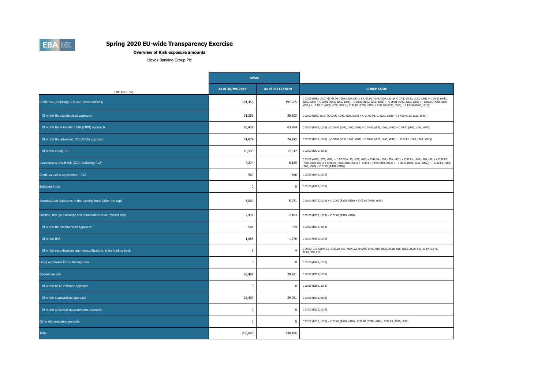|                                                                    | <b>RWAs</b>      |                  |                                                                                                                                                                                                                                                                                                                                                                           |
|--------------------------------------------------------------------|------------------|------------------|---------------------------------------------------------------------------------------------------------------------------------------------------------------------------------------------------------------------------------------------------------------------------------------------------------------------------------------------------------------------------|
| (mln EUR, %)                                                       | As of 30/09/2019 | As of 31/12/2019 | <b>COREP CODE</b>                                                                                                                                                                                                                                                                                                                                                         |
| Credit risk (excluding CCR and Securitisations)                    | 191,450          | 194,265          | C 02.00 (r040, c010) -[C 07.00 (r090, c220, s001) + C 07.00 (r110, c220, s001)+ C 07.00 (r130, c220, s001) + C 08.01 (r040,<br>c260, s001) + C 08.01 (r050, c260, s001) + C 08.01 (r060, c260, s001) + C 08.01 (r040, c260, s002) + C 08.01 (r050, c260,<br>$(5002)$ + C 08.01 (r060, c260, s002)]-[ C 02.00 (R220, c010) + C 02.00 (R430, c010)] - C 02.00 (R460, c010)] |
| Of which the standardised approach                                 | 31,253           | 30,593           | C 02.00 (r060, c010)-[C 07.00 (r090, c220, s001) + C 07.00 (r110, c220, s001)+ C 07.00 (r130, c220, s001)]                                                                                                                                                                                                                                                                |
| Of which the foundation IRB (FIRB) approach                        | 63,437           | 63,284           | C 02.00 (R250, c010) - [C 08.01 (r040, c260, s002) + C 08.01 (r050, c260, s002) + C 08.01 (r060, c260, s002)]                                                                                                                                                                                                                                                             |
| Of which the advanced IRB (AIRB) approach                          | 71,874           | 74,292           | C 02.00 (R310, c010) - [C 08.01 (r040, c260, s001) + C 08.01 (r050, c260, s001) + C 08.01 (r060, c260, s001)]                                                                                                                                                                                                                                                             |
| Of which equity IRB                                                | 16,598           | 17,347           | C 02.00 (R420, c010)                                                                                                                                                                                                                                                                                                                                                      |
| Counterparty credit risk (CCR, excluding CVA)                      | 7,274            | 6,129            | C 07.00 (r090, c220, s001) + C 07.00 (r110, c220, s001)+ C 07.00 (r130, c220, s001) + C 08.01 (r040, c260, s001) + C 08.01<br>$($ r050, c260, s001) + C 08.01 (r060, c260, s001) + C 08.01 (r040, c260, s002) + C 08.01 (r050, c260, s002,) + C 08.01 (r060,<br>c260, s002) + C 02.00 (R460, c010)]                                                                       |
| Credit valuation adjustment - CVA                                  | 969              | 686              | C 02.00 (R640, c010)                                                                                                                                                                                                                                                                                                                                                      |
| Settlement risk                                                    |                  | $\bf{0}$         | C 02.00 (R490, c010)                                                                                                                                                                                                                                                                                                                                                      |
| Securitisation exposures in the banking book (after the cap)       | 5,509            | 5,971            | C 02.00 (R770, c010) + C 02.00 (R220, c010) + C 02.00 (R430, c010)                                                                                                                                                                                                                                                                                                        |
| Position, foreign exchange and commodities risks (Market risk)     | 2,434            | 2,104            | C 02.00 (R520, c010) + C 02.00 (R910, c010)                                                                                                                                                                                                                                                                                                                               |
| Of which the standardised approach                                 | 541              | 324              | C 02.00 (R530, c010)                                                                                                                                                                                                                                                                                                                                                      |
| Of which IMA                                                       | 1,888            | 1,776            | C 02.00 (R580, c010)                                                                                                                                                                                                                                                                                                                                                      |
| Of which securitisations and resecuritisations in the trading book | 5                |                  | C 19.00_010_610*12.5+C 20.00_010_450*12.5+MAX(C 24.00_010_090,C 24.00_010_100,C 24.00_010_110)*12.5+C<br>02.00_910_010                                                                                                                                                                                                                                                    |
| Large exposures in the trading book                                |                  | $\mathbf{0}$     | C 02.00 (R680, c010)                                                                                                                                                                                                                                                                                                                                                      |
| Operational risk                                                   | 28,407           | 29,951           | C 02.00 (R590, c010)                                                                                                                                                                                                                                                                                                                                                      |
| Of which basic indicator approach                                  |                  | $\mathbf{0}$     | C 02.00 (R600, c010)                                                                                                                                                                                                                                                                                                                                                      |
| Of which standardised approach                                     | 28,407           | 29,951           | C 02.00 (R610, c010)                                                                                                                                                                                                                                                                                                                                                      |
| Of which advanced measurement approach                             |                  | $\mathbf{0}$     | C 02.00 (R620, c010)                                                                                                                                                                                                                                                                                                                                                      |
| Other risk exposure amounts                                        |                  | $\mathbf{0}$     | C 02.00 (R630, c010) + C 02.00 (R690, c010) - C 02.00 (R770, c010) - C 02.00 (R910, c010)                                                                                                                                                                                                                                                                                 |
| <b>Total</b>                                                       | 236,043          | 239,106          |                                                                                                                                                                                                                                                                                                                                                                           |



#### **Overview of Risk exposure amounts**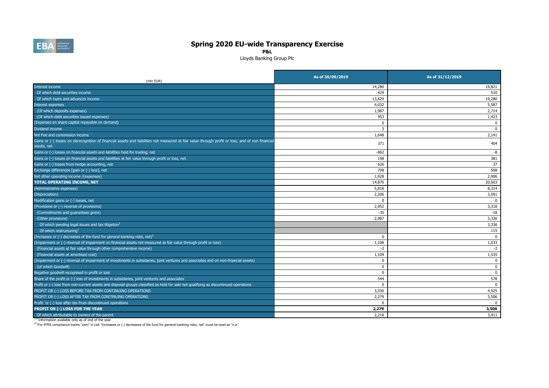| (mln EUR)                                                                                                                                                       | As of 30/09/2019 | As of 31/12/2019 |
|-----------------------------------------------------------------------------------------------------------------------------------------------------------------|------------------|------------------|
| Interest income                                                                                                                                                 | 14,280           | 19,821           |
| Of which debt securities income                                                                                                                                 | 429              | 510              |
| Of which loans and advances income                                                                                                                              | 13,829           | 19,280           |
| Interest expenses                                                                                                                                               | 4,032            | 5,587            |
| (Of which deposits expenses)                                                                                                                                    | 1,987            | 2,714            |
| (Of which debt securities issued expenses)                                                                                                                      | 953              | 1,423            |
| (Expenses on share capital repayable on demand)                                                                                                                 |                  |                  |
| Dividend income                                                                                                                                                 |                  |                  |
| Net Fee and commission income                                                                                                                                   | 1,648            | 2,141            |
| Gains or (-) losses on derecognition of financial assets and liabilities not measured at fair value through profit or loss, and of non financial<br>assets, net | 371              | 404              |
| Gains or (-) losses on financial assets and liabilities held for trading, net                                                                                   | $-862$           | -8               |
| Gains or (-) losses on financial assets and liabilities at fair value through profit or loss, net                                                               | 198              | 381              |
| Gains or (-) losses from hedge accounting, net                                                                                                                  | 626              | 37               |
| Exchange differences [gain or (-) loss], net                                                                                                                    | 708              | 508              |
| Net other operating income /(expenses)                                                                                                                          | 1,928            | 2,906            |
| <b>TOTAL OPERATING INCOME, NET</b>                                                                                                                              | 14,870           | 20,603           |
| (Administrative expenses)                                                                                                                                       | 5,818            | 8,314            |
| (Depreciation)                                                                                                                                                  | 2,206            | 3,091            |
| Modification gains or (-) losses, net                                                                                                                           |                  |                  |
| (Provisions or (-) reversal of provisions)                                                                                                                      | 2,952            | 3,318            |
| (Commitments and guarantees given)                                                                                                                              | $-35$            | $-18$            |
| (Other provisions)                                                                                                                                              | 2,987            | 3,336            |
| Of which pending legal issues and tax litigation $^1$                                                                                                           |                  | 3,336            |
| Of which restructuring <sup>1</sup>                                                                                                                             |                  | 115              |
| (Increases or (-) decreases of the fund for general banking risks, net) <sup>2</sup>                                                                            |                  |                  |
| (Impairment or (-) reversal of impairment on financial assets not measured at fair value through profit or loss)                                                | 1,108            | 1,533            |
| (Financial assets at fair value through other comprehensive income)                                                                                             |                  |                  |
| (Financial assets at amortised cost)                                                                                                                            | 1,109            | 1,535            |
| (Impairment or (-) reversal of impairment of investments in subsidaries, joint ventures and associates and on non-financial assets)                             |                  |                  |
| (of which Goodwill)                                                                                                                                             |                  |                  |
| Negative goodwill recognised in profit or loss                                                                                                                  |                  |                  |
| Share of the profit or (-) loss of investments in subsidaries, joint ventures and associates                                                                    | 544              | 578              |
| Profit or (-) loss from non-current assets and disposal groups classified as held for sale not qualifying as discontinued operations                            |                  |                  |
| PROFIT OR (-) LOSS BEFORE TAX FROM CONTINUING OPERATIONS                                                                                                        | 3,330            | 4,925            |
| PROFIT OR (-) LOSS AFTER TAX FROM CONTINUING OPERATIONS                                                                                                         | 2,279            | 3,506            |
| Profit or (-) loss after tax from discontinued operations                                                                                                       |                  |                  |
| <b>PROFIT OR (-) LOSS FOR THE YEAR</b>                                                                                                                          | 2,279            | 3,506            |
| Of which attributable to owners of the parent                                                                                                                   | 2,218            | 3,411            |

 $<sup>(1)</sup>$  Information available only as of end of the year</sup>

(2) For IFRS compliance banks "zero" in cell "Increases or (-) decreases of the fund for general banking risks, net" must be read as "n.a."



## **Spring 2020 EU-wide Transparency Exercise**

**P&L**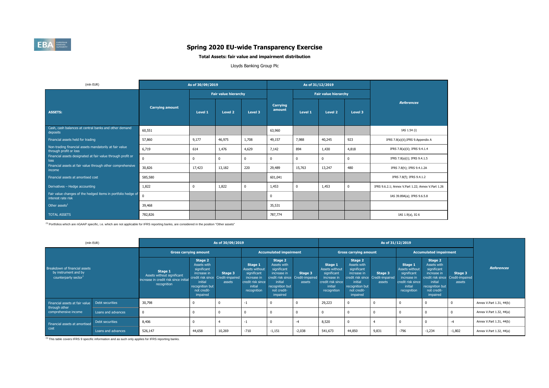| (mln EUR)                                                                          |                        | As of 30/09/2019 |                             |                |                           |                | As of 31/12/2019            |                |                                                    |
|------------------------------------------------------------------------------------|------------------------|------------------|-----------------------------|----------------|---------------------------|----------------|-----------------------------|----------------|----------------------------------------------------|
|                                                                                    |                        |                  | <b>Fair value hierarchy</b> |                |                           |                | <b>Fair value hierarchy</b> |                |                                                    |
| <b>ASSETS:</b>                                                                     | <b>Carrying amount</b> | <b>Level 1</b>   | <b>Level 2</b>              | <b>Level 3</b> | <b>Carrying</b><br>amount | <b>Level 1</b> | <b>Level 2</b>              | <b>Level 3</b> | <b>References</b>                                  |
| Cash, cash balances at central banks and other demand<br>deposits                  | 60,551                 |                  |                             |                | 63,960                    |                |                             |                | IAS 1.54 (i)                                       |
| Financial assets held for trading                                                  | 57,860                 | 9,177            | 46,975                      | 1,708          | 49,157                    | 7,988          | 40,245                      | 923            | IFRS 7.8(a)(ii); IFRS 9.Appendix A                 |
| Non-trading financial assets mandatorily at fair value<br>through profit or loss   | 6,719                  | 614              | 1,476                       | 4,629          | 7,142                     | 894            | 1,430                       | 4,818          | IFRS 7.8(a)(ii); IFRS 9.4.1.4                      |
| Financial assets designated at fair value through profit or<br>loss                | $\overline{0}$         | $\bf{0}$         | $\boldsymbol{0}$            | $\Omega$       | $\overline{0}$            | $\mathbf 0$    | $\Omega$                    | $\mathbf 0$    | IFRS 7.8(a)(i); IFRS 9.4.1.5                       |
| Financial assets at fair value through other comprehensive<br>income               | 30,826                 | 17,423           | 13,182                      | 220            | 29,489                    | 15,763         | 13,247                      | 480            | IFRS 7.8(h); IFRS 9.4.1.2A                         |
| Financial assets at amortised cost                                                 | 585,580                |                  |                             |                | 601,041                   |                |                             |                | IFRS 7.8(f); IFRS 9.4.1.2                          |
| Derivatives - Hedge accounting                                                     | 1,822                  | $\mathbf 0$      | 1,822                       | $\mathbf 0$    | 1,453                     | $\mathbf 0$    | 1,453                       | $\mathbf 0$    | IFRS 9.6.2.1; Annex V.Part 1.22; Annex V.Part 1.26 |
| Fair value changes of the hedged items in portfolio hedge of<br>interest rate risk | $\overline{0}$         |                  |                             |                | $\mathbf{0}$              |                |                             |                | IAS 39.89A(a); IFRS 9.6.5.8                        |
| Other assets $1$                                                                   | 39,468                 |                  |                             |                | 35,531                    |                |                             |                |                                                    |
| <b>TOTAL ASSETS</b>                                                                | 782,826                |                  |                             |                | 787,774                   |                |                             |                | IAS 1.9(a), IG 6                                   |

<sup>(1)</sup> Portfolios which are nGAAP specific, i.e. which are not applicable for IFRS reporting banks, are considered in the position "Other assets"



# **Spring 2020 EU-wide Transparency Exercise**

|                                                                              | (mln EUR)          |                                                                                                      |                                                                                                                                                           | As of 30/09/2019              |                                                                                                               |                                                                                                                                                           |                              |                                                                                                               |                                                                                                                      |                                                               |                                                                                                               |                                                                                                                      |                                                               |                          |
|------------------------------------------------------------------------------|--------------------|------------------------------------------------------------------------------------------------------|-----------------------------------------------------------------------------------------------------------------------------------------------------------|-------------------------------|---------------------------------------------------------------------------------------------------------------|-----------------------------------------------------------------------------------------------------------------------------------------------------------|------------------------------|---------------------------------------------------------------------------------------------------------------|----------------------------------------------------------------------------------------------------------------------|---------------------------------------------------------------|---------------------------------------------------------------------------------------------------------------|----------------------------------------------------------------------------------------------------------------------|---------------------------------------------------------------|--------------------------|
|                                                                              |                    | <b>Gross carrying amount</b>                                                                         |                                                                                                                                                           | <b>Accumulated impairment</b> |                                                                                                               |                                                                                                                                                           | <b>Gross carrying amount</b> |                                                                                                               |                                                                                                                      | <b>Accumulated impairment</b>                                 |                                                                                                               |                                                                                                                      |                                                               |                          |
| Breakdown of financial assets<br>by instrument and by<br>counterparty sector |                    | <b>Stage 1</b><br>Assets without significant<br>increase in credit risk since initial<br>recognition | <b>Stage 2</b><br>Assets with<br>significant<br>increase in<br>credit risk since Credit-impaired<br>initial<br>recognition but<br>not credit-<br>impaired | <b>Stage 3</b><br>assets      | <b>Stage 1</b><br>Assets without<br>significant<br>increase in<br>credit risk since<br>initial<br>recognition | <b>Stage 2</b><br>Assets with<br>significant<br>increase in<br>credit risk since Credit-impaired<br>initial<br>recognition but<br>not credit-<br>impaired | <b>Stage 3</b><br>assets     | <b>Stage 1</b><br>Assets without<br>significant<br>increase in<br>credit risk since<br>initial<br>recognition | <b>Stage 2</b><br>Assets with<br>significant<br>increase in<br>initial<br>recognition but<br>not credit-<br>impaired | <b>Stage 3</b><br>credit risk since Credit-impaired<br>assets | <b>Stage 1</b><br>Assets without<br>significant<br>increase in<br>credit risk since<br>initial<br>recognition | <b>Stage 2</b><br>Assets with<br>significant<br>increase in<br>initial<br>recognition but<br>not credit-<br>impaired | <b>Stage 3</b><br>credit risk since Credit-impaired<br>assets | <b>References</b>        |
| Financial assets at fair value                                               | Debt securities    | 30,798                                                                                               |                                                                                                                                                           |                               | $-1$                                                                                                          |                                                                                                                                                           |                              | 29,223                                                                                                        |                                                                                                                      |                                                               |                                                                                                               |                                                                                                                      |                                                               | Annex V.Part 1.31, 44(b) |
| through other<br>comprehensive income                                        | Loans and advances | $\overline{\mathbf{0}}$                                                                              |                                                                                                                                                           |                               |                                                                                                               |                                                                                                                                                           |                              |                                                                                                               |                                                                                                                      |                                                               |                                                                                                               |                                                                                                                      |                                                               | Annex V.Part 1.32, 44(a) |
| Financial assets at amortised                                                | Debt securities    | 8,406                                                                                                |                                                                                                                                                           |                               | -1                                                                                                            |                                                                                                                                                           | -4                           | 8,520                                                                                                         | $\Omega$                                                                                                             |                                                               |                                                                                                               |                                                                                                                      | $-4$                                                          | Annex V.Part 1.31, 44(b) |
| cost                                                                         | Loans and advances | 526,147                                                                                              | 44,658                                                                                                                                                    | 10,269                        | $-710$                                                                                                        | $-1,151$                                                                                                                                                  | $-2,038$                     | 541,673                                                                                                       | 44,850                                                                                                               | 9,831                                                         | $-796$                                                                                                        | $-1,234$                                                                                                             | $-1,802$                                                      | Annex V.Part 1.32, 44(a) |

 $\overline{^{(1)}}$ This table covers IFRS 9 specific information and as such only applies for IFRS reporting banks.

#### **Total Assets: fair value and impairment distribution**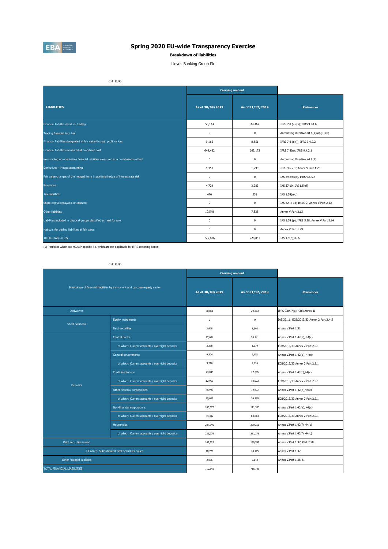(1) Portfolios which are nGAAP specific, i.e. which are not applicable for IFRS reporting banks

|                                                                                               |                  | <b>Carrying amount</b> |                                            |
|-----------------------------------------------------------------------------------------------|------------------|------------------------|--------------------------------------------|
| LIABILITIES:                                                                                  | As of 30/09/2019 | As of 31/12/2019       | <b>References</b>                          |
| Financial liabilities held for trading                                                        | 50,144           | 44,467                 | IFRS 7.8 (e) (ii); IFRS 9.BA.6             |
| Trading financial liabilities <sup>1</sup>                                                    | $\bf{0}$         | $\boldsymbol{0}$       | Accounting Directive art 8(1)(a),(3),(6)   |
| Financial liabilities designated at fair value through profit or loss                         | 9,165            | 8,851                  | IFRS 7.8 (e)(i); IFRS 9.4.2.2              |
| Financial liabilities measured at amortised cost                                              | 649,482          | 662,172                | IFRS 7.8(g); IFRS 9.4.2.1                  |
| Non-trading non-derivative financial liabilities measured at a cost-based method <sup>1</sup> | $\mathbf 0$      | $\bf{0}$               | Accounting Directive art 8(3)              |
| Derivatives - Hedge accounting                                                                | 1,353            | 1,299                  | IFRS 9.6.2.1; Annex V.Part 1.26            |
| Fair value changes of the hedged items in portfolio hedge of interest rate risk               | $\bf{0}$         | $\boldsymbol{0}$       | IAS 39.89A(b), IFRS 9.6.5.8                |
| Provisions                                                                                    | 4,724            | 3,983                  | IAS 37.10; IAS 1.54(I)                     |
| Tax liabilities                                                                               | 470              | 231                    | IAS 1.54(n-o)                              |
| Share capital repayable on demand                                                             | $\boldsymbol{0}$ | $\boldsymbol{0}$       | IAS 32 IE 33; IFRIC 2; Annex V.Part 2.12   |
| Other liabilities                                                                             | 10,548           | 7,838                  | Annex V.Part 2.13                          |
| Liabilities included in disposal groups classified as held for sale                           | $\pmb{0}$        | $\boldsymbol{0}$       | IAS 1.54 (p); IFRS 5.38, Annex V.Part 2.14 |
| Haircuts for trading liabilities at fair value <sup>1</sup>                                   | $\pmb{0}$        | $\pmb{0}$              | Annex V Part 1.29                          |
| <b>TOTAL LIABILITIES</b>                                                                      | 725,886          | 728,841                | IAS 1.9(b); IG 6                           |



# **Spring 2020 EU-wide Transparency Exercise**

#### **Breakdown of liabilities**

Lloyds Banking Group Plc

(mln EUR)

(mln EUR)

|                             |                                                                             | <b>Carrying amount</b> |                  |                                           |  |  |  |  |
|-----------------------------|-----------------------------------------------------------------------------|------------------------|------------------|-------------------------------------------|--|--|--|--|
|                             | Breakdown of financial liabilities by instrument and by counterparty sector | As of 30/09/2019       | As of 31/12/2019 | <b>References</b>                         |  |  |  |  |
| <b>Derivatives</b>          |                                                                             | 30,811                 | 29,363           | IFRS 9.BA.7(a); CRR Annex II              |  |  |  |  |
| Short positions             | Equity instruments                                                          | $\bf{0}$               | 0                | IAS 32.11; ECB/2013/33 Annex 2.Part 2.4-5 |  |  |  |  |
|                             | Debt securities                                                             | 3,478                  | 3,302            | Annex V.Part 1.31                         |  |  |  |  |
|                             | Central banks                                                               | 27,004                 | 26,141           | Annex V.Part 1.42(a), 44(c)               |  |  |  |  |
|                             | of which: Current accounts / overnight deposits                             | 2,398                  | 1,979            | ECB/2013/33 Annex 2.Part 2.9.1            |  |  |  |  |
|                             | General governments                                                         | 9,304                  | 9,451            | Annex V.Part 1.42(b), 44(c)               |  |  |  |  |
|                             | of which: Current accounts / overnight deposits                             | 5,276                  | 4,126            | ECB/2013/33 Annex 2.Part 2.9.1            |  |  |  |  |
|                             | Credit institutions                                                         | 23,045                 | 17,265           | Annex V.Part 1.42(c),44(c)                |  |  |  |  |
|                             | of which: Current accounts / overnight deposits                             | 12,910                 | 10,023           | ECB/2013/33 Annex 2.Part 2.9.1            |  |  |  |  |
| <b>Deposits</b>             | Other financial corporations                                                | 75,920                 | 78,972           | Annex V.Part 1.42(d),44(c)                |  |  |  |  |
|                             | of which: Current accounts / overnight deposits                             | 35,602                 | 36,365           | ECB/2013/33 Annex 2.Part 2.9.1            |  |  |  |  |
|                             | Non-financial corporations                                                  | 108,677                | 111,303          | Annex V.Part 1.42(e), 44(c)               |  |  |  |  |
|                             | of which: Current accounts / overnight deposits                             | 84,302                 | 84,813           | ECB/2013/33 Annex 2.Part 2.9.1            |  |  |  |  |
|                             | Households                                                                  | 287,340                | 299,251          | Annex V.Part 1.42(f), 44(c)               |  |  |  |  |
|                             | of which: Current accounts / overnight deposits                             | 239,734                | 251,276          | Annex V.Part 1.42(f), 44(c)               |  |  |  |  |
| Debt securities issued      |                                                                             | 142,529                | 139,597          | Annex V.Part 1.37, Part 2.98              |  |  |  |  |
|                             | Of which: Subordinated Debt securities issued                               | 18,728                 | 18,115           | Annex V.Part 1.37                         |  |  |  |  |
| Other financial liabilities |                                                                             | 2,036                  | 2,144            | Annex V.Part 1.38-41                      |  |  |  |  |
| TOTAL FINANCIAL LIABILITIES |                                                                             | 710,145                | 716,789          |                                           |  |  |  |  |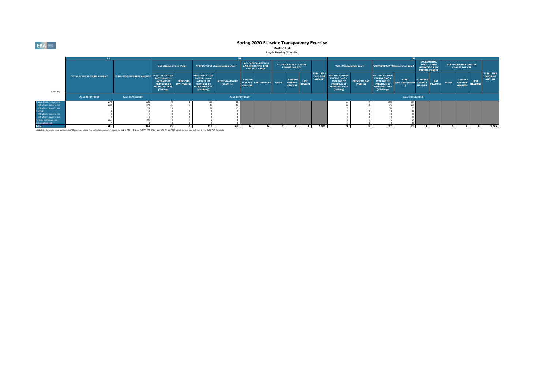

|                                | <b>SA</b>                         |                                   |                                                                                                                             |                     |  |  |  |  |
|--------------------------------|-----------------------------------|-----------------------------------|-----------------------------------------------------------------------------------------------------------------------------|---------------------|--|--|--|--|
|                                |                                   |                                   | VaR (Memorandum ite                                                                                                         |                     |  |  |  |  |
| (mln EUR)                      | <b>TOTAL RISK EXPOSURE AMOUNT</b> | <b>TOTAL RISK EXPOSURE AMOUNT</b> | <b>MULTIPLICATION</b><br><b>FACTOR (mc) x</b><br><b>AVERAGE OF</b><br><b>PREVIOUS 60</b><br><b>WORKING DAYS</b><br>(VaRavg) | <b>PRE</b><br>DAY ( |  |  |  |  |
|                                | As of 30/09/2019                  | As of 31/12/2019                  |                                                                                                                             |                     |  |  |  |  |
| <b>Traded Debt Instruments</b> | 273                               | 225                               | 34                                                                                                                          |                     |  |  |  |  |
| Of which: General risk         | 230                               | 174                               | 31                                                                                                                          |                     |  |  |  |  |
| Of which: Specific risk        | 11                                | 28                                | 3                                                                                                                           |                     |  |  |  |  |
| <b>Equities</b>                | $\Omega$                          | $\Omega$                          | 0                                                                                                                           |                     |  |  |  |  |
| Of which: General risk         | 0                                 | 0                                 | 0                                                                                                                           |                     |  |  |  |  |
| Of which: Specific risk        | 0                                 | $\bf{0}$                          | 0                                                                                                                           |                     |  |  |  |  |
| Foreign exchange risk          | 261                               | 96                                | 2                                                                                                                           |                     |  |  |  |  |
| Commodities risk               |                                   | 3                                 | 0                                                                                                                           |                     |  |  |  |  |
| .                              | - - -                             | ---                               | $\sim$ $-$                                                                                                                  |                     |  |  |  |  |

Market risk template does not include CIU positions under the particular approach for position risk in CIUs (Articles 348(1), 350 (3) c) and 364 (2) a) CRR), which instead are included in the RWA OV1 template.

|                         |                                   |                                   |                                                                                                                             |                                 |                                                                                                                              |                                        |                            |                            |  |                                       |                                                                                                                           |                                                       | <b>IM</b>                                                                                                                   |                                                  |                                                                                                                              |                                                    |                                   |             |                                       |          |                                                                                                                                                       |                                                       |  |  |  |
|-------------------------|-----------------------------------|-----------------------------------|-----------------------------------------------------------------------------------------------------------------------------|---------------------------------|------------------------------------------------------------------------------------------------------------------------------|----------------------------------------|----------------------------|----------------------------|--|---------------------------------------|---------------------------------------------------------------------------------------------------------------------------|-------------------------------------------------------|-----------------------------------------------------------------------------------------------------------------------------|--------------------------------------------------|------------------------------------------------------------------------------------------------------------------------------|----------------------------------------------------|-----------------------------------|-------------|---------------------------------------|----------|-------------------------------------------------------------------------------------------------------------------------------------------------------|-------------------------------------------------------|--|--|--|
|                         |                                   |                                   | VaR (Memorandum item)                                                                                                       |                                 |                                                                                                                              |                                        |                            |                            |  |                                       | <b>INCREMENTAL DEFAULT</b><br><b>STRESSED VaR (Memorandum item)</b><br><b>AND MIGRATION RISK</b><br><b>CAPITAL CHARGE</b> |                                                       |                                                                                                                             | ALL PRICE RISKS CAPITAL<br><b>CHARGE FOR CTP</b> |                                                                                                                              |                                                    | VaR (Memorandum item)             |             | <b>STRESSED VaR (Memorandum item)</b> |          | <b>INCREMENTAL</b><br><b>DEFAULT AND</b><br><b>ALL PRICE RISKS CAPITAL</b><br><b>MIGRATION RISK</b><br><b>CHARGE FOR CTP</b><br><b>CAPITAL CHARGE</b> |                                                       |  |  |  |
| (mln EUR)               | <b>TOTAL RISK EXPOSURE AMOUNT</b> | <b>TOTAL RISK EXPOSURE AMOUNT</b> | <b>MULTIPLICATION</b><br><b>FACTOR (mc) x</b><br><b>AVERAGE OF</b><br><b>PREVIOUS 60</b><br><b>WORKING DAYS</b><br>(VaRavg) | <b>PREVIOUS</b><br>DAY (VaRt-1) | <b>MULTIPLICATION</b><br><b>FACTOR (ms) x</b><br><b>AVERAGE OF</b><br><b>PREVIOUS 60</b><br><b>WORKING DAYS</b><br>(SVaRavg) | <b>LATEST AVAILABLE</b><br>$(SVaRt-1)$ | 12 WEEKS<br><b>MEASURE</b> | AVERAGE LAST MEASURE FLOOR |  | 12 WEEKS<br>AVERAGE<br><b>MEASURE</b> | <b>LAST</b><br><b>MEASURE</b>                                                                                             | <b>TOTAL RISK</b><br><b>EXPOSURE</b><br><b>AMOUNT</b> | <b>IULTIPLICATION</b><br><b>FACTOR (mc) x</b><br><b>AVERAGE OF</b><br><b>PREVIOUS 60</b><br><b>WORKING DAYS</b><br>(VaRavg) | <b>PREVIOUS DAY</b><br>$(VaRt-1)$                | <b>MULTIPLICATION</b><br><b>FACTOR (ms) x</b><br><b>AVERAGE OF</b><br><b>PREVIOUS 60</b><br><b>WORKING DAYS</b><br>(SVaRavg) | <b>LATEST</b><br>AVAILABLE (SVaRt- AVERAGE MEASURE | <b>12 WEEKS</b><br><b>MEASURE</b> | <b>LAST</b> | <b>FLOOR</b>                          | 12 WEEKS | <b>LAST</b><br>AVERAGE LAST<br>MEASURE MEASURE                                                                                                        | <b>TOTAL RISK</b><br><b>EXPOSURE</b><br><b>AMOUNT</b> |  |  |  |
|                         | As of 30/09/2019                  | As of 31/12/2019                  |                                                                                                                             |                                 |                                                                                                                              |                                        | As of 30/09/2019           |                            |  |                                       |                                                                                                                           |                                                       |                                                                                                                             |                                                  |                                                                                                                              | As of 31/12/2019                                   |                                   |             |                                       |          |                                                                                                                                                       |                                                       |  |  |  |
| raded Debt Instruments  |                                   | 225                               |                                                                                                                             |                                 | 113                                                                                                                          | 36                                     |                            |                            |  |                                       |                                                                                                                           |                                                       |                                                                                                                             |                                                  |                                                                                                                              |                                                    |                                   |             |                                       |          |                                                                                                                                                       |                                                       |  |  |  |
| Of which: General risk  | 230                               | 174                               |                                                                                                                             |                                 |                                                                                                                              | 23                                     |                            |                            |  |                                       |                                                                                                                           |                                                       |                                                                                                                             |                                                  |                                                                                                                              |                                                    |                                   |             |                                       |          |                                                                                                                                                       |                                                       |  |  |  |
| Of which: Specific risk |                                   |                                   |                                                                                                                             |                                 |                                                                                                                              | 13                                     |                            |                            |  |                                       |                                                                                                                           |                                                       |                                                                                                                             |                                                  |                                                                                                                              |                                                    |                                   |             |                                       |          |                                                                                                                                                       |                                                       |  |  |  |
| quities                 |                                   |                                   |                                                                                                                             |                                 |                                                                                                                              |                                        |                            |                            |  |                                       |                                                                                                                           |                                                       |                                                                                                                             |                                                  |                                                                                                                              |                                                    |                                   |             |                                       |          |                                                                                                                                                       |                                                       |  |  |  |
| Of which: General risk  |                                   |                                   |                                                                                                                             |                                 |                                                                                                                              |                                        |                            |                            |  |                                       |                                                                                                                           |                                                       |                                                                                                                             |                                                  |                                                                                                                              |                                                    |                                   |             |                                       |          |                                                                                                                                                       |                                                       |  |  |  |
| Of which: Specific risk |                                   |                                   |                                                                                                                             |                                 |                                                                                                                              |                                        |                            |                            |  |                                       |                                                                                                                           |                                                       |                                                                                                                             |                                                  |                                                                                                                              |                                                    |                                   |             |                                       |          |                                                                                                                                                       |                                                       |  |  |  |
| Foreign exchange risk   |                                   |                                   |                                                                                                                             |                                 |                                                                                                                              |                                        |                            |                            |  |                                       |                                                                                                                           |                                                       |                                                                                                                             |                                                  |                                                                                                                              |                                                    |                                   |             |                                       |          |                                                                                                                                                       |                                                       |  |  |  |
| Commodities risk        |                                   |                                   |                                                                                                                             |                                 |                                                                                                                              |                                        |                            |                            |  |                                       |                                                                                                                           |                                                       |                                                                                                                             |                                                  |                                                                                                                              |                                                    |                                   |             |                                       |          |                                                                                                                                                       |                                                       |  |  |  |
| <b>Total</b>            | 541                               | 324                               | $25$                                                                                                                        |                                 | 112                                                                                                                          | 65                                     | 14                         | 14                         |  |                                       |                                                                                                                           | 1,888                                                 | 22                                                                                                                          |                                                  | 107                                                                                                                          | 63 I                                               | 13                                | $13 \mid$   |                                       |          |                                                                                                                                                       | 1,776                                                 |  |  |  |

# **Spring 2020 EU-wide Transparency Exercise**

## **Market Risk**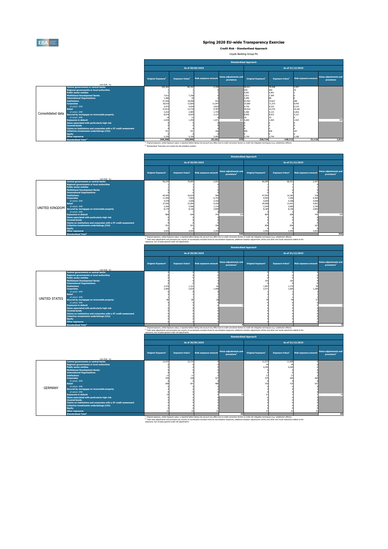(1) Original exposure, unlike Exposure value, is reported before taking into account any effect due to credit conversion factors or credit risk mitigation techniques (e.g. substitution effects). <sup>(2)</sup> Total value adjustments and provisions per country of counterparty excludes those for securitisation exposures, additional valuation adjustments (AVAs) and other own funds reductions related to the exposures, but includes general credit risk adjustments.

(2) Total value adjustments and provisions per country of counterparty excludes those for securitisation exposures, additional valuation adjustments (AVAs) and other own funds reductions related to the exposures, but includes general credit risk adjustments.

<sup>(2)</sup> Total value adjustments and provisions per country of counterparty excludes those for securitisation exposures, additional valuation adjustments (AVAs) and other own funds reductions related to the exposures, but includes general credit risk adjustments.

|                   |                                                                   | <b>Standardised Approach</b>          |                                    |                             |                                            |                                |                                    |                             |                                     |  |
|-------------------|-------------------------------------------------------------------|---------------------------------------|------------------------------------|-----------------------------|--------------------------------------------|--------------------------------|------------------------------------|-----------------------------|-------------------------------------|--|
|                   |                                                                   |                                       |                                    | As of 30/09/2019            |                                            |                                |                                    | As of 31/12/2019            |                                     |  |
|                   | (mln EUR, $\%$ )                                                  | <b>Original Exposure</b> <sup>1</sup> | <b>Exposure Value</b> <sup>1</sup> | <b>Risk exposure amount</b> | Value adjustments and<br><b>provisions</b> | Original Exposure <sup>1</sup> | <b>Exposure Value</b> <sup>1</sup> | <b>Risk exposure amount</b> | Value adjustments and<br>provisions |  |
|                   | <b>Central governments or central banks</b>                       | 105,302                               | 85,191                             | 2,704                       |                                            | 96,011                         | 79,598                             | 2,557                       |                                     |  |
|                   | Regional governments or local authorities                         |                                       |                                    |                             |                                            | 559                            | 559                                | 33                          |                                     |  |
|                   | <b>Public sector entities</b>                                     |                                       |                                    |                             |                                            | 4,901                          | 4,901                              |                             |                                     |  |
|                   | <b>Multilateral Development Banks</b>                             | 7,912                                 | 7,258                              |                             |                                            | 7,911                          | 7,394                              |                             |                                     |  |
|                   | <b>International Organisations</b>                                | 1,480                                 | 29                                 |                             |                                            | 3,450                          |                                    |                             |                                     |  |
|                   | <b>Institutions</b>                                               | 57,426                                | 18,058                             | 423                         |                                            | 52,502                         | 15,627                             | 389                         |                                     |  |
|                   | <b>Corporates</b>                                                 | 18,616                                | 12,820                             | 11,047                      |                                            | 15,683                         | 11,373                             | 9,976                       |                                     |  |
|                   | of which: SME                                                     | 4,475                                 | 4,024                              | 3,823                       |                                            | 4,735                          | 4,333                              | 4,124                       |                                     |  |
|                   | <b>Retail</b>                                                     | 37,813                                | 13,719                             | 9,787                       |                                            | 39,910                         | 14,276                             | 10,181                      |                                     |  |
| Consolidated data | of which: SME                                                     | 3,222                                 | 2,984                              | 1,735                       |                                            | 3,382                          | 3,123                              | 1,816                       |                                     |  |
|                   | Secured by mortgages on immovable property                        | 8,974                                 | 8,929                              | 3,127                       |                                            | 8,955                          | 8,915                              | 3,121                       |                                     |  |
|                   | of which: SME                                                     | 14                                    | 13                                 |                             |                                            |                                | 10                                 |                             |                                     |  |
|                   | <b>Exposures in default</b>                                       | 2,035                                 | 1,359                              | 1,471                       |                                            | 623 2,263                      | 1,403                              | 1,523                       | 649                                 |  |
|                   | Items associated with particularly high risk                      |                                       |                                    |                             |                                            |                                |                                    |                             |                                     |  |
|                   | <b>Covered bonds</b>                                              |                                       |                                    |                             |                                            |                                |                                    |                             |                                     |  |
|                   | Claims on institutions and corporates with a ST credit assessment |                                       |                                    |                             |                                            |                                |                                    |                             |                                     |  |
|                   | Collective investments undertakings (CIU)                         | 531                                   | 531                                | 106                         |                                            |                                |                                    |                             |                                     |  |
|                   | <b>Equity</b><br><b>Other exposures</b>                           | 4,199                                 | 4,199                              | 3,495                       |                                            | 3,744                          | 3,744                              | 3,168                       |                                     |  |
|                   |                                                                   | 244,290                               | 152,095                            |                             | 970                                        | 236,724                        |                                    |                             |                                     |  |
|                   | <b>Standardised Total <sup>2</sup></b>                            |                                       |                                    | 32,161                      |                                            |                                | 148,713                            | 31,116                      | 1,012                               |  |

<sup>(1)</sup> Original exposure, unlike Exposure value, is reported before taking into account any effect due to credit conversion factors or credit risk mitigation techniques (e.g. substitution effects).

 $(2)$  Standardised Total does not include the Securitisation position.

| (mln EUR, $\%$ )                                                     | <b>Original Exposure</b> <sup>1</sup> | <b>Exposure Value1</b> | <b>Risk exposure amount</b> | Value adjustments and<br>provisions <sup>2</sup> | <b>Original Exposure</b> <sup>1</sup> | <b>Exposure Value</b> <sup>1</sup> | <b>Risk exposure amount</b> | Value adjustments and<br>provisions <sup>2</sup> |
|----------------------------------------------------------------------|---------------------------------------|------------------------|-----------------------------|--------------------------------------------------|---------------------------------------|------------------------------------|-----------------------------|--------------------------------------------------|
| <b>Central governments or central banks</b>                          | 90,239                                | 70,845                 | 2,652                       |                                                  | 84,099                                | 68,251                             | 2,557                       |                                                  |
| Regional governments or local authorities                            |                                       |                        |                             |                                                  |                                       |                                    |                             |                                                  |
| <b>Public sector entities</b>                                        |                                       |                        |                             |                                                  |                                       |                                    |                             |                                                  |
| <b>Multilateral Development Banks</b>                                |                                       |                        |                             |                                                  |                                       |                                    |                             |                                                  |
| <b>International Organisations</b>                                   |                                       |                        |                             |                                                  |                                       |                                    |                             |                                                  |
| <b>Institutions</b>                                                  | 49,456                                | 16,679                 | 366                         |                                                  | 47,953                                | 14,182                             | 318                         |                                                  |
| <b>Corporates</b>                                                    | 11,499                                | 7,903                  | 6,753                       |                                                  | 9,593                                 | 7,390                              | 6,550                       |                                                  |
| of which: SME                                                        | 4,378                                 | 3,928                  | 3,726                       |                                                  | 4,649                                 | 4,248                              | 4,040                       |                                                  |
| <b>Retail</b>                                                        | 37,036                                | 12,954                 | 9,220                       |                                                  | 39,058                                | 13,441                             | 9,561                       |                                                  |
| of which: SME                                                        | 3,184                                 | 2,946                  | 1,714                       |                                                  | 3,344                                 | 3,085                              | 1,794                       |                                                  |
| I UNITED KINGDOM Secured by mortgages on immovable property          | 8,179                                 | 8,136                  | 2,849                       |                                                  | 8,184                                 | 8,146                              | 2,852                       |                                                  |
| of which: SME                                                        |                                       |                        |                             |                                                  |                                       |                                    |                             |                                                  |
| <b>Exposures in default</b>                                          | 8681                                  | 649                    | 743                         | 218                                              | 854                                   | 658                                | 743                         | 195                                              |
| Items associated with particularly high risk<br><b>Covered bonds</b> |                                       |                        |                             |                                                  |                                       |                                    |                             |                                                  |
| Claims on institutions and corporates with a ST credit assessment    |                                       |                        |                             |                                                  |                                       |                                    |                             |                                                  |
| <b>Collective investments undertakings (CIU)</b>                     | 531                                   | 531                    | 106                         |                                                  | 836                                   | 836                                | 167                         |                                                  |
| <b>Equity</b>                                                        |                                       |                        |                             |                                                  |                                       |                                    |                             |                                                  |
| <b>Other exposures</b>                                               | 4,044                                 | 4,044                  | 3,340                       |                                                  | 3,590                                 | 3,590                              | 3,034                       |                                                  |
| <b>Standardised Total<sup>2</sup></b>                                |                                       |                        |                             | 545                                              |                                       |                                    |                             | 533                                              |

|               |                                                                                                                                                                                                                                                                                                                                                                                                                                                                                                                                                                                                                                                                       | <b>Standardised Approach</b>          |                                    |                             |                                                  |                                       |                                    |                             |                                                         |  |
|---------------|-----------------------------------------------------------------------------------------------------------------------------------------------------------------------------------------------------------------------------------------------------------------------------------------------------------------------------------------------------------------------------------------------------------------------------------------------------------------------------------------------------------------------------------------------------------------------------------------------------------------------------------------------------------------------|---------------------------------------|------------------------------------|-----------------------------|--------------------------------------------------|---------------------------------------|------------------------------------|-----------------------------|---------------------------------------------------------|--|
|               |                                                                                                                                                                                                                                                                                                                                                                                                                                                                                                                                                                                                                                                                       |                                       |                                    | As of 30/09/2019            |                                                  |                                       |                                    | As of 31/12/2019            |                                                         |  |
|               | (mln EUR, $\%$ )                                                                                                                                                                                                                                                                                                                                                                                                                                                                                                                                                                                                                                                      | <b>Original Exposure</b> <sup>1</sup> | <b>Exposure Value</b> <sup>1</sup> | <b>Risk exposure amount</b> | Value adjustments and<br>provisions <sup>2</sup> | <b>Original Exposure</b> <sup>1</sup> | <b>Exposure Value</b> <sup>1</sup> | <b>Risk exposure amount</b> | <b>Value adjustments and</b><br>provisions <sup>2</sup> |  |
| UNITED STATES | <b>Central governments or central banks</b><br>Regional governments or local authorities<br><b>Public sector entities</b><br><b>Multilateral Development Banks</b><br><b>International Organisations</b><br><b>Institutions</b><br><b>Corporates</b><br>of which: SME<br>Retail<br>of which: SME<br>Secured by mortgages on immovable property<br>of which: SME<br><b>Exposures in default</b><br>Items associated with particularly high risk<br><b>Covered bonds</b><br>Claims on institutions and corporates with a ST credit assessment<br>Collective investments undertakings (CIU)<br><b>Equity</b><br>Other exposures<br><b>Standardised Total<sup>2</sup></b> | 3,376<br>2,966                        | 1,121<br>2,010                     | 1,448                       |                                                  | 103<br>1,907<br>2,571                 | 103<br>1,175<br>1,665              | 1,189                       |                                                         |  |

<sup>(1)</sup> Original exposure, unlike Exposure value, is reported before taking into account any effect due to credit conversion factors or credit risk mitigation techniques (e.g. substitution effects).

|                |                                                                   | <b>Standardised Approach</b>          |                                    |                             |                                                  |                                |                                    |                             |                                                  |  |
|----------------|-------------------------------------------------------------------|---------------------------------------|------------------------------------|-----------------------------|--------------------------------------------------|--------------------------------|------------------------------------|-----------------------------|--------------------------------------------------|--|
|                |                                                                   |                                       |                                    | As of 30/09/2019            |                                                  |                                |                                    | As of 31/12/2019            |                                                  |  |
|                |                                                                   | <b>Original Exposure</b> <sup>1</sup> | <b>Exposure Value</b> <sup>1</sup> | <b>Risk exposure amount</b> | Value adjustments and<br>provisions <sup>2</sup> | Original Exposure <sup>1</sup> | <b>Exposure Value</b> <sup>1</sup> | <b>Risk exposure amount</b> | Value adjustments and<br>provisions <sup>2</sup> |  |
|                | (mln EUR, $\%$ )<br>Central governments or central banks          | 13,433                                | 12,715                             |                             |                                                  | 11,573                         | 11,008                             |                             |                                                  |  |
|                | Regional governments or local authorities                         |                                       |                                    |                             |                                                  | 39                             | 39                                 |                             |                                                  |  |
|                | <b>Public sector entities</b>                                     |                                       |                                    |                             |                                                  | 4,294                          | 4,294                              |                             |                                                  |  |
|                | Multilateral Development Banks                                    |                                       |                                    |                             |                                                  |                                |                                    |                             |                                                  |  |
|                | <b>International Organisations</b>                                |                                       |                                    |                             |                                                  |                                |                                    |                             |                                                  |  |
|                | <b>Institutions</b>                                               |                                       |                                    |                             |                                                  |                                |                                    |                             |                                                  |  |
|                | <b>Corporates</b>                                                 | 359                                   | 228                                | 227                         |                                                  | 375                            | 200                                | 200                         |                                                  |  |
|                | of which: SME<br>Retail                                           | 658                                   | 651                                | 488                         |                                                  | 726                            | 716                                | 537                         |                                                  |  |
|                | of which: SME                                                     |                                       |                                    |                             |                                                  |                                |                                    |                             |                                                  |  |
| <b>GERMANY</b> | Secured by mortgages on immovable property                        |                                       |                                    |                             |                                                  |                                |                                    |                             |                                                  |  |
|                | of which: SME                                                     |                                       |                                    |                             |                                                  |                                |                                    |                             |                                                  |  |
|                | <b>Exposures in default</b>                                       |                                       |                                    |                             |                                                  |                                |                                    |                             | 14                                               |  |
|                | Items associated with particularly high risk                      |                                       |                                    |                             |                                                  |                                |                                    |                             |                                                  |  |
|                | <b>Covered bonds</b>                                              |                                       |                                    |                             |                                                  |                                |                                    |                             |                                                  |  |
|                | Claims on institutions and corporates with a ST credit assessment |                                       |                                    |                             |                                                  |                                |                                    |                             |                                                  |  |
|                | <b>Collective investments undertakings (CIU)</b>                  |                                       |                                    |                             |                                                  |                                |                                    |                             |                                                  |  |
|                | <b>Equity</b>                                                     |                                       |                                    |                             |                                                  |                                |                                    |                             |                                                  |  |
|                | Other exposures<br><b>Standardised Total<sup>2</sup></b>          |                                       |                                    |                             | 22                                               |                                |                                    |                             | 23                                               |  |
|                |                                                                   |                                       |                                    |                             |                                                  |                                |                                    |                             |                                                  |  |

 $^{(1)}$  Original exposure, unlike Exposure value, is reported before taking into account any effect due to credit conversion factors or credit risk mitigation techniques (e.g. substitution effects).



## **Spring 2020 EU-wide Transparency Exercise**

**Credit Risk - Standardised Approach**

| <b>Standardised Approach</b> |                  |  |  |  |  |  |  |  |
|------------------------------|------------------|--|--|--|--|--|--|--|
| As of 30/09/2019             | As of 31/12/2019 |  |  |  |  |  |  |  |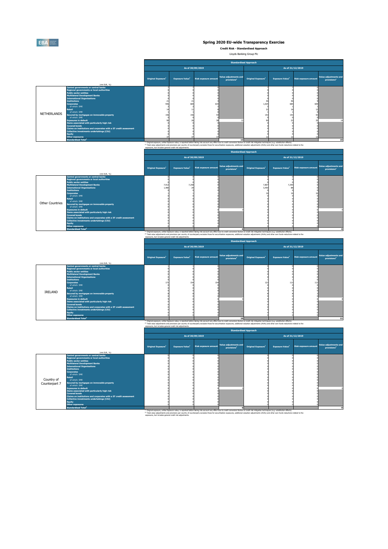

**Credit Risk - Standardised Approach**

Lloyds Banking Group Plc

(2) Total value adjustments and provisions per country of counterparty excludes those for securitisation exposures, additional valuation adjustments (AVAs) and other own funds reductions related to the exposures, but includes general credit risk adjustments.

(2) Total value adjustments and provisions per country of counterparty excludes those for securitisation exposures, additional valuation adjustments (AVAs) and other own funds reductions related to the exposures, but includes general credit risk adjustments.

 $^{(1)}$  Original exposure, unlike Exposure value, is reported before taking into account any effect due to credit conversion factors or credit risk mitigation techniques (e.g. substitution effects). (2) Total value adjustments and provisions per country of counterparty excludes those for securitisation exposures, additional valuation adjustments (AVAs) and other own funds reductions related to the exposures, but includes general credit risk adjustments.

|                                                                                                                                                                                                                                                                                                                                                                                                                                                                                       |                                                                   | <b>Standardised Approach</b>   |                                    |                      |                                                  |                                      |                                    |                             |                                                  |
|---------------------------------------------------------------------------------------------------------------------------------------------------------------------------------------------------------------------------------------------------------------------------------------------------------------------------------------------------------------------------------------------------------------------------------------------------------------------------------------|-------------------------------------------------------------------|--------------------------------|------------------------------------|----------------------|--------------------------------------------------|--------------------------------------|------------------------------------|-----------------------------|--------------------------------------------------|
|                                                                                                                                                                                                                                                                                                                                                                                                                                                                                       |                                                                   |                                |                                    | As of 30/09/2019     |                                                  |                                      |                                    | As of 31/12/2019            |                                                  |
|                                                                                                                                                                                                                                                                                                                                                                                                                                                                                       | (mln EUR, $\%$ )                                                  | Original Exposure <sup>1</sup> | <b>Exposure Value</b> <sup>1</sup> | Risk exposure amount | Value adjustments and<br>provisions <sup>2</sup> | <b>Original Exposure<sup>1</sup></b> | <b>Exposure Value</b> <sup>1</sup> | <b>Risk exposure amount</b> | Value adjustments and<br>provisions <sup>2</sup> |
| Central governments or central banks<br>Regional governments or local authorities<br><b>Public sector entities</b><br><b>Multilateral Development Banks</b><br><b>International Organisations</b><br><b>Institutions</b><br><b>Corporates</b><br>of which: SME<br>Retail<br>of which: SME<br><b>NETHERLANDS</b><br>Secured by mortgages on immovable property<br>of which: SME<br><b>Exposures in default</b><br>Items associated with particularly high risk<br><b>Covered bonds</b> |                                                                   | 946<br>156                     | 684<br>156                         | 634                  |                                                  | 1,025<br>153                         | 684<br>153                         | 609                         | 14                                               |
| Collective investments undertakings (CIU)<br><b>Equity</b><br>Other exposures<br><b>Standardised Total<sup>2</sup></b>                                                                                                                                                                                                                                                                                                                                                                | Claims on institutions and corporates with a ST credit assessment |                                |                                    |                      | 13                                               |                                      |                                    |                             | 15                                               |

(1) Original exposure, unlike Exposure value, is reported before taking into account any effect due to credit conversion factors or credit risk mitigation techniques (e.g. substitution effects).

|                        |                                                                   | <b>Original Exposure</b> | <b>Exposure Value</b> <sup>1</sup> | <b>Risk exposure amount</b> | Value adjustments and<br>provisions <sup>2</sup> | <b>Original Exposure</b> <sup>1</sup> | <b>Exposure Value</b> <sup>1</sup> | <b>Risk exposure amount</b> | Value adjustments and<br>provisions <sup>2</sup> |
|------------------------|-------------------------------------------------------------------|--------------------------|------------------------------------|-----------------------------|--------------------------------------------------|---------------------------------------|------------------------------------|-----------------------------|--------------------------------------------------|
|                        | (mln EUR, %)                                                      |                          |                                    |                             |                                                  |                                       |                                    |                             |                                                  |
|                        | <b>Central governments or central banks</b>                       |                          |                                    |                             |                                                  |                                       |                                    |                             |                                                  |
|                        | <b>Regional governments or local authorities</b>                  |                          |                                    |                             |                                                  |                                       |                                    |                             |                                                  |
|                        | <b>Public sector entities</b>                                     |                          |                                    |                             |                                                  |                                       |                                    |                             |                                                  |
|                        | <b>Multilateral Development Banks</b>                             | 7,912                    | 7,258                              |                             |                                                  | 7,807                                 | 7,290                              |                             |                                                  |
|                        | <b>International Organisations</b>                                | 1,480                    |                                    |                             |                                                  | 3,450                                 |                                    |                             |                                                  |
|                        | <b>Institutions</b>                                               |                          |                                    |                             |                                                  |                                       |                                    |                             |                                                  |
|                        | <b>Corporates</b>                                                 |                          |                                    |                             |                                                  |                                       |                                    |                             |                                                  |
|                        | of which: SME                                                     |                          |                                    |                             |                                                  |                                       |                                    |                             |                                                  |
|                        | <b>Retail</b>                                                     |                          |                                    |                             |                                                  |                                       |                                    |                             |                                                  |
| <b>Other Countries</b> | of which: SME                                                     |                          |                                    |                             |                                                  |                                       |                                    |                             |                                                  |
|                        | Secured by mortgages on immovable property                        |                          |                                    |                             |                                                  |                                       |                                    |                             |                                                  |
|                        | of which: SME                                                     |                          |                                    |                             |                                                  |                                       |                                    |                             |                                                  |
|                        | <b>Exposures in default</b>                                       |                          |                                    |                             |                                                  |                                       |                                    |                             |                                                  |
|                        | Items associated with particularly high risk                      |                          |                                    |                             |                                                  |                                       |                                    |                             |                                                  |
|                        | <b>Covered bonds</b>                                              |                          |                                    |                             |                                                  |                                       |                                    |                             |                                                  |
|                        | Claims on institutions and corporates with a ST credit assessment |                          |                                    |                             |                                                  |                                       |                                    |                             |                                                  |
|                        | Collective investments undertakings (CIU)                         |                          |                                    |                             |                                                  |                                       |                                    |                             |                                                  |
|                        | <b>Equity</b>                                                     |                          |                                    |                             |                                                  |                                       |                                    |                             |                                                  |
|                        | Other exposures                                                   |                          |                                    |                             |                                                  |                                       |                                    |                             |                                                  |
|                        | <b>Standardised Total<sup>2</sup></b>                             |                          |                                    |                             |                                                  |                                       |                                    |                             |                                                  |

(1) Original exposure, unlike Exposure value, is reported before taking into account any effect due to credit conversion factors or credit risk mitigation techniques (e.g. substitution effects).

|                |                                                                                           | <b>Standardised Approach</b>          |                        |                             |                                                  |                                       |                                    |                      |                                                  |  |
|----------------|-------------------------------------------------------------------------------------------|---------------------------------------|------------------------|-----------------------------|--------------------------------------------------|---------------------------------------|------------------------------------|----------------------|--------------------------------------------------|--|
|                |                                                                                           |                                       |                        | As of 30/09/2019            |                                                  |                                       |                                    | As of 31/12/2019     |                                                  |  |
|                | (mln EUR, %)                                                                              | <b>Original Exposure</b> <sup>1</sup> | <b>Exposure Value1</b> | <b>Risk exposure amount</b> | Value adjustments and<br>provisions <sup>2</sup> | <b>Original Exposure</b> <sup>1</sup> | <b>Exposure Value</b> <sup>1</sup> | Risk exposure amount | Value adjustments and<br>provisions <sup>2</sup> |  |
|                | <b>Central governments or central banks</b>                                               |                                       |                        |                             |                                                  |                                       |                                    |                      |                                                  |  |
|                | Regional governments or local authorities                                                 |                                       |                        |                             |                                                  |                                       |                                    |                      |                                                  |  |
|                | <b>Public sector entities</b>                                                             |                                       |                        |                             |                                                  |                                       |                                    |                      |                                                  |  |
|                | <b>Multilateral Development Banks</b><br><b>International Organisations</b>               |                                       |                        |                             |                                                  |                                       |                                    |                      |                                                  |  |
|                | <b>Institutions</b>                                                                       |                                       |                        |                             |                                                  |                                       |                                    |                      |                                                  |  |
|                | <b>Corporates</b>                                                                         | 173                                   |                        | 154                         |                                                  | 123                                   | 113                                | 113                  |                                                  |  |
|                | of which: SME                                                                             |                                       |                        |                             |                                                  |                                       |                                    |                      |                                                  |  |
|                | Retail<br>of which: SME                                                                   |                                       |                        |                             |                                                  |                                       |                                    |                      |                                                  |  |
| <b>IRELAND</b> | Secured by mortgages on immovable property                                                |                                       |                        |                             |                                                  |                                       |                                    |                      |                                                  |  |
|                | of which: SME                                                                             |                                       |                        |                             |                                                  |                                       |                                    |                      |                                                  |  |
|                | <b>Exposures in default</b>                                                               |                                       |                        |                             |                                                  |                                       |                                    |                      |                                                  |  |
|                | Items associated with particularly high risk                                              |                                       |                        |                             |                                                  |                                       |                                    |                      |                                                  |  |
|                | <b>Covered bonds</b><br>Claims on institutions and corporates with a ST credit assessment |                                       |                        |                             |                                                  |                                       |                                    |                      |                                                  |  |
|                | <b>Collective investments undertakings (CIU)</b>                                          |                                       |                        |                             |                                                  |                                       |                                    |                      |                                                  |  |
|                | <b>Equity</b>                                                                             |                                       |                        |                             |                                                  |                                       |                                    |                      |                                                  |  |
|                | <b>Other exposures</b>                                                                    |                                       |                        |                             |                                                  |                                       |                                    |                      |                                                  |  |
|                | <b>Standardised Total<sup>2</sup></b>                                                     |                                       |                        |                             | 10                                               |                                       |                                    |                      | 11                                               |  |

(1) Original exposure, unlike Exposure value, is reported before taking into account any effect due to credit conversion factors or credit risk mitigation techniques (e.g. substitution effects). (2) Total value adjustments and provisions per country of counterparty excludes those for securitisation exposures, additional valuation adjustments (AVAs) and other own funds reductions related to the

|                             |                                                                                                                                                                                                                                                                                                                                                                 | <b>Standardised Approach</b>         |                                    |                             |                                                  |                                      |                                    |                             |                                                  |
|-----------------------------|-----------------------------------------------------------------------------------------------------------------------------------------------------------------------------------------------------------------------------------------------------------------------------------------------------------------------------------------------------------------|--------------------------------------|------------------------------------|-----------------------------|--------------------------------------------------|--------------------------------------|------------------------------------|-----------------------------|--------------------------------------------------|
|                             |                                                                                                                                                                                                                                                                                                                                                                 | As of 30/09/2019                     |                                    |                             |                                                  |                                      |                                    | As of 31/12/2019            |                                                  |
|                             |                                                                                                                                                                                                                                                                                                                                                                 | <b>Original Exposure<sup>1</sup></b> | <b>Exposure Value</b> <sup>1</sup> | <b>Risk exposure amount</b> | Value adjustments and<br>provisions <sup>2</sup> | <b>Original Exposure<sup>1</sup></b> | <b>Exposure Value</b> <sup>1</sup> | <b>Risk exposure amount</b> | Value adjustments and<br>provisions <sup>2</sup> |
|                             | (mln EUR, $\%$ )                                                                                                                                                                                                                                                                                                                                                |                                      |                                    |                             |                                                  |                                      |                                    |                             |                                                  |
| Country of<br>Counterpart 7 | <b>Central governments or central banks</b><br>Regional governments or local authorities<br><b>Public sector entities</b><br><b>Multilateral Development Banks</b><br><b>International Organisations</b><br><b>Institutions</b><br><b>Corporates</b><br>of which: SME<br>Retail<br>of which: SME<br>Secured by mortgages on immovable property<br>of which: SME |                                      |                                    |                             |                                                  |                                      |                                    |                             |                                                  |
|                             | <b>Exposures in default</b>                                                                                                                                                                                                                                                                                                                                     |                                      |                                    |                             |                                                  |                                      |                                    |                             |                                                  |
|                             | Items associated with particularly high risk<br><b>Covered bonds</b><br>Claims on institutions and corporates with a ST credit assessment<br><b>Collective investments undertakings (CIU)</b><br><b>Equity</b><br><b>Other exposures</b>                                                                                                                        |                                      |                                    |                             |                                                  |                                      |                                    |                             |                                                  |
|                             | <b>Standardised Total<sup>2</sup></b>                                                                                                                                                                                                                                                                                                                           |                                      |                                    |                             |                                                  |                                      |                                    |                             |                                                  |

| pour cop suce morades gonerar el salc non aujascinement |  |                  |  |  |                  |  |  |  |  |
|---------------------------------------------------------|--|------------------|--|--|------------------|--|--|--|--|
| <b>Standardised Approach</b>                            |  |                  |  |  |                  |  |  |  |  |
|                                                         |  | As of 30/09/2019 |  |  | As of 31/12/2019 |  |  |  |  |
|                                                         |  |                  |  |  |                  |  |  |  |  |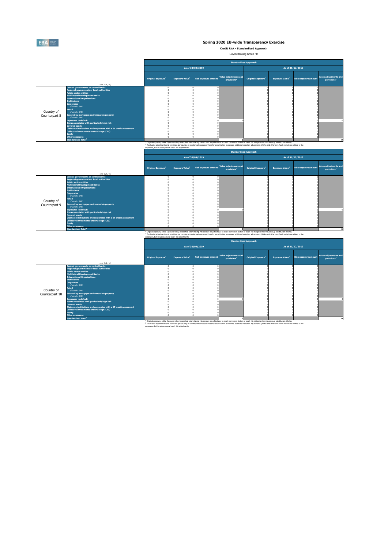

**Credit Risk - Standardised Approach**

Lloyds Banking Group Plc

<sup>(2)</sup> Total value adjustments and provisions per country of counterparty excludes those for securitisation exposures, additional valuation adjustments (AVAs) and other own funds reductions related to the exposures, but includes general credit risk adjustments.

<sup>(2)</sup> Total value adjustments and provisions per country of counterparty excludes those for securitisation exposures, additional valuation adjustments (AVAs) and other own funds reductions related to the exposures, but includes general credit risk adjustments.

(1) Original exposure, unlike Exposure value, is reported before taking into account any effect due to credit conversion factors or credit risk mitigation techniques (e.g. substitution effects). <sup>(2)</sup> Total value adjustments and provisions per country of counterparty excludes those for securitisation exposures, additional valuation adjustments (AVAs) and other own funds reductions related to the exposures, but includes general credit risk adjustments.

|                             |                                                                                                                                                                                                                                                                                                                                                                                                                                                                                                                                                                                                                                                                       |                           |                                    |                             | <b>Standardised Approach</b>                     |                                      |                        |                             |                                                         |
|-----------------------------|-----------------------------------------------------------------------------------------------------------------------------------------------------------------------------------------------------------------------------------------------------------------------------------------------------------------------------------------------------------------------------------------------------------------------------------------------------------------------------------------------------------------------------------------------------------------------------------------------------------------------------------------------------------------------|---------------------------|------------------------------------|-----------------------------|--------------------------------------------------|--------------------------------------|------------------------|-----------------------------|---------------------------------------------------------|
|                             |                                                                                                                                                                                                                                                                                                                                                                                                                                                                                                                                                                                                                                                                       |                           |                                    | As of 30/09/2019            |                                                  |                                      |                        | As of 31/12/2019            |                                                         |
|                             | (mln EUR, $\%$ )                                                                                                                                                                                                                                                                                                                                                                                                                                                                                                                                                                                                                                                      | <b>Original Exposure1</b> | <b>Exposure Value</b> <sup>1</sup> | <b>Risk exposure amount</b> | Value adjustments and<br>provisions <sup>2</sup> | <b>Original Exposure<sup>1</sup></b> | <b>Exposure Value1</b> | <b>Risk exposure amount</b> | <b>Value adjustments and</b><br>provisions <sup>2</sup> |
| Country of<br>Counterpart 8 | <b>Central governments or central banks</b><br>Regional governments or local authorities<br><b>Public sector entities</b><br>Multilateral Development Banks<br><b>International Organisations</b><br><b>Institutions</b><br><b>Corporates</b><br>of which: SME<br>Retail<br>of which: SME<br>Secured by mortgages on immovable property<br>of which: SME<br><b>Exposures in default</b><br>Items associated with particularly high risk<br><b>Covered bonds</b><br>Claims on institutions and corporates with a ST credit assessment<br>Collective investments undertakings (CIU)<br><b>Equity</b><br><b>Other exposures</b><br><b>Standardised Total<sup>2</sup></b> |                           |                                    |                             |                                                  |                                      |                        |                             |                                                         |

(1) Original exposure, unlike Exposure value, is reported before taking into account any effect due to credit conversion factors or credit risk mitigation techniques (e.g. substitution effects).

|                             |                                                                                                                                                                                                                                                                                                                                                                                                                                                                                                                                                    | <b>Original Exposure</b> <sup>1</sup> | <b>Exposure Value1</b> | Risk exposure amount | Value adjustments and<br>provisions <sup>2</sup> | <b>Original Exposure</b> <sup>1</sup> | <b>Exposure Value</b> <sup>1</sup> | <b>Risk exposure amount</b> | Value adjustments and<br>provisions <sup>2</sup> |
|-----------------------------|----------------------------------------------------------------------------------------------------------------------------------------------------------------------------------------------------------------------------------------------------------------------------------------------------------------------------------------------------------------------------------------------------------------------------------------------------------------------------------------------------------------------------------------------------|---------------------------------------|------------------------|----------------------|--------------------------------------------------|---------------------------------------|------------------------------------|-----------------------------|--------------------------------------------------|
|                             | (mln EUR, $\%$ )                                                                                                                                                                                                                                                                                                                                                                                                                                                                                                                                   |                                       |                        |                      |                                                  |                                       |                                    |                             |                                                  |
| Country of<br>Counterpart 9 | Central governments or central banks<br>Regional governments or local authorities<br><b>Public sector entities</b><br><b>Multilateral Development Banks</b><br><b>International Organisations</b><br><b>Institutions</b><br><b>Corporates</b><br>of which: SME<br><b>Retail</b><br>of which: SME<br>Secured by mortgages on immovable property<br>of which: SME<br><b>Exposures in default</b><br>Items associated with particularly high risk<br><b>Covered bonds</b><br><b>Claims on institutions and corporates with a ST credit assessment</b> |                                       |                        |                      |                                                  |                                       |                                    |                             |                                                  |
|                             | Collective investments undertakings (CIU)<br><b>Equity</b><br>Other exposures                                                                                                                                                                                                                                                                                                                                                                                                                                                                      |                                       |                        |                      |                                                  |                                       |                                    |                             |                                                  |
|                             | <b>Standardised Total<sup>2</sup></b>                                                                                                                                                                                                                                                                                                                                                                                                                                                                                                              |                                       |                        |                      |                                                  |                                       |                                    |                             |                                                  |

(1) Original exposure, unlike Exposure value, is reported before taking into account any effect due to credit conversion factors or credit risk mitigation techniques (e.g. substitution effects).

|                |                                                                   |                                       |                                    |                      | <b>Standardised Approach</b>                     |                                      |                        |                      |                                                         |
|----------------|-------------------------------------------------------------------|---------------------------------------|------------------------------------|----------------------|--------------------------------------------------|--------------------------------------|------------------------|----------------------|---------------------------------------------------------|
|                |                                                                   |                                       |                                    | As of 30/09/2019     |                                                  |                                      |                        | As of 31/12/2019     |                                                         |
|                |                                                                   | <b>Original Exposure</b> <sup>1</sup> | <b>Exposure Value</b> <sup>1</sup> | Risk exposure amount | Value adjustments and<br>provisions <sup>2</sup> | <b>Original Exposure<sup>1</sup></b> | <b>Exposure Value1</b> | Risk exposure amount | <b>Value adjustments and</b><br>provisions <sup>2</sup> |
|                | (mln EUR, $%$ )<br>Central governments or central banks           |                                       |                                    |                      |                                                  |                                      |                        |                      |                                                         |
|                | Regional governments or local authorities                         |                                       |                                    |                      |                                                  |                                      |                        |                      |                                                         |
|                | <b>Public sector entities</b>                                     |                                       |                                    |                      |                                                  |                                      |                        |                      |                                                         |
|                | <b>Multilateral Development Banks</b>                             |                                       |                                    |                      |                                                  |                                      |                        |                      |                                                         |
|                | <b>International Organisations</b>                                |                                       |                                    |                      |                                                  |                                      |                        |                      |                                                         |
|                | <b>Institutions</b>                                               |                                       |                                    |                      |                                                  |                                      |                        |                      |                                                         |
|                | <b>Corporates</b>                                                 |                                       |                                    |                      |                                                  |                                      |                        |                      |                                                         |
|                | of which: SME                                                     |                                       |                                    |                      |                                                  |                                      |                        |                      |                                                         |
|                | Retail                                                            |                                       |                                    |                      |                                                  |                                      |                        |                      |                                                         |
| Country of     | of which: SME                                                     |                                       |                                    |                      |                                                  |                                      |                        |                      |                                                         |
| Counterpart 10 | Secured by mortgages on immovable property                        |                                       |                                    |                      |                                                  |                                      |                        |                      |                                                         |
|                | of which: SME                                                     |                                       |                                    |                      |                                                  |                                      |                        |                      |                                                         |
|                | <b>Exposures in default</b>                                       |                                       |                                    |                      |                                                  |                                      |                        |                      |                                                         |
|                | Items associated with particularly high risk                      |                                       |                                    |                      |                                                  |                                      |                        |                      |                                                         |
|                | <b>Covered bonds</b>                                              |                                       |                                    |                      |                                                  |                                      |                        |                      |                                                         |
|                | Claims on institutions and corporates with a ST credit assessment |                                       |                                    |                      |                                                  |                                      |                        |                      |                                                         |
|                | <b>Collective investments undertakings (CIU)</b>                  |                                       |                                    |                      |                                                  |                                      |                        |                      |                                                         |
|                | <b>Equity</b><br><b>Other exposures</b>                           |                                       |                                    |                      |                                                  |                                      |                        |                      |                                                         |
|                |                                                                   |                                       |                                    |                      |                                                  |                                      |                        |                      |                                                         |
|                | <b>Standardised Total<sup>2</sup></b>                             |                                       |                                    |                      |                                                  |                                      |                        |                      |                                                         |

| sares, bac includes general create non adjustments. |                  |                              |  |                  |  |
|-----------------------------------------------------|------------------|------------------------------|--|------------------|--|
|                                                     |                  | <b>Standardised Approach</b> |  |                  |  |
|                                                     | As of 30/09/2019 |                              |  | As of 31/12/2019 |  |
|                                                     |                  |                              |  |                  |  |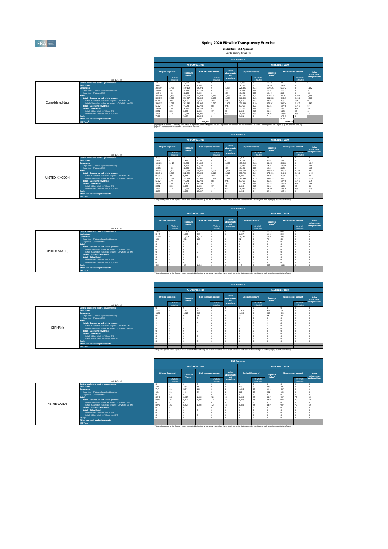(1) Original exposure, unlike Exposure value, is reported before taking into account any effect due to credit conversion factors or credit risk mitigation techniques (e.g. substitution effects).

(2) IRB Total does not include the Securitisation position.

|                   |                                                              | <b>IRB Approach</b> |                                                          |           |                  |                             |                                    |         |                                      |                                       |                  |                        |                             |
|-------------------|--------------------------------------------------------------|---------------------|----------------------------------------------------------|-----------|------------------|-----------------------------|------------------------------------|---------|--------------------------------------|---------------------------------------|------------------|------------------------|-----------------------------|
|                   |                                                              |                     |                                                          |           | As of 30/09/2019 |                             |                                    |         |                                      |                                       | As of 31/12/2019 |                        |                             |
|                   |                                                              |                     | <b>Original Exposure</b> <sup>1</sup><br><b>Exposure</b> |           |                  | <b>Risk exposure amount</b> | <b>Value</b><br>adjustments<br>and |         | <b>Original Exposure<sup>1</sup></b> | <b>Exposure</b><br>Value <sup>1</sup> |                  | Risk exposure amount   | <b>Value</b><br>adjustments |
|                   | (mln EUR, $%$ )                                              |                     | Of which:<br>defaulted                                   | Value $1$ |                  | Of which:<br>defaulted      | <b>provisions</b>                  |         | Of which:<br>defaulted               |                                       |                  | Of which:<br>defaulted | and provisions              |
|                   | <b>Central banks and central governments</b>                 | 17,722              |                                                          | 11,377    | 758              |                             |                                    | 21,906  |                                      | 11,376                                | 701              |                        |                             |
|                   | <b>Institutions</b>                                          | 39,852              |                                                          | 14,338    | 2,838            |                             |                                    | 36,167  |                                      | 13,676                                | 2,600            |                        |                             |
|                   | <b>Corporates</b>                                            | 233,904             | 2,495                                                    | 119,159   | 65,971           |                             | 1,467                              | 228,396 | 2,154                                | 114,025                               | 65,342           |                        | 1,102                       |
|                   | Corporates - Of Which: Specialised Lending                   | 20,490              | 281                                                      | 19,128    | 13,733           |                             | 352                                | 18,536  | 344                                  | 17,092                                | 12,312           |                        |                             |
|                   | Corporates - Of Which: SME                                   | 12,942              | 443                                                      | 12,138    | 8,399            |                             | 179                                | 13,226  | 389                                  | 12,419                                | 8,684            |                        | 182                         |
|                   | <b>Retail</b>                                                | 443,066             | 4,503                                                    | 441,790   | 71,874           | 4,446                       | 2,775                              | 457,646 | 4,442                                | 454,617                               | 74,292           | 4,690                  | 2,846                       |
|                   | Retail - Secured on real estate property                     | 355,897             | 3,589                                                    | 371,567   | 40,864           | 2,690                       | 1,524                              | 366,694 | 3,516                                | 381,320                               | 42,067           | 2,568                  | 1,438                       |
| Consolidated data | Retail - Secured on real estate property - Of Which: SME     | 9,741               | 197                                                      | 9,725     | 2,368            | 180                         | 115                                | 9,810   | 200                                  | 9,819                                 | 2,393            | 181                    | 98                          |
|                   | Retail - Secured on real estate property - Of Which: non-SME | 346,155             | 3,392                                                    | 361,842   | 38,496           | 2,510                       | 1,409                              | 356,884 | 3,316                                | 371,501                               | 39,674           | 2,387                  | 1,340                       |
|                   | <b>Retail - Qualifying Revolving</b>                         | 61,024              | 379                                                      | 44,043    | 12,728           | 884                         | 546                                | 63,751  | 377                                  | 46,027                                | 13,448           | 1,191                  | 614                         |
|                   | <b>Retail - Other Retail</b>                                 | 26,146              | 536                                                      | 26,180    | 18,283           | 871                         | 705                                | 27,201  | 549                                  | 27,271                                | 18,777           | 931                    | 794                         |
|                   | Retail - Other Retail - Of Which: SME                        | 2,552               | 222                                                      | 2,552     | 1,823            | 97                          | 53                                 | 2,629   | 213                                  | 2,629                                 | 1,832            | 93                     | 66                          |
|                   | Retail - Other Retail - Of Which: non-SME                    | 23,593              | 314                                                      | 23,628    | 16,460           | 775                         | 652                                | 24,572  | 336                                  | 24,642                                | 16,945           | 838                    | 729                         |
|                   | <b>Equity</b>                                                | 7,107               |                                                          | 7,107     | 16,598           |                             |                                    | 7,431   |                                      | 7,431                                 | 17,347           |                        |                             |
|                   | Other non credit-obligation assets                           |                     |                                                          |           | 8,288            |                             |                                    |         |                                      |                                       | 8,748            |                        |                             |
|                   | <b>IRB Total<sup>2</sup></b>                                 |                     |                                                          |           | 166,327          |                             |                                    |         |                                      |                                       | 169,031          |                        |                             |

|                |                                                              | <b>Original Exposure</b> |                        | <b>Exposure</b><br>Value <sup>1</sup> |        | <b>Risk exposure amount</b> | value<br>adjustments<br>and | <b>Original Exposure</b> |                        | <b>Exposure</b><br>Value <sup>1</sup> |        | <b>Risk exposure amount</b> | <b>Value</b><br>adjustments |
|----------------|--------------------------------------------------------------|--------------------------|------------------------|---------------------------------------|--------|-----------------------------|-----------------------------|--------------------------|------------------------|---------------------------------------|--------|-----------------------------|-----------------------------|
|                | (mln EUR, $%$ )                                              |                          | Of which:<br>defaulted |                                       |        | Of which:<br>defaulted      | <b>provisions</b>           |                          | Of which:<br>defaulted |                                       |        | Of which:<br>defaulted      | and provisions              |
|                | <b>Central banks and central governments</b>                 | 2,333                    |                        |                                       |        |                             |                             | 3,013                    |                        | 32                                    |        |                             |                             |
|                | <b>Institutions</b>                                          | 15,783                   |                        | 5,429                                 | 1,136  |                             |                             | 16,268                   |                        | 5,567                                 | 1,093  |                             |                             |
|                | <b>Corporates</b>                                            | 186,151                  | 2,425                  | 90,533                                | 54,882 |                             | 1,433                       | 179,215                  | 2,086                  | 86,552                                | 54,686 |                             | 1,067                       |
|                | Corporates - Of Which: Specialised Lending                   | 17,393                   | 212                    | 16,162                                | 11,733 |                             | 332                         | 15,492                   | 277                    | 14,203                                | 10,386 |                             |                             |
|                | Corporates - Of Which: SME                                   | 12,830                   | 443                    | 12,039                                | 8,353  |                             | 179                         | 13,126                   | 389                    | 12,334                                | 8,652  |                             | 182                         |
|                | <b>Retail</b>                                                | 434,043                  | 4,477                  | 432,780                               | 70,849 | 4,373                       | 2,764                       | 448,672                  | 4,416                  | 445,652                               | 73,324 | 4,620                       | 2,833                       |
|                | Retail - Secured on real estate property                     | 346,946                  | 3,563                  | 362,629                               | 39,858 | 2,618                       | 1,513                       | 357,796                  | 3,491                  | 372,431                               | 41,118 | 2,498                       | 1,425                       |
|                | Retail - Secured on real estate property - Of Which: SME     | 9,730                    | 196                    | 9,714                                 | 2,366  | 180                         | 115                         | 9,800                    | 200                    | 9,809                                 | 2,390  | 180                         |                             |
| UNITED KINGDOM | Retail - Secured on real estate property - Of Which: non-SME | 337,215                  | 3,367                  | 352,915                               | 37,492 | 2,438                       | 1,398                       | 347,996                  | 3,291                  | 362,622                               | 38,727 | 2,317                       | 1,328                       |
|                | <b>Retail - Qualifying Revolving</b>                         | 61,024                   | 379                    | 44,043                                | 12,728 | 884                         | 546                         | 63,751                   | 377                    | 46,027                                | 13,448 | 1,191                       |                             |
|                | <b>Retail - Other Retail</b>                                 | 26,074                   | 536                    | 26,108                                | 18,264 | 871                         | 705                         | 27,125                   | 549                    | 27,195                                | 18,758 | 931                         |                             |
|                | Retail - Other Retail - Of Which: SME                        | 2,552                    | 222                    | 2,552                                 | 1,823  | 97                          | 53                          | 2,628                    | 213                    | 2,628                                 | 1,832  | 93                          |                             |
|                | Retail - Other Retail - Of Which: non-SME                    | 23,522                   | 314                    | 23,556                                | 16,441 | 775                         | 652                         | 24,497                   | 336                    | 24,566                                | 16,926 | 838                         | 728                         |
|                | <b>Equity</b>                                                | 6,699                    |                        | 6,699                                 | 15,087 |                             |                             | 6,905                    |                        | 6,905                                 | 15,541 |                             |                             |
|                | Other non credit-obligation assets                           |                          |                        |                                       |        |                             |                             |                          |                        |                                       |        |                             |                             |
|                | <b>IRB Total</b>                                             |                          |                        |                                       |        |                             |                             |                          |                        |                                       |        |                             |                             |

 $^{(1)}$  Original exposure, unlike Exposure value, is reported before taking into account any effect due to credit conversion factors or credit risk mitigation techniques (e.g. substitution effects).

|               |                                                              |                         |                                                                                                                                                                                                                               |                                       |                  |                             |                                    | <b>IRB Approach</b> |                                |                              |                  |                             |                      |
|---------------|--------------------------------------------------------------|-------------------------|-------------------------------------------------------------------------------------------------------------------------------------------------------------------------------------------------------------------------------|---------------------------------------|------------------|-----------------------------|------------------------------------|---------------------|--------------------------------|------------------------------|------------------|-----------------------------|----------------------|
|               |                                                              |                         |                                                                                                                                                                                                                               |                                       | As of 30/09/2019 |                             |                                    |                     |                                |                              | As of 31/12/2019 |                             |                      |
|               |                                                              |                         | <b>Original Exposure</b> <sup>1</sup>                                                                                                                                                                                         | <b>Exposure</b><br>Value <sup>1</sup> |                  | <b>Risk exposure amount</b> | <b>Value</b><br>adjustments<br>and |                     | Original Exposure <sup>1</sup> | <b>Exposure</b><br>Value $1$ |                  | <b>Risk exposure amount</b> | Value<br>adjustments |
|               | (mln EUR, %)                                                 |                         | Of which:<br>defaulted                                                                                                                                                                                                        |                                       |                  | Of which:<br>defaulted      | provisions                         |                     | Of which:<br>defaulted         |                              |                  | Of which:<br>defaulted      | and provisions       |
|               | <b>Central banks and central governments</b>                 | 14,273                  |                                                                                                                                                                                                                               | 11,102                                | 711              |                             |                                    | 15,831              |                                | 11,135                       | 664              |                             |                      |
|               | <b>Institutions</b>                                          | 3,445                   |                                                                                                                                                                                                                               | 1,406                                 | 339              |                             |                                    | 2,457               |                                | 1,108                        | 295              |                             |                      |
|               | <b>Corporates</b>                                            | 17,719                  |                                                                                                                                                                                                                               | 11,609                                | 4,118            |                             |                                    | 20,292              |                                | 10,607                       | 3,652            |                             |                      |
|               | Corporates - Of Which: Specialised Lending                   | 158                     |                                                                                                                                                                                                                               | 158                                   | 123              |                             |                                    |                     |                                | 72                           | 53               |                             |                      |
|               | Corporates - Of Which: SME                                   |                         |                                                                                                                                                                                                                               |                                       |                  |                             |                                    |                     |                                |                              |                  |                             |                      |
|               | <b>Retail</b>                                                |                         |                                                                                                                                                                                                                               |                                       |                  |                             |                                    |                     |                                |                              |                  |                             |                      |
|               | Retail - Secured on real estate property                     |                         |                                                                                                                                                                                                                               |                                       |                  |                             |                                    |                     |                                |                              |                  |                             |                      |
| UNITED STATES | Retail - Secured on real estate property - Of Which: SME     |                         |                                                                                                                                                                                                                               |                                       |                  |                             |                                    |                     |                                |                              |                  |                             |                      |
|               | Retail - Secured on real estate property - Of Which: non-SME |                         |                                                                                                                                                                                                                               |                                       |                  |                             |                                    |                     |                                |                              |                  |                             |                      |
|               | <b>Retail - Qualifying Revolving</b>                         |                         |                                                                                                                                                                                                                               |                                       |                  |                             |                                    |                     |                                |                              |                  |                             |                      |
|               | <b>Retail - Other Retail</b>                                 |                         |                                                                                                                                                                                                                               |                                       |                  |                             |                                    |                     |                                |                              |                  |                             |                      |
|               | Retail - Other Retail - Of Which: SME                        |                         |                                                                                                                                                                                                                               |                                       |                  |                             |                                    |                     |                                |                              |                  |                             |                      |
|               | Retail - Other Retail - Of Which: non-SME                    | $\overline{\mathbf{0}}$ |                                                                                                                                                                                                                               |                                       |                  |                             |                                    |                     |                                |                              |                  |                             |                      |
|               | <b>Equity</b>                                                | 409                     |                                                                                                                                                                                                                               | 409                                   | 1,512            |                             |                                    | 449                 |                                | 449                          | 1,660            |                             |                      |
|               | Other non credit-obligation assets                           |                         |                                                                                                                                                                                                                               |                                       |                  |                             |                                    |                     |                                |                              |                  |                             |                      |
|               | <b>IRB Total</b>                                             |                         |                                                                                                                                                                                                                               |                                       |                  |                             |                                    |                     |                                |                              |                  |                             |                      |
|               |                                                              |                         | $(1)$ Outside the contraction of the contract of the contraction of the contraction of the contraction of the contraction of the contraction of the contraction of the contraction of the contraction of the contraction of t |                                       |                  |                             |                                    |                     |                                |                              |                  |                             |                      |

<sup>(1)</sup> Original exposure, unlike Exposure value, is reported before taking into account any effect due to credit conversion factors or credit risk mitigation techniques (e.g. substitution effects).

|  |                |                                                              |       | Original Exposure <sup>1</sup><br><b>Exposure</b> |                    |     | <b>Risk exposure amount</b> | <b>Value</b><br>adjustments<br>and |       | Original Exposure <sup>1</sup> | <b>Exposure</b><br>Value <sup>1</sup> |     | <b>Risk exposure amount</b> | Value<br>adjustments |
|--|----------------|--------------------------------------------------------------|-------|---------------------------------------------------|--------------------|-----|-----------------------------|------------------------------------|-------|--------------------------------|---------------------------------------|-----|-----------------------------|----------------------|
|  |                | (mln EUR, %)                                                 |       | Of which:<br>defaulted                            | Value <sup>1</sup> |     | Of which:<br>defaulted      | provisions                         |       | Of which:<br>defaulted         |                                       |     | Of which:<br>defaulted      | and provisions       |
|  |                | <b>Central banks and central governments</b>                 |       |                                                   |                    |     |                             |                                    |       |                                |                                       |     |                             |                      |
|  |                | <b>Institutions</b>                                          | 1,553 |                                                   | 539                | 151 |                             |                                    | 1,412 |                                | 478                                   | 167 |                             |                      |
|  |                | <b>Corporates</b>                                            | 1,630 |                                                   | 1,213              | 605 |                             |                                    | 1,269 |                                | 938                                   | 492 |                             |                      |
|  |                | Corporates - Of Which: Specialised Lending                   | 62    |                                                   |                    | 56  |                             |                                    |       |                                | 59                                    | 53  |                             |                      |
|  |                | Corporates - Of Which: SME                                   |       |                                                   |                    |     |                             |                                    |       |                                |                                       |     |                             |                      |
|  |                | <b>Retail</b>                                                |       |                                                   |                    |     |                             |                                    |       |                                |                                       |     |                             |                      |
|  |                | Retail - Secured on real estate property                     |       |                                                   |                    |     |                             |                                    |       |                                |                                       |     |                             |                      |
|  |                | Retail - Secured on real estate property - Of Which: SME     |       |                                                   |                    |     |                             |                                    |       |                                |                                       |     |                             |                      |
|  | <b>GERMANY</b> | Retail - Secured on real estate property - Of Which: non-SME |       |                                                   |                    |     |                             |                                    |       |                                |                                       |     |                             |                      |
|  |                | <b>Retail - Qualifying Revolving</b>                         |       |                                                   |                    |     |                             |                                    |       |                                |                                       |     |                             |                      |
|  |                | <b>Retail - Other Retail</b>                                 |       |                                                   |                    |     |                             |                                    |       |                                |                                       |     |                             |                      |
|  |                | Retail - Other Retail - Of Which: SME                        |       |                                                   |                    |     |                             |                                    |       |                                |                                       |     |                             |                      |
|  |                | Retail - Other Retail - Of Which: non-SME                    |       |                                                   |                    |     |                             |                                    |       |                                |                                       |     |                             |                      |
|  |                | <b>Equity</b>                                                |       |                                                   |                    |     |                             |                                    |       |                                |                                       |     |                             |                      |
|  |                | Other non credit-obligation assets                           |       |                                                   |                    |     |                             |                                    |       |                                |                                       |     |                             |                      |
|  |                | <b>IRB Total</b>                                             |       |                                                   |                    |     |                             |                                    |       |                                |                                       |     |                             |                      |

<sup>(1)</sup> Original exposure, unlike Exposure value, is reported before taking into account any effect due to credit conversion factors or credit risk mitigation techniques (e.g. substitution effects).



# **Spring 2020 EU-wide Transparency Exercise**

#### **Credit Risk - IRB Approach**

Lloyds Banking Group Plc

|                    |                                                              |              |                                      |                                       |                  |                             |                             | <b>IRB Approach</b> |                                |                                       |                  |                             |                      |
|--------------------|--------------------------------------------------------------|--------------|--------------------------------------|---------------------------------------|------------------|-----------------------------|-----------------------------|---------------------|--------------------------------|---------------------------------------|------------------|-----------------------------|----------------------|
|                    |                                                              |              |                                      |                                       | As of 30/09/2019 |                             |                             |                     |                                |                                       | As of 31/12/2019 |                             |                      |
|                    |                                                              |              | <b>Original Exposure<sup>1</sup></b> | <b>Exposure</b><br>Value <sup>1</sup> |                  | <b>Risk exposure amount</b> | Value<br>adjustments<br>and |                     | Original Exposure <sup>1</sup> | <b>Exposure</b><br>Value <sup>1</sup> |                  | <b>Risk exposure amount</b> | Value<br>adjustments |
|                    | (mln EUR, %)                                                 |              | Of which:<br>defaulted               |                                       |                  | Of which:<br>defaulted      | provisions                  |                     | Of which:<br>defaulted         |                                       |                  | Of which:<br>defaulted      | and provisions       |
|                    | <b>Central banks and central governments</b>                 |              |                                      |                                       | - 0              |                             |                             |                     |                                |                                       | $\overline{0}$   |                             |                      |
|                    | <b>Institutions</b>                                          | 703          |                                      | 359                                   | 44               |                             |                             | 625                 |                                | 386                                   | 39               |                             |                      |
|                    | <b>Corporates</b>                                            | 717          | 31                                   | 567                                   | 181              |                             |                             | 1,405               | 33                             | 1,146                                 | 467              |                             |                      |
|                    | Corporates - Of Which: Specialised Lending                   | 151          | 31                                   | 141                                   | 99               |                             |                             | 260                 | 33                             | 251                                   | 153              |                             |                      |
|                    | Corporates - Of Which: SME                                   | $\mathbf{0}$ |                                      |                                       |                  |                             |                             |                     |                                |                                       | $\overline{0}$   |                             |                      |
|                    | Retail                                                       | 8,940        | 26                                   | 8,927                                 | 1,004            | 72                          | <b>11</b>                   | 8,888               | 25                             | 8,879                                 | 947              | 70                          | 12                   |
|                    | Retail - Secured on real estate property                     | 8,940        | 26                                   | 8,927                                 | 1,004            | 72                          | 11                          | 8,888               | 25                             | 8,879                                 | 947              | 70                          | 12                   |
| <b>NETHERLANDS</b> | Retail - Secured on real estate property - Of Which: SME     |              |                                      |                                       |                  |                             |                             |                     |                                |                                       | $\overline{0}$   |                             |                      |
|                    | Retail - Secured on real estate property - Of Which: non-SME | 8,940        | 26                                   | 8,927                                 | 1,004            | 72                          |                             | 8,888               | 25                             | 8,879                                 | 947              | 70                          |                      |
|                    | <b>Retail - Qualifying Revolving</b>                         |              |                                      |                                       |                  |                             |                             |                     |                                |                                       |                  |                             |                      |
|                    | <b>Retail - Other Retail</b>                                 |              |                                      |                                       |                  |                             |                             |                     |                                |                                       |                  |                             |                      |
|                    | Retail - Other Retail - Of Which: SME                        |              |                                      |                                       |                  |                             |                             |                     |                                |                                       |                  |                             |                      |
|                    | Retail - Other Retail - Of Which: non-SME                    |              |                                      |                                       |                  |                             |                             |                     |                                |                                       |                  |                             |                      |
|                    | <b>Equity</b>                                                |              |                                      |                                       |                  |                             |                             |                     |                                |                                       |                  |                             |                      |
|                    | Other non credit-obligation assets                           |              |                                      |                                       |                  |                             |                             |                     |                                |                                       |                  |                             |                      |
|                    | <b>IRB Total</b>                                             |              |                                      |                                       |                  |                             |                             |                     |                                |                                       |                  |                             |                      |

 $^{(1)}$  Original exposure, unlike Exposure value, is reported before taking into account any effect due to credit conversion factors or credit risk mitigation techniques (e.g. substitution effects).



| <b>IRB Approach</b> |                  |  |  |  |  |  |  |  |  |  |  |
|---------------------|------------------|--|--|--|--|--|--|--|--|--|--|
| As of 30/09/2019    | As of 31/12/2019 |  |  |  |  |  |  |  |  |  |  |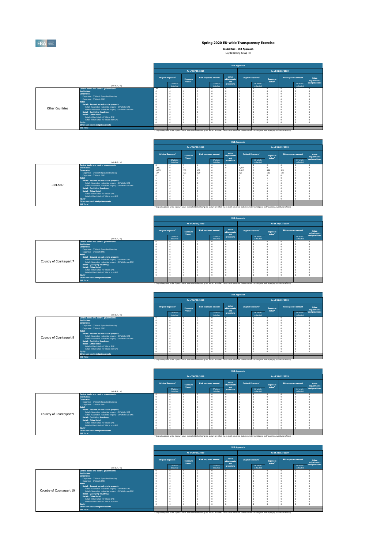

**Credit Risk - IRB Approach**

Lloyds Banking Group Plc

|                        |                                                              |    |                                       |                                       |                  |                             |                             | <b>IRB Approach</b> |                                |                                       |                  |                             |                      |
|------------------------|--------------------------------------------------------------|----|---------------------------------------|---------------------------------------|------------------|-----------------------------|-----------------------------|---------------------|--------------------------------|---------------------------------------|------------------|-----------------------------|----------------------|
|                        |                                                              |    |                                       |                                       | As of 30/09/2019 |                             |                             |                     |                                |                                       | As of 31/12/2019 |                             |                      |
|                        |                                                              |    | <b>Original Exposure</b> <sup>1</sup> | <b>Exposure</b><br>Value <sup>1</sup> |                  | <b>Risk exposure amount</b> | Value<br>adjustments<br>and |                     | Original Exposure <sup>1</sup> | <b>Exposure</b><br>Value <sup>1</sup> |                  | <b>Risk exposure amount</b> | Value<br>adjustments |
|                        | (mln EUR, %)                                                 |    | Of which:<br>defaulted                |                                       |                  | Of which:<br>defaulted      | <b>provisions</b>           |                     | Of which:<br>defaulted         |                                       |                  | Of which:<br>defaulted      | and provisions       |
|                        | <b>Central banks and central governments</b>                 | 39 |                                       |                                       |                  |                             |                             |                     |                                |                                       |                  |                             |                      |
|                        | <b>Institutions</b>                                          |    |                                       |                                       |                  |                             |                             |                     |                                |                                       |                  |                             |                      |
|                        | <b>Corporates</b>                                            |    |                                       |                                       |                  |                             |                             |                     |                                |                                       |                  |                             |                      |
|                        | Corporates - Of Which: Specialised Lending                   |    |                                       |                                       |                  |                             |                             |                     |                                |                                       |                  |                             |                      |
|                        | Corporates - Of Which: SME                                   |    |                                       |                                       |                  |                             |                             |                     |                                |                                       |                  |                             |                      |
|                        | <b>Retail</b>                                                |    |                                       |                                       |                  |                             |                             |                     |                                |                                       |                  |                             |                      |
|                        | Retail - Secured on real estate property                     |    |                                       |                                       |                  |                             |                             |                     |                                |                                       |                  |                             |                      |
|                        | Retail - Secured on real estate property - Of Which: SME     |    |                                       |                                       |                  |                             |                             |                     |                                |                                       |                  |                             |                      |
| <b>Other Countries</b> | Retail - Secured on real estate property - Of Which: non-SME |    |                                       |                                       |                  |                             |                             |                     |                                |                                       |                  |                             |                      |
|                        | <b>Retail - Qualifying Revolving</b>                         |    |                                       |                                       |                  |                             |                             |                     |                                |                                       |                  |                             |                      |
|                        | <b>Retail - Other Retail</b>                                 |    |                                       |                                       |                  |                             |                             |                     |                                |                                       |                  |                             |                      |
|                        | Retail - Other Retail - Of Which: SME                        |    |                                       |                                       |                  |                             |                             |                     |                                |                                       |                  |                             |                      |
|                        | Retail - Other Retail - Of Which: non-SME                    |    |                                       |                                       |                  |                             |                             |                     |                                |                                       |                  |                             |                      |
|                        | <b>Equity</b>                                                |    |                                       |                                       |                  |                             |                             |                     |                                |                                       |                  |                             |                      |
|                        | Other non credit-obligation assets                           |    |                                       |                                       |                  |                             |                             |                     |                                |                                       |                  |                             |                      |
|                        | <b>IRB Total</b>                                             |    |                                       |                                       |                  |                             |                             |                     |                                |                                       |                  |                             |                      |

|                |                                                              |        |                                |                 |                  |                             |                             | <b>IRB Approach</b> |                                       |                    |                  |                             |                      |
|----------------|--------------------------------------------------------------|--------|--------------------------------|-----------------|------------------|-----------------------------|-----------------------------|---------------------|---------------------------------------|--------------------|------------------|-----------------------------|----------------------|
|                |                                                              |        |                                |                 | As of 30/09/2019 |                             |                             |                     |                                       |                    | As of 31/12/2019 |                             |                      |
|                |                                                              |        | Original Exposure <sup>1</sup> | <b>Exposure</b> |                  | <b>Risk exposure amount</b> | <b>Value</b><br>adjustments |                     | <b>Original Exposure</b> <sup>1</sup> | <b>Exposure</b>    |                  | <b>Risk exposure amount</b> | Value<br>adjustments |
|                | (mln EUR, %)                                                 |        | Of which:<br>defaulted         | Value $1$       |                  | Of which:<br>defaulted      | and<br><b>provisions</b>    |                     | Of which:<br>defaulted                | Value <sup>1</sup> |                  | Of which:<br>defaulted      | and provisions       |
|                | <b>Central banks and central governments</b>                 | 8      |                                |                 |                  |                             |                             |                     |                                       |                    |                  |                             |                      |
|                | <b>Institutions</b>                                          | 1,663  |                                |                 |                  |                             |                             | 1,032               |                                       |                    |                  |                             |                      |
|                | <b>Corporates</b>                                            | 10,531 |                                | 772             | 472              |                             |                             | 9,417               |                                       | 859                | 528              |                             |                      |
|                | Corporates - Of Which: Specialised Lending                   | 127    |                                | 123             | 129              |                             |                             | 129                 |                                       | 126                | 132              |                             |                      |
|                | Corporates - Of Which: SME                                   |        |                                |                 |                  |                             |                             |                     |                                       |                    |                  |                             |                      |
|                | <b>Retail</b>                                                |        |                                |                 |                  |                             |                             |                     |                                       |                    |                  |                             |                      |
|                | Retail - Secured on real estate property                     |        |                                |                 |                  |                             |                             |                     |                                       |                    |                  |                             |                      |
|                | Retail - Secured on real estate property - Of Which: SME     |        |                                |                 |                  |                             |                             |                     |                                       |                    |                  |                             |                      |
| <b>IRELAND</b> | Retail - Secured on real estate property - Of Which: non-SME |        |                                |                 |                  |                             |                             |                     |                                       |                    |                  |                             |                      |
|                | <b>Retail - Qualifying Revolving</b>                         |        |                                |                 |                  |                             |                             |                     |                                       |                    |                  |                             |                      |
|                | <b>Retail - Other Retail</b>                                 |        |                                |                 |                  |                             |                             |                     |                                       |                    |                  |                             |                      |
|                | Retail - Other Retail - Of Which: SME                        |        |                                |                 |                  |                             |                             |                     |                                       |                    |                  |                             |                      |
|                | Retail - Other Retail - Of Which: non-SME                    |        |                                |                 |                  |                             |                             |                     |                                       |                    |                  |                             |                      |
|                | <b>Equity</b>                                                |        |                                |                 |                  |                             |                             |                     |                                       |                    |                  |                             |                      |
|                | Other non credit-obligation assets                           |        |                                |                 |                  |                             |                             |                     |                                       |                    |                  |                             |                      |
|                | <b>IRB Total</b>                                             |        |                                |                 |                  |                             |                             |                     |                                       |                    |                  |                             |                      |

 $^{(1)}$  Original exposure, unlike Exposure value, is reported before taking into account any effect due to credit conversion factors or credit risk mitigation techniques (e.g. substitution effects).

|                          |                                                              | <b>IRB Approach</b> |                                       |                                       |                  |                             |                             |  |                                |                                       |                  |                        |                      |
|--------------------------|--------------------------------------------------------------|---------------------|---------------------------------------|---------------------------------------|------------------|-----------------------------|-----------------------------|--|--------------------------------|---------------------------------------|------------------|------------------------|----------------------|
|                          |                                                              |                     |                                       |                                       | As of 30/09/2019 |                             |                             |  |                                |                                       | As of 31/12/2019 |                        |                      |
|                          |                                                              |                     | <b>Original Exposure</b> <sup>1</sup> | <b>Exposure</b><br>Value <sup>1</sup> |                  | <b>Risk exposure amount</b> | Value<br>adjustments<br>and |  | Original Exposure <sup>1</sup> | <b>Exposure</b><br>Value <sup>1</sup> |                  | Risk exposure amount   | Value<br>adjustments |
|                          | (mln EUR, %)                                                 |                     | Of which:<br>defaulted                |                                       |                  | Of which:<br>defaulted      | provisions                  |  | Of which:<br>defaulted         |                                       |                  | Of which:<br>defaulted | and provisions       |
|                          | <b>Central banks and central governments</b>                 |                     |                                       |                                       |                  |                             |                             |  |                                |                                       |                  |                        |                      |
|                          | <b>Institutions</b>                                          |                     |                                       |                                       |                  |                             |                             |  |                                |                                       |                  |                        |                      |
|                          | <b>Corporates</b>                                            |                     |                                       |                                       |                  |                             |                             |  |                                |                                       |                  |                        |                      |
|                          | Corporates - Of Which: Specialised Lending                   |                     |                                       |                                       |                  |                             |                             |  |                                |                                       |                  |                        |                      |
|                          | Corporates - Of Which: SME                                   |                     |                                       |                                       |                  |                             |                             |  |                                |                                       |                  |                        |                      |
|                          | <b>Retail</b>                                                |                     |                                       |                                       |                  |                             |                             |  |                                |                                       |                  |                        |                      |
|                          | Retail - Secured on real estate property                     |                     |                                       |                                       |                  |                             |                             |  |                                |                                       |                  |                        |                      |
|                          | Retail - Secured on real estate property - Of Which: SME     |                     |                                       |                                       |                  |                             |                             |  |                                |                                       |                  |                        |                      |
| Country of Counterpart 7 | Retail - Secured on real estate property - Of Which: non-SME |                     |                                       |                                       |                  |                             |                             |  |                                |                                       |                  |                        |                      |
|                          | <b>Retail - Qualifying Revolving</b>                         |                     |                                       |                                       |                  |                             |                             |  |                                |                                       |                  |                        |                      |
|                          | <b>Retail - Other Retail</b>                                 |                     |                                       |                                       |                  |                             |                             |  |                                |                                       |                  |                        |                      |
|                          | Retail - Other Retail - Of Which: SME                        |                     |                                       |                                       |                  |                             |                             |  |                                |                                       |                  |                        |                      |
|                          | Retail - Other Retail - Of Which: non-SME                    |                     |                                       |                                       |                  |                             |                             |  |                                |                                       |                  |                        |                      |
|                          | <b>Equity</b>                                                |                     |                                       |                                       |                  |                             |                             |  |                                |                                       |                  | -0                     |                      |
|                          | Other non credit-obligation assets                           |                     |                                       |                                       |                  |                             |                             |  |                                |                                       |                  |                        |                      |
|                          | <b>IRB Total</b>                                             |                     |                                       |                                       |                  |                             |                             |  |                                |                                       |                  |                        |                      |

<sup>(1)</sup> Original exposure, unlike Exposure value, is reported before taking into account any effect due to credit conversion factors or credit risk mitigation techniques (e.g. substitution effects).

|                                 |                                                              |                |                                       |                                       |                  |                             |                                    | <b>IRB Approach</b> |                                       |                                       |                  |                             |                      |
|---------------------------------|--------------------------------------------------------------|----------------|---------------------------------------|---------------------------------------|------------------|-----------------------------|------------------------------------|---------------------|---------------------------------------|---------------------------------------|------------------|-----------------------------|----------------------|
|                                 |                                                              |                |                                       |                                       | As of 30/09/2019 |                             |                                    |                     |                                       |                                       | As of 31/12/2019 |                             |                      |
|                                 |                                                              |                | <b>Original Exposure</b> <sup>1</sup> | <b>Exposure</b><br>Value <sup>1</sup> |                  | <b>Risk exposure amount</b> | <b>Value</b><br>adjustments<br>and |                     | <b>Original Exposure</b> <sup>1</sup> | <b>Exposure</b><br>Value <sup>1</sup> |                  | <b>Risk exposure amount</b> | Value<br>adjustments |
|                                 | (mln EUR, %)                                                 |                | Of which:<br>defaulted                |                                       |                  | Of which:<br>defaulted      | provisions                         |                     | Of which:<br>defaulted                |                                       |                  | Of which:<br>defaulted      | and provisions       |
|                                 | <b>Central banks and central governments</b>                 | $\overline{0}$ |                                       |                                       |                  |                             | $\mathbf{0}$                       |                     |                                       |                                       | $\overline{0}$   |                             |                      |
|                                 | <b>Institutions</b>                                          |                |                                       |                                       |                  |                             |                                    |                     |                                       |                                       |                  |                             |                      |
|                                 | <b>Corporates</b>                                            |                |                                       |                                       |                  |                             |                                    |                     |                                       |                                       |                  |                             |                      |
|                                 | Corporates - Of Which: Specialised Lending                   |                |                                       |                                       |                  |                             |                                    |                     |                                       |                                       |                  |                             |                      |
|                                 | Corporates - Of Which: SME                                   |                |                                       |                                       |                  |                             |                                    |                     |                                       |                                       |                  |                             |                      |
|                                 | <b>Retail</b>                                                |                |                                       |                                       |                  |                             |                                    |                     |                                       |                                       |                  |                             |                      |
|                                 | Retail - Secured on real estate property                     |                |                                       |                                       |                  |                             |                                    |                     |                                       |                                       |                  |                             |                      |
| <b>Country of Counterpart 8</b> | Retail - Secured on real estate property - Of Which: SME     |                |                                       |                                       |                  |                             |                                    |                     |                                       |                                       |                  |                             |                      |
|                                 | Retail - Secured on real estate property - Of Which: non-SME |                |                                       |                                       |                  |                             |                                    |                     |                                       |                                       |                  |                             |                      |
|                                 | <b>Retail - Qualifying Revolving</b>                         |                |                                       |                                       |                  |                             |                                    |                     |                                       |                                       |                  |                             |                      |
|                                 | <b>Retail - Other Retail</b>                                 |                |                                       |                                       |                  |                             |                                    |                     |                                       |                                       |                  |                             |                      |
|                                 | Retail - Other Retail - Of Which: SME                        |                |                                       |                                       |                  |                             |                                    |                     |                                       |                                       |                  |                             |                      |
|                                 | Retail - Other Retail - Of Which: non-SME                    |                |                                       |                                       |                  |                             |                                    |                     |                                       |                                       |                  |                             |                      |
|                                 | <b>Equity</b>                                                |                |                                       |                                       |                  |                             |                                    |                     |                                       |                                       |                  |                             |                      |
|                                 | Other non credit-obligation assets                           |                |                                       |                                       |                  |                             |                                    |                     |                                       |                                       |                  |                             |                      |
|                                 | <b>IRB Total</b>                                             |                |                                       |                                       |                  |                             |                                    |                     |                                       |                                       |                  |                             |                      |

 $^{(1)}$  Original exposure, unlike Exposure value, is reported before taking into account any effect due to credit conversion factors or credit risk mitigation techniques (e.g. substitution effects).

|                          |                                                              | <b>IRB Approach</b>                                  |                        |                 |                             |                        |                             |                                       |                        |                                       |                  |                             |                      |
|--------------------------|--------------------------------------------------------------|------------------------------------------------------|------------------------|-----------------|-----------------------------|------------------------|-----------------------------|---------------------------------------|------------------------|---------------------------------------|------------------|-----------------------------|----------------------|
|                          |                                                              |                                                      |                        |                 | As of 30/09/2019            |                        |                             |                                       |                        |                                       | As of 31/12/2019 |                             |                      |
|                          |                                                              | Original Exposure <sup>1</sup><br>Value <sup>1</sup> |                        | <b>Exposure</b> | <b>Risk exposure amount</b> |                        | Value<br>adjustments<br>and | <b>Original Exposure</b> <sup>1</sup> |                        | <b>Exposure</b><br>Value <sup>1</sup> |                  | <b>Risk exposure amount</b> | Value<br>adjustments |
|                          | (mln EUR, %)                                                 |                                                      | Of which:<br>defaulted |                 |                             | Of which:<br>defaulted | <b>provisions</b>           |                                       | Of which:<br>defaulted |                                       |                  | Of which:<br>defaulted      | and provisions       |
|                          | <b>Central banks and central governments</b>                 | $\overline{0}$                                       |                        |                 | $\overline{0}$              | $\Omega$               |                             |                                       |                        |                                       | $\overline{0}$   | $\mathbf{0}$                |                      |
|                          | <b>Institutions</b>                                          |                                                      |                        |                 |                             | $\Omega$               |                             |                                       |                        |                                       | $\overline{0}$   | - 0                         |                      |
|                          | <b>Corporates</b>                                            |                                                      |                        |                 |                             |                        |                             |                                       |                        |                                       | 0                |                             |                      |
|                          | Corporates - Of Which: Specialised Lending                   |                                                      |                        |                 |                             |                        |                             |                                       |                        |                                       | 0                |                             |                      |
|                          | Corporates - Of Which: SME                                   |                                                      |                        |                 |                             |                        |                             |                                       |                        |                                       |                  |                             |                      |
|                          | <b>Retail</b>                                                |                                                      |                        |                 |                             |                        |                             |                                       |                        |                                       |                  |                             |                      |
|                          | Retail - Secured on real estate property                     |                                                      |                        |                 |                             |                        |                             |                                       |                        |                                       |                  |                             |                      |
| Country of Counterpart 9 | Retail - Secured on real estate property - Of Which: SME     |                                                      |                        |                 |                             |                        |                             |                                       |                        |                                       |                  |                             |                      |
|                          | Retail - Secured on real estate property - Of Which: non-SME |                                                      |                        |                 |                             |                        |                             |                                       |                        |                                       |                  |                             |                      |
|                          | <b>Retail - Qualifying Revolving</b>                         |                                                      |                        |                 |                             |                        |                             |                                       |                        |                                       |                  |                             |                      |
|                          | <b>Retail - Other Retail</b>                                 |                                                      |                        |                 |                             |                        |                             |                                       |                        |                                       | 0                |                             |                      |
|                          | Retail - Other Retail - Of Which: SME                        |                                                      |                        |                 |                             |                        |                             |                                       |                        |                                       | 0                |                             |                      |
|                          | Retail - Other Retail - Of Which: non-SME                    |                                                      |                        |                 |                             |                        |                             |                                       |                        |                                       |                  |                             |                      |
|                          | <b>Equity</b>                                                |                                                      |                        |                 |                             |                        |                             |                                       |                        |                                       |                  |                             |                      |
|                          | Other non credit-obligation assets                           |                                                      |                        |                 |                             |                        |                             |                                       |                        |                                       |                  |                             |                      |
|                          | <b>IRB Total</b>                                             |                                                      |                        |                 |                             |                        |                             |                                       |                        |                                       |                  |                             |                      |

<sup>(1)</sup> Original exposure, unlike Exposure value, is reported before taking into account any effect due to credit conversion factors or credit risk mitigation techniques (e.g. substitution effects).

|                           |                                                              | <b>IRB Approach</b>                   |                                                                                                                                                                                                        |                                       |                             |                        |                                    |                                |                        |                                       |                             |                        |                      |
|---------------------------|--------------------------------------------------------------|---------------------------------------|--------------------------------------------------------------------------------------------------------------------------------------------------------------------------------------------------------|---------------------------------------|-----------------------------|------------------------|------------------------------------|--------------------------------|------------------------|---------------------------------------|-----------------------------|------------------------|----------------------|
|                           |                                                              |                                       |                                                                                                                                                                                                        |                                       | As of 30/09/2019            |                        |                                    |                                |                        |                                       | As of $31/12/2019$          |                        |                      |
|                           |                                                              | <b>Original Exposure</b> <sup>1</sup> |                                                                                                                                                                                                        | <b>Exposure</b><br>Value <sup>1</sup> | <b>Risk exposure amount</b> |                        | <b>Value</b><br>adjustments<br>and | Original Exposure <sup>1</sup> |                        | <b>Exposure</b><br>Value <sup>1</sup> | <b>Risk exposure amount</b> |                        | Value<br>adjustments |
|                           | (mln EUR, %)                                                 |                                       | Of which:<br>defaulted                                                                                                                                                                                 |                                       |                             | Of which:<br>defaulted | <b>provisions</b>                  |                                | Of which:<br>defaulted |                                       |                             | Of which:<br>defaulted | and provisions       |
|                           | <b>Central banks and central governments</b>                 | $\bf{0}$                              |                                                                                                                                                                                                        | $\overline{0}$                        | $\overline{0}$              |                        |                                    |                                |                        |                                       | $\overline{0}$              |                        |                      |
|                           | <b>Institutions</b>                                          |                                       |                                                                                                                                                                                                        |                                       |                             |                        |                                    |                                |                        |                                       |                             |                        |                      |
|                           | <b>Corporates</b>                                            |                                       |                                                                                                                                                                                                        |                                       |                             |                        |                                    |                                |                        |                                       |                             |                        |                      |
|                           | Corporates - Of Which: Specialised Lending                   |                                       |                                                                                                                                                                                                        |                                       |                             |                        |                                    |                                |                        |                                       |                             |                        |                      |
|                           | Corporates - Of Which: SME                                   |                                       |                                                                                                                                                                                                        |                                       |                             |                        |                                    |                                |                        |                                       |                             |                        |                      |
|                           | <b>Retail</b>                                                |                                       |                                                                                                                                                                                                        |                                       |                             |                        |                                    |                                |                        |                                       |                             |                        |                      |
|                           | Retail - Secured on real estate property                     |                                       |                                                                                                                                                                                                        |                                       |                             |                        |                                    |                                |                        |                                       |                             |                        |                      |
| Country of Counterpart 10 | Retail - Secured on real estate property - Of Which: SME     |                                       |                                                                                                                                                                                                        |                                       |                             |                        |                                    |                                |                        |                                       |                             |                        |                      |
|                           | Retail - Secured on real estate property - Of Which: non-SME |                                       |                                                                                                                                                                                                        |                                       |                             |                        |                                    |                                |                        |                                       |                             |                        |                      |
|                           | <b>Retail - Qualifying Revolving</b>                         |                                       |                                                                                                                                                                                                        |                                       |                             |                        |                                    |                                |                        |                                       |                             |                        |                      |
|                           | Retail - Other Retail                                        |                                       |                                                                                                                                                                                                        |                                       |                             |                        |                                    |                                |                        |                                       |                             |                        |                      |
|                           | Retail - Other Retail - Of Which: SME                        |                                       |                                                                                                                                                                                                        |                                       |                             |                        |                                    |                                |                        |                                       |                             |                        |                      |
|                           | Retail - Other Retail - Of Which: non-SME                    |                                       |                                                                                                                                                                                                        |                                       |                             |                        |                                    |                                |                        |                                       |                             |                        |                      |
|                           | <b>Equity</b>                                                | $\overline{0}$                        |                                                                                                                                                                                                        |                                       |                             |                        |                                    |                                |                        |                                       |                             |                        |                      |
|                           | Other non credit-obligation assets                           |                                       |                                                                                                                                                                                                        |                                       |                             |                        |                                    |                                |                        |                                       |                             |                        |                      |
|                           | <b>IRB Total</b>                                             |                                       |                                                                                                                                                                                                        |                                       |                             |                        |                                    |                                |                        |                                       |                             |                        |                      |
|                           |                                                              |                                       | $^{(1)}$ Original experience unlike Experies value is reported before taking into account any effect due to credit conversion factors or credit rick mitigation tochniques (e.g. substitution effects) |                                       |                             |                        |                                    |                                |                        |                                       |                             |                        |                      |

 $^{1}$  Original exposure, unlike Exposure value, is reported before taking into account any effect due to credit conversion factors or credit risk mitigation techniques (e.g. substitution effects).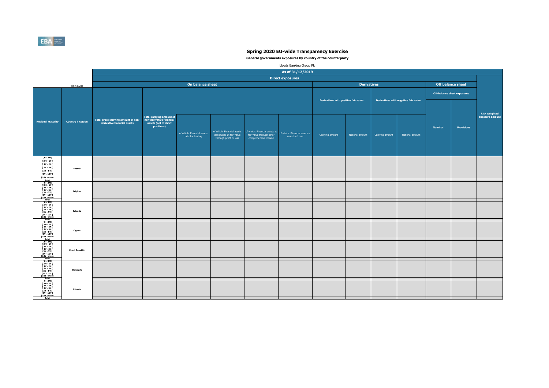|                                                                                                                                                                                                                                                                        |                         |                                                                    |                                                                                            |                                                |                                                                                  |                                                                                                                    | As of 31/12/2019        |                                      |                    |                 |                                      |                |                                    |                                        |
|------------------------------------------------------------------------------------------------------------------------------------------------------------------------------------------------------------------------------------------------------------------------|-------------------------|--------------------------------------------------------------------|--------------------------------------------------------------------------------------------|------------------------------------------------|----------------------------------------------------------------------------------|--------------------------------------------------------------------------------------------------------------------|-------------------------|--------------------------------------|--------------------|-----------------|--------------------------------------|----------------|------------------------------------|----------------------------------------|
|                                                                                                                                                                                                                                                                        |                         |                                                                    |                                                                                            |                                                |                                                                                  |                                                                                                                    | <b>Direct exposures</b> |                                      |                    |                 |                                      |                |                                    |                                        |
|                                                                                                                                                                                                                                                                        | (mln EUR)               |                                                                    |                                                                                            | On balance sheet                               |                                                                                  |                                                                                                                    |                         |                                      | <b>Derivatives</b> |                 |                                      |                | <b>Off balance sheet</b>           |                                        |
|                                                                                                                                                                                                                                                                        |                         |                                                                    |                                                                                            |                                                |                                                                                  |                                                                                                                    |                         | Derivatives with positive fair value |                    |                 | Derivatives with negative fair value |                | <b>Off-balance sheet exposures</b> |                                        |
| <b>idual Maturity</b><br>$[0 - 3M]$                                                                                                                                                                                                                                    | <b>Country / Region</b> | Total gross carrying amount of non-<br>derivative financial assets | Total carrying amount of<br>non-derivative financial<br>assets (net of short<br>positions) | of which: Financial assets<br>held for trading | of which: Financial assets<br>designated at fair value<br>through profit or loss | of which: Financial assets at<br>of which: Financial assets at<br>fair value through other<br>comprehensive income | amortised cost          | Carrying amount                      | Notional amount    | Carrying amount | Notional amount                      | <b>Nominal</b> | <b>Provisions</b>                  | <b>Risk weighted</b><br>exposure amoun |
| $[3M - 1Y]$<br>[ 1Y - 2Y [<br>[ 2Y - 3Y [<br>[3Y - 5Y [<br>[5Y - 10Y [                                                                                                                                                                                                 | <b>Austria</b>          |                                                                    |                                                                                            |                                                |                                                                                  |                                                                                                                    |                         |                                      |                    |                 |                                      |                |                                    |                                        |
|                                                                                                                                                                                                                                                                        | <b>Belgium</b>          |                                                                    |                                                                                            |                                                |                                                                                  |                                                                                                                    |                         |                                      |                    |                 |                                      |                |                                    |                                        |
|                                                                                                                                                                                                                                                                        | <b>Bulgaria</b>         |                                                                    |                                                                                            |                                                |                                                                                  |                                                                                                                    |                         |                                      |                    |                 |                                      |                |                                    |                                        |
|                                                                                                                                                                                                                                                                        | <b>Cyprus</b>           |                                                                    |                                                                                            |                                                |                                                                                  |                                                                                                                    |                         |                                      |                    |                 |                                      |                |                                    |                                        |
|                                                                                                                                                                                                                                                                        | <b>Czech Republic</b>   |                                                                    |                                                                                            |                                                |                                                                                  |                                                                                                                    |                         |                                      |                    |                 |                                      |                |                                    |                                        |
|                                                                                                                                                                                                                                                                        | <b>Denmark</b>          |                                                                    |                                                                                            |                                                |                                                                                  |                                                                                                                    |                         |                                      |                    |                 |                                      |                |                                    |                                        |
| [10Y - more<br>Total<br>[0 - 3M [<br>[3M - 1Y [<br>[3M - 1Y [<br>[2Y - 3Y [<br>[3Y - 5Y [<br>[3Y - 10Y [<br>[10Y - more<br>Total<br>[0 - 3M [<br>[10Y - more<br>Total<br>[0 - 3M [<br>[3W - 1Y [<br>[10Y - more<br>Total<br>[0 - 3M [<br>[3M - 1Y [<br>[10Y - more<br> | <b>Estonia</b>          |                                                                    |                                                                                            |                                                |                                                                                  |                                                                                                                    |                         |                                      |                    |                 |                                      |                |                                    |                                        |



|                                                                                                                                     |                         |                                                                    |                                                                                                   | <b>On balance :</b>                            |
|-------------------------------------------------------------------------------------------------------------------------------------|-------------------------|--------------------------------------------------------------------|---------------------------------------------------------------------------------------------------|------------------------------------------------|
|                                                                                                                                     | (mln EUR)               |                                                                    |                                                                                                   |                                                |
| <b>Residual Maturity</b>                                                                                                            | <b>Country / Region</b> | Total gross carrying amount of non-<br>derivative financial assets | <b>Total carrying amount of</b><br>non-derivative financial<br>assets (net of short<br>positions) | of which: Financial assets<br>held for trading |
| [ 0 - 3M [<br>[ 3M - 1Y [<br>$[1Y - 2Y]$<br>[ 2Y - 3Y [<br>[3Y - 5Y [<br>$[5Y - 10Y]$<br>[10Y - more<br><b>Total</b>                | <b>Austria</b>          |                                                                    |                                                                                                   |                                                |
| $[0 - 3M]$<br>$[3M - 1Y]$<br>$[1Y - 2Y]$<br>[ 2Y - 3Y [<br>[3Y - 5Y [<br>[5Y - 10Y [<br>[10Y - more<br><b>Total</b>                 | <b>Belgium</b>          |                                                                    |                                                                                                   |                                                |
| $[0 - 3M]$<br>[ 3M - 1Y [<br>$[1Y - 2Y]$<br>$[2Y - 3Y]$<br>[3Y - 5Y [<br>[5Y - 10Y [<br>[10Y - more<br><b>Total</b>                 | <b>Bulgaria</b>         |                                                                    |                                                                                                   |                                                |
| $[0 - 3M]$<br>$[3M - 1Y]$<br>$[1Y - 2Y]$<br>$[2Y - 3Y]$<br>$[3Y - 5Y]$<br>[5Y - 10Y [<br>[10Y - more<br><b>Total</b>                | <b>Cyprus</b>           |                                                                    |                                                                                                   |                                                |
| $[0 - 3M]$<br>$[3M - 1Y]$<br>$[1Y - 2Y]$<br>[ 2Y - 3Y [<br>[3Y - 5Y [<br>$[5Y - 10Y]$<br>[10Y - more<br><b>Total</b>                | <b>Czech Republic</b>   |                                                                    |                                                                                                   |                                                |
| $[0 - 3M]$<br>[ 3M - 1Y [<br>$[1Y - 2Y]$<br>[ 2Y - 3Y [<br>$[3Y - 5Y]$<br>[5Y - 10Y [<br>[10Y - more                                | <b>Denmark</b>          |                                                                    |                                                                                                   |                                                |
| <b>Total</b><br>$[0 - 3M]$<br>[ 3M - 1Y [<br>$[1Y - 2Y]$<br>[ 2Y - 3Y [<br>$[3Y - 5Y$ $[$<br>[5Y - 10Y [<br>[10Y - more<br>$To$ tal | Estonia                 |                                                                    |                                                                                                   |                                                |

 **General governments exposures by country of the counterparty** 

|           |                | <b>Off balance sheet</b>           |                                         |
|-----------|----------------|------------------------------------|-----------------------------------------|
|           |                | <b>Off-balance sheet exposures</b> |                                         |
| air value |                |                                    |                                         |
|           |                |                                    | <b>Risk weighted</b><br>exposure amount |
|           | <b>Nominal</b> | <b>Provisions</b>                  |                                         |
| I amount  |                |                                    |                                         |
|           |                |                                    |                                         |
|           |                |                                    |                                         |
|           |                |                                    |                                         |
|           |                |                                    |                                         |
|           |                |                                    |                                         |
|           |                |                                    |                                         |
|           |                |                                    |                                         |
|           |                |                                    |                                         |
|           |                |                                    |                                         |
|           |                |                                    |                                         |
|           |                |                                    |                                         |
|           |                |                                    |                                         |
|           |                |                                    |                                         |
|           |                |                                    |                                         |
|           |                |                                    |                                         |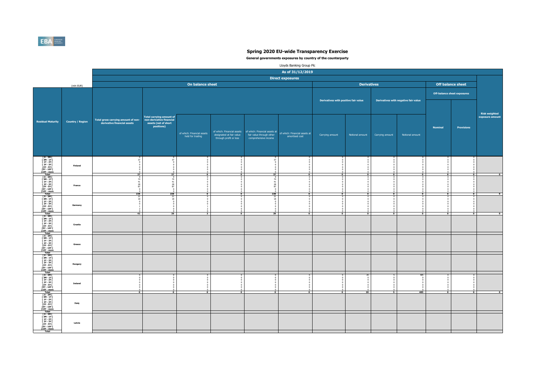**General governments exposures by country of the counterparty** 

|                                                                    |                                                                                     | <b>Off balance sheet</b>                            |                                         |
|--------------------------------------------------------------------|-------------------------------------------------------------------------------------|-----------------------------------------------------|-----------------------------------------|
|                                                                    |                                                                                     |                                                     |                                         |
| air value                                                          |                                                                                     | <b>Off-balance sheet exposures</b>                  |                                         |
|                                                                    |                                                                                     |                                                     |                                         |
|                                                                    |                                                                                     |                                                     | <b>Risk weighted</b><br>exposure amount |
|                                                                    | <b>Nominal</b>                                                                      | <b>Provisions</b>                                   |                                         |
| I amount                                                           |                                                                                     |                                                     |                                         |
|                                                                    |                                                                                     |                                                     |                                         |
| $\pmb{0}$                                                          | $\pmb{0}$                                                                           | 0                                                   |                                         |
| $\pmb{0}$<br>$\pmb{0}$<br>$\pmb{0}$<br>$\pmb{0}$                   | $\pmb{0}$<br>$\pmb{0}$<br>$\pmb{0}$<br>$\pmb{0}$                                    | $\pmb{0}$<br>$\pmb{0}$<br>$\pmb{0}$<br>$\pmb{0}$    |                                         |
| $\pmb{0}$<br>0<br>$\overline{\mathbf{0}}$                          | $\pmb{0}$<br>$\Omega$<br>$\overline{\mathbf{0}}$                                    | $\pmb{0}$<br>$\bf{0}$<br>$\overline{\mathbf{0}}$    | $\overline{\mathbf{0}}$                 |
| 000000                                                             | $\begin{matrix}0\0\0\end{matrix}$                                                   | 000000                                              |                                         |
| $\overline{\mathbf{0}}$                                            | $\begin{matrix} 0 \\ 0 \\ 0 \\ 0 \end{matrix}$<br>$\overline{\mathbf{0}}$           | $\overline{\mathbf{0}}$                             | $\pmb{0}$                               |
| 00000000                                                           | $\begin{matrix} 0 \\ 0 \end{matrix}$<br>$\begin{smallmatrix}0\0\0\end{smallmatrix}$ | $\overline{0}$<br>$00000000$                        |                                         |
| $\overline{\mathbf{0}}$                                            | $\begin{matrix} 0 \\ 0 \\ 0 \end{matrix}$<br>$\overline{\mathbf{0}}$                | $\overline{\mathbf{0}}$                             | $\overline{\mathbf{0}}$                 |
|                                                                    |                                                                                     |                                                     |                                         |
|                                                                    |                                                                                     |                                                     |                                         |
|                                                                    |                                                                                     |                                                     |                                         |
|                                                                    |                                                                                     |                                                     |                                         |
|                                                                    |                                                                                     |                                                     |                                         |
|                                                                    |                                                                                     |                                                     |                                         |
| 485<br>$\pmb{0}$                                                   | V<br>$\bf{0}$<br>$\pmb{0}$                                                          | U<br>$\begin{matrix} 0 \\ 0 \end{matrix}$           |                                         |
| $\begin{matrix} 0 \\ 0 \\ 0 \end{matrix}$<br>$\bf{0}$<br>$\pmb{0}$ | $\bf{0}$<br>$\bf{0}$<br>$\bf{0}$<br>$\overline{0}$                                  | $\begin{matrix}0\0\0\end{matrix}$<br>$\overline{0}$ |                                         |
| 485                                                                | $\overline{\mathbf{0}}$                                                             | $\overline{\mathbf{0}}$                             | $\pmb{0}$                               |
|                                                                    |                                                                                     |                                                     |                                         |
|                                                                    |                                                                                     |                                                     |                                         |
|                                                                    |                                                                                     |                                                     |                                         |
|                                                                    |                                                                                     |                                                     |                                         |



|                                                                                                                                                                                                                                                                                                                                                                                                      |                         | As of 31/12/2019                                                   |                                                                                            |                                                |                                                    |                                                                                                                                            |                                                     |                                      |                    |                                      |                          |                                    |                          |                      |
|------------------------------------------------------------------------------------------------------------------------------------------------------------------------------------------------------------------------------------------------------------------------------------------------------------------------------------------------------------------------------------------------------|-------------------------|--------------------------------------------------------------------|--------------------------------------------------------------------------------------------|------------------------------------------------|----------------------------------------------------|--------------------------------------------------------------------------------------------------------------------------------------------|-----------------------------------------------------|--------------------------------------|--------------------|--------------------------------------|--------------------------|------------------------------------|--------------------------|----------------------|
|                                                                                                                                                                                                                                                                                                                                                                                                      |                         |                                                                    |                                                                                            |                                                |                                                    |                                                                                                                                            | <b>Direct exposures</b>                             |                                      |                    |                                      |                          |                                    |                          |                      |
|                                                                                                                                                                                                                                                                                                                                                                                                      | (mln EUR)               |                                                                    |                                                                                            | On balance sheet                               |                                                    |                                                                                                                                            |                                                     |                                      | <b>Derivatives</b> |                                      |                          |                                    | <b>Off balance sheet</b> |                      |
|                                                                                                                                                                                                                                                                                                                                                                                                      |                         |                                                                    |                                                                                            |                                                |                                                    |                                                                                                                                            |                                                     | Derivatives with positive fair value |                    | Derivatives with negative fair value |                          | <b>Off-balance sheet exposures</b> |                          | <b>Risk weighted</b> |
| Residual Maturity                                                                                                                                                                                                                                                                                                                                                                                    | <b>Country / Region</b> | Total gross carrying amount of non-<br>derivative financial assets | Total carrying amount of<br>non-derivative financial<br>assets (net of short<br>positions) | of which: Financial assets<br>held for trading | designated at fair value<br>through profit or loss | of which: Financial assets of which: Financial assets at of which: Financial assets at<br>fair value through other<br>comprehensive income | amortised cost                                      | Carrying amount                      | Notional amount    | Carrying amount                      | Notional amount          | <b>Nominal</b>                     | <b>Provisions</b>        | exposure amoun       |
| [ 0 - 3M [<br>[ 3M - 1Y [<br>[ 1Y - 2Y [<br>[ 2Y - 3Y [<br>[3Y - 5Y [<br>[5Y - 10Y [<br>[10Y - more<br>Total                                                                                                                                                                                                                                                                                         | <b>Finland</b>          | $\overline{37}$                                                    | $\overline{37}$                                                                            | $\overline{\mathbf{o}}$                        | $\overline{\bullet}$                               | $\overline{37}$                                                                                                                            | $\overline{\phantom{a}}$ 0 $\overline{\phantom{a}}$ | $\mathbf 0$                          | $\mathbf{0}$       | $\overline{\mathbf{0}}$              | $\overline{\phantom{0}}$ | $\overline{\mathbf{0}}$            | $\overline{\phantom{0}}$ |                      |
| $\begin{array}{c} \hline 1.0 \text{cm} \\ \hline 0.3 \text{M} \\ 3 \text{M} - 1 \text{Y} \\ 4 \text{m} \\ 5 \text{M} - 2 \text{Y} \\ 5 \text{m} \\ 5 \text{Y} - 3 \text{Y} \\ 5 \text{m} \\ 5 \text{m} \\ 1 \text{m} \\ 1 \text{m} \\ 1 \text{m} \\ 1 \text{m} \\ 1 \text{m} \\ 1 \text{m} \\ 1 \text{m} \\ 1 \text{m} \\ 1 \text{m} \\ 1 \text{m} \\ 1 \text{m} \\ 1 \text{m} \\ 1 \text{m} \\ 1 \$ | <b>France</b>           | 238                                                                | 238                                                                                        | $\mathbf{0}$                                   | $\mathbf 0$                                        | 238                                                                                                                                        | . വ<br>$\mathbf{0}$                                 | $\mathbf 0$                          | $\mathbf{0}$       | $\bullet$                            | $\overline{\mathbf{0}}$  | $\mathbf 0$                        | $\overline{\mathbf{0}}$  |                      |
| [0 - 3M [<br>[3M - 1Y [<br>[1Y - 2Y [<br>[2Y - 3Y [<br>[3Y - 5Y [<br>[5Y - 10Y [<br>[10Y - more<br><b>Total</b>                                                                                                                                                                                                                                                                                      | Germany                 | 21<br>18<br>42                                                     | 21<br>18<br>$\overline{39}$                                                                | $\mathbf{3}$                                   | $\mathbf{0}$                                       | - 21<br>18<br>39                                                                                                                           | $\mathsf{a}$<br>. വ                                 | $\mathbf{0}$                         | $\mathbf{a}$       | $\bullet$                            | $\mathbf{0}$             | $\mathbf{0}$                       | $\overline{\mathbf{0}}$  |                      |
| [ 0 - 3M [<br>[ 3M - 1Y [<br>[ 1Y - 2Y [<br>[ 2Y - 3Y [<br>[3Y - 5Y [<br>[5Y - 10Y [<br><u>[10Y - more</u><br>Total                                                                                                                                                                                                                                                                                  | <b>Croatia</b>          |                                                                    |                                                                                            |                                                |                                                    |                                                                                                                                            |                                                     |                                      |                    |                                      |                          |                                    |                          |                      |
| $\begin{array}{r l} \hline 1 & . \cup \text{can} \\ \hline [0 - 3M [ \\ [3M - 1Y [ \\ [1Y - 2Y [ \\ [2Y - 3Y [ \\ [3Y - 5Y [ \\ [5Y - 10Y [ \\ [10Y - more \\ \hline \hline \text{Total}] \\\hline \end{array} \label{eq:1}$                                                                                                                                                                         | <b>Greece</b>           |                                                                    |                                                                                            |                                                |                                                    |                                                                                                                                            |                                                     |                                      |                    |                                      |                          |                                    |                          |                      |
| $\begin{array}{c} \hline 1 & 0.431 \\ 0 & -3M \\ 0 & 1 & 1 \end{array} \begin{bmatrix} 0 & -3M \\ 1 & 1 & 1 \end{bmatrix} \\ \hline 1 & 2 & 1 & 1 \end{bmatrix} \begin{bmatrix} 2 & 1 & -3 & 1 \end{bmatrix} \\ \hline 2 & 1 & 1 & 1 \end{bmatrix} \\ \hline 3 & 1 & 1 & 1 \end{bmatrix} \begin{bmatrix} 1 & 0 & 1 & 1 \end{bmatrix} \\ \hline 4 & 1 & 1 & 1 \end{bmatrix}$                          | <b>Hungary</b>          |                                                                    |                                                                                            |                                                |                                                    |                                                                                                                                            |                                                     |                                      |                    |                                      |                          |                                    |                          |                      |
| [ 0 - 3M [<br>[ 3M - 1Y [<br>[ 1Y - 2Y [<br>[ 2Y - 3Y [<br>[ 3Y - 5Y [<br>[ 5Y - 10Y [<br>[ 10Y - more<br><b>Total</b>                                                                                                                                                                                                                                                                               | <b>Ireland</b>          | n                                                                  | n.                                                                                         | $\Omega$                                       | $\bullet$                                          | $\overline{\mathbf{0}}$                                                                                                                    | $\overline{0}$                                      | $\overline{\mathbf{0}}$              | 20                 | $-5$                                 | 485<br>485               | $\overline{\mathbf{0}}$            | $\overline{\mathbf{0}}$  |                      |
| [0 - 3M [<br>[3M - 1Y [<br>[1Y - 2Y [<br>[2Y - 3Y [<br>[3Y - 5Y [<br>[5Y - 10Y [<br><u>[10Y - more</u><br>Total                                                                                                                                                                                                                                                                                      | <b>Italy</b>            |                                                                    |                                                                                            |                                                |                                                    |                                                                                                                                            |                                                     |                                      |                    |                                      |                          |                                    |                          |                      |
| $\begin{array}{ c c } \hline 10-3M & [ \\ \hline 3M-1Y & [ \\ \hline 1Y-2Y & [ \\ 2Y-3Y & [ \\ \hline 3Y-5Y & [ \\ \hline 5Y-10Y & [ \\ \hline 10Y-more \\ \hline Total \\ \hline \end{array}$                                                                                                                                                                                                       | Latvia                  |                                                                    |                                                                                            |                                                |                                                    |                                                                                                                                            |                                                     |                                      |                    |                                      |                          |                                    |                          |                      |

|                                                                                                                                                                                                                                                     |                         |                                                                    |                                                                                            |                                                |                                                    |                                                                                                                                            | As of 31/12/2019        |                                      |                          |                                         |                                         |                          |                                    |                                         |
|-----------------------------------------------------------------------------------------------------------------------------------------------------------------------------------------------------------------------------------------------------|-------------------------|--------------------------------------------------------------------|--------------------------------------------------------------------------------------------|------------------------------------------------|----------------------------------------------------|--------------------------------------------------------------------------------------------------------------------------------------------|-------------------------|--------------------------------------|--------------------------|-----------------------------------------|-----------------------------------------|--------------------------|------------------------------------|-----------------------------------------|
|                                                                                                                                                                                                                                                     |                         |                                                                    |                                                                                            |                                                |                                                    |                                                                                                                                            | <b>Direct exposures</b> |                                      |                          |                                         |                                         |                          |                                    |                                         |
|                                                                                                                                                                                                                                                     | (mln EUR)               |                                                                    |                                                                                            | On balance sheet                               |                                                    |                                                                                                                                            |                         |                                      | <b>Derivatives</b>       |                                         |                                         | <b>Off balance sheet</b> |                                    |                                         |
|                                                                                                                                                                                                                                                     |                         |                                                                    |                                                                                            |                                                |                                                    |                                                                                                                                            |                         | Derivatives with positive fair value |                          |                                         | Derivatives with negative fair value    |                          | <b>Off-balance sheet exposures</b> |                                         |
| <b>idual Maturity</b>                                                                                                                                                                                                                               | <b>Country / Region</b> | Total gross carrying amount of non-<br>derivative financial assets | Total carrying amount of<br>non-derivative financial<br>assets (net of short<br>positions) | of which: Financial assets<br>held for trading | designated at fair value<br>through profit or loss | of which: Financial assets of which: Financial assets at of which: Financial assets at<br>fair value through other<br>comprehensive income | amortised cost          | Carrying amount                      | Notional amount          | Carrying amount                         | Notional amount                         | <b>Nominal</b>           | <b>Provisions</b>                  | <b>Risk weighted</b><br>exposure amount |
|                                                                                                                                                                                                                                                     | <b>Finland</b>          | $\frac{0}{37}$                                                     | $\frac{8}{37}$                                                                             | $\frac{0}{0}$                                  |                                                    | $\frac{0}{0}$<br>$\overline{37}$                                                                                                           | $\mathbf{0}$            | $\frac{6}{10}$                       | $\overline{\bullet}$     |                                         |                                         | $\frac{0}{0}$            | $\frac{0}{\bullet}$                |                                         |
|                                                                                                                                                                                                                                                     | <b>France</b>           | 238                                                                | 238                                                                                        | $\overline{\bullet}$                           |                                                    | 238<br>$\bullet$                                                                                                                           | $\mathbf{0}$            | $\overline{\bullet}$                 | $\mathbf{0}$             | $\overline{\mathbf{o}}$<br>$\mathbf{0}$ | $\overline{\mathbf{0}}$<br>$\mathbf{0}$ | $\bullet$                | $\overline{\mathbf{0}}$            |                                         |
|                                                                                                                                                                                                                                                     | Germany                 | $-42$                                                              | $\overline{39}$                                                                            | $\overline{\mathbf{3}}$                        | $\overline{\mathbf{0}}$                            | 21<br>$\overline{39}$                                                                                                                      | $\bullet$               | $\overline{\mathbf{0}}$              | $\overline{\phantom{0}}$ | $\overline{\mathbf{o}}$                 | $\overline{\mathbf{0}}$                 | $\overline{\phantom{0}}$ | $\overline{\mathbf{o}}$            |                                         |
|                                                                                                                                                                                                                                                     | Croatia                 |                                                                    |                                                                                            |                                                |                                                    |                                                                                                                                            |                         |                                      |                          |                                         |                                         |                          |                                    |                                         |
|                                                                                                                                                                                                                                                     | <b>Greece</b>           |                                                                    |                                                                                            |                                                |                                                    |                                                                                                                                            |                         |                                      |                          |                                         |                                         |                          |                                    |                                         |
|                                                                                                                                                                                                                                                     | <b>Hungary</b>          |                                                                    |                                                                                            |                                                |                                                    |                                                                                                                                            |                         |                                      |                          |                                         |                                         |                          |                                    |                                         |
| [0 - 3M [<br>3M - 1Y [2Y - 3Y [<br>5M - 1Y [2Y - 3Y [<br>5N - 5Y [3Y - 5Y [<br>5N - 5Y [3Y - 10Y [10Y - more<br>10 - 3M [3M - 1Y [2Y - 3Y [3Y - 5Y [3Y - 5Y [3Y - 5Y [3Y - 5Y [3Y - 5Y [10Y - more<br>10 - 3M [3M - 1Y [2Y - 3Y [10Y - more<br>10 - | <b>Ireland</b>          | $\mathbf{a}$                                                       | $\mathbf{0}$                                                                               | $\overline{\mathbf{0}}$                        | $\bullet$                                          | $\overline{\mathbf{0}}$                                                                                                                    | $\mathbf{0}$            | $\overline{\mathbf{0}}$              | 20                       | 5                                       | 485                                     | $\overline{\mathbf{0}}$  | $\overline{\mathbf{0}}$            |                                         |
|                                                                                                                                                                                                                                                     | Italy                   |                                                                    |                                                                                            |                                                |                                                    |                                                                                                                                            |                         |                                      |                          |                                         |                                         |                          |                                    |                                         |
|                                                                                                                                                                                                                                                     | Latvia                  |                                                                    |                                                                                            |                                                |                                                    |                                                                                                                                            |                         |                                      |                          |                                         |                                         |                          |                                    |                                         |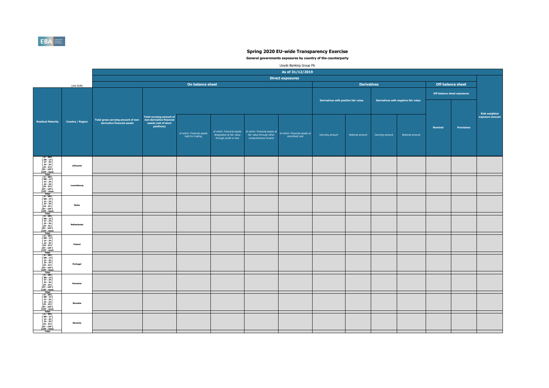**General governments exposures by country of the counterparty** 

|          |                | <b>Off balance sheet</b>           |                                         |
|----------|----------------|------------------------------------|-----------------------------------------|
|          |                | <b>Off-balance sheet exposures</b> |                                         |
| ir value |                |                                    |                                         |
|          |                |                                    | <b>Risk weighted</b><br>exposure amount |
| I amount | <b>Nominal</b> | <b>Provisions</b>                  |                                         |
|          |                |                                    |                                         |
|          |                |                                    |                                         |
|          |                |                                    |                                         |
|          |                |                                    |                                         |
|          |                |                                    |                                         |
|          |                |                                    |                                         |
|          |                |                                    |                                         |
|          |                |                                    |                                         |
|          |                |                                    |                                         |
|          |                |                                    |                                         |
|          |                |                                    |                                         |
|          |                |                                    |                                         |
|          |                |                                    |                                         |
|          |                |                                    |                                         |
|          |                |                                    |                                         |
|          |                |                                    |                                         |



|                                                                                                                                                                                                                                                                                                                                                                                                                                              |                         | As of 31/12/2019                                                     |                                                                                            |                                                |                                                                                  |                                                  |                                                                                  |                                      |                    |                 |                                      |                                     |                                        |
|----------------------------------------------------------------------------------------------------------------------------------------------------------------------------------------------------------------------------------------------------------------------------------------------------------------------------------------------------------------------------------------------------------------------------------------------|-------------------------|----------------------------------------------------------------------|--------------------------------------------------------------------------------------------|------------------------------------------------|----------------------------------------------------------------------------------|--------------------------------------------------|----------------------------------------------------------------------------------|--------------------------------------|--------------------|-----------------|--------------------------------------|-------------------------------------|----------------------------------------|
|                                                                                                                                                                                                                                                                                                                                                                                                                                              |                         |                                                                      |                                                                                            |                                                |                                                                                  |                                                  |                                                                                  |                                      |                    |                 |                                      |                                     |                                        |
|                                                                                                                                                                                                                                                                                                                                                                                                                                              | (mln EUR)               |                                                                      |                                                                                            | On balance sheet                               |                                                                                  |                                                  |                                                                                  |                                      | <b>Derivatives</b> |                 |                                      | <b>Off balance sheet</b>            |                                        |
|                                                                                                                                                                                                                                                                                                                                                                                                                                              |                         |                                                                      |                                                                                            |                                                |                                                                                  |                                                  |                                                                                  | Derivatives with positive fair value |                    |                 | Derivatives with negative fair value | <b>Off-balance sheet exposures</b>  |                                        |
| Residual Maturity                                                                                                                                                                                                                                                                                                                                                                                                                            | <b>Country / Region</b> | - Total gross carrying amount of non-<br>derivative financial assets | Total carrying amount of<br>non-derivative financial<br>assets (net of short<br>positions) | of which: Financial assets<br>held for trading | of which: Financial assets<br>designated at fair value<br>through profit or loss | fair value through other<br>comprehensive income | of which: Financial assets at<br>of which: Financial assets at<br>amortised cost | Carrying amount                      | Notional amount    | Carrying amount | Notional amount                      | <b>Nominal</b><br><b>Provisions</b> | <b>Risk weighted</b><br>exposure amoun |
| [ 0 - 3M [<br>[ 3M - 1Y [<br>[ 1Y - 2Y [<br>[ 2Y - 3Y [<br>[ 3Y - 5Y [<br>[ 5Y - 10Y [<br>10Y - more<br>Total                                                                                                                                                                                                                                                                                                                                | <b>Lithuania</b>        |                                                                      |                                                                                            |                                                |                                                                                  |                                                  |                                                                                  |                                      |                    |                 |                                      |                                     |                                        |
| $\begin{array}{c} \hline [0-3M[ \\ [3M-1Y[ \\ [3M-2Y[ \\ [2Y-3Y[ \\ [3Y-5Y[ \\ [3Y-10Y[ \\ [5Y-10Y[ \\ [10Y-more \\ \hline \end{array} \right.$<br><b>Total</b>                                                                                                                                                                                                                                                                              | Luxembourg              |                                                                      |                                                                                            |                                                |                                                                                  |                                                  |                                                                                  |                                      |                    |                 |                                      |                                     |                                        |
| $\begin{array}{c} \hline 1 \text{ O} & 3 \text{ M} \\ \hline 5 \text{ M} & 1 \text{ V} \\ \hline 6 \text{ M} & 1 \text{ V} \\ 7 \text{ M} & 1 \text{ V} \\ 8 \text{ V} & 1 \text{ V} \\ 1 \text{ V} & 1 \text{ V} \\ 1 \text{ V} & 1 \text{ V} \\ 1 \text{ V} & 1 \text{ V} \\ 1 \text{ V} & 1 \text{ V} \\ 1 \text{ V} & 1 \text{ V} \\ 1 \text{ V} & 1 \text{ V} \\ 1 \text{ V} & 1 \text{ V} \\ 1 \text{ V} & 1 \text$                    | <b>Malta</b>            |                                                                      |                                                                                            |                                                |                                                                                  |                                                  |                                                                                  |                                      |                    |                 |                                      |                                     |                                        |
| $\begin{array}{c} \hline [0-3M[ \\ [3M-1Y[ \\ [3M-2Y[ \\ [2Y-3Y[ \\ [3Y-5Y[ \\ [3Y-10Y[ \\ [5Y-10Y[ \\ [10Y-more \\ \hline \end{array} \right.$<br><b>Total</b>                                                                                                                                                                                                                                                                              | <b>Netherlands</b>      |                                                                      |                                                                                            |                                                |                                                                                  |                                                  |                                                                                  |                                      |                    |                 |                                      |                                     |                                        |
| $\begin{array}{c} \hline 10-3M \ [3M-1Y] \ [3M-1Y] \ [1Y-2Y] \ [2Y-3Y] \ [3Y-5Y] \ [5Y-10Y] \ [10Y-more] \hline \end{array}$<br><b>Total</b>                                                                                                                                                                                                                                                                                                 | <b>Poland</b>           |                                                                      |                                                                                            |                                                |                                                                                  |                                                  |                                                                                  |                                      |                    |                 |                                      |                                     |                                        |
| $\begin{array}{c} \hline 10 \text{cm} \\ 0 - 3 \text{M} \\ 2 \text{m} \\ 3 \text{M} - 1 \text{Y} \\ 3 \text{M} - 1 \text{Y} \\ 4 \text{m} \\ 5 \text{Y} - 3 \text{Y} \\ 5 \text{Y} - 10 \text{Y} \\ 5 \text{V} - 10 \text{Y} \\ 5 \text{N} \\ 10 \text{N} - \text{more} \\ \hline \end{array}$                                                                                                                                               | Portugal                |                                                                      |                                                                                            |                                                |                                                                                  |                                                  |                                                                                  |                                      |                    |                 |                                      |                                     |                                        |
| $\begin{array}{ c c } \hline & 0-3M & & \\ \hline & 0-3M & & \\ \hline & 1 & 1 & 1 \\ \hline & 1 & 1 & 2 & 1 \\ \hline & 2 & 1 & 3 & 1 \\ \hline & 3 & 1 & 5 & 1 \\ \hline & 5 & 1 & 1 & 1 \\ \hline & 6 & 1 & 1 & 1 \\ \hline & 7 & 1 & 1 & 1 \\ \hline & 8 & 1 & 1 & 1 \\ \hline & 1 & 1 & 1 & 1 \\ \hline & 1 & 1 & 1 & 1 \\ \hline & 1 & 1 & 1 & 1 \\ \hline & 1 & 1 & 1$<br><b>Total</b>                                                | Romania                 |                                                                      |                                                                                            |                                                |                                                                                  |                                                  |                                                                                  |                                      |                    |                 |                                      |                                     |                                        |
| $\begin{array}{c} \hline \text{10cm} \\ \hline \text{[}0 - 3\text{M} \text{[} \\ \text{[}3\text{M} - 1\text{Y} \text{[} \\ \text{[}1\text{Y} - 2\text{Y} \text{[} \\ \text{[}2\text{Y} - 3\text{Y} \text{[} \\ \text{[}3\text{Y} - 5\text{Y} \text{[} \\ \text{[}5\text{Y} - 10\text{Y} \text{[} \\ \text{[}10\text{Y} - \text{more} \text{[} \\ \hline \end{array}$<br><b>Total</b>                                                         | Slovakia                |                                                                      |                                                                                            |                                                |                                                                                  |                                                  |                                                                                  |                                      |                    |                 |                                      |                                     |                                        |
| $\begin{array}{c} \hline \text{10} \text{cm} \\ \hline \text{[} \text{ } 0 \text{ - } 3 \text{M} \text{ [} \text{ } \\ \text{[} \text{ } 3 \text{M} \text{ - } 1 \text{Y} \text{ [} \text{ } \\ \text{[} \text{ } 1 \text{Y} \text{ - } 2 \text{Y} \text{ [} \text{ } \\ \text{[} \text{ } 2 \text{Y} \text{ - } 3 \text{Y} \text{ [} \text{ } \\ \text{[} \text{5Y} \text{ - } 1 \text{0Y} \text{ [} \text{ } \\ \text{[} \text{10Y} \text$ | Slovenia                |                                                                      |                                                                                            |                                                |                                                                                  |                                                  |                                                                                  |                                      |                    |                 |                                      |                                     |                                        |

|                                                                                                                                                                                                                                                                                   |                         |                                                                    |                                                                                            |                                                |                                                                                  |                                                  | As of 31/12/2019                                                                 |                                      |                    |                                             |                 |                |                                    |                                        |
|-----------------------------------------------------------------------------------------------------------------------------------------------------------------------------------------------------------------------------------------------------------------------------------|-------------------------|--------------------------------------------------------------------|--------------------------------------------------------------------------------------------|------------------------------------------------|----------------------------------------------------------------------------------|--------------------------------------------------|----------------------------------------------------------------------------------|--------------------------------------|--------------------|---------------------------------------------|-----------------|----------------|------------------------------------|----------------------------------------|
|                                                                                                                                                                                                                                                                                   |                         |                                                                    |                                                                                            |                                                |                                                                                  |                                                  | <b>Direct exposures</b>                                                          |                                      |                    |                                             |                 |                |                                    |                                        |
|                                                                                                                                                                                                                                                                                   | (mln EUR)               |                                                                    |                                                                                            | On balance sheet                               |                                                                                  |                                                  |                                                                                  |                                      | <b>Derivatives</b> |                                             |                 |                | <b>Off balance sheet</b>           |                                        |
|                                                                                                                                                                                                                                                                                   |                         |                                                                    |                                                                                            |                                                |                                                                                  |                                                  |                                                                                  | Derivatives with positive fair value |                    | <b>Derivatives with negative fair value</b> |                 |                | <b>Off-balance sheet exposures</b> |                                        |
| <b>Idual Maturity</b>                                                                                                                                                                                                                                                             | <b>Country / Region</b> | -Total gross carrying amount of non<br>derivative financial assets | Total carrying amount of<br>non-derivative financial<br>assets (net of short<br>positions) | of which: Financial assets<br>held for trading | of which: Financial assets<br>designated at fair value<br>through profit or loss | fair value through other<br>comprehensive income | of which: Financial assets at<br>of which: Financial assets at<br>amortised cost | Carrying amount                      | Notional amount    | Carrying amount                             | Notional amount | <b>Nominal</b> | <b>Provisions</b>                  | <b>Risk weighted</b><br>exposure amoun |
|                                                                                                                                                                                                                                                                                   | Lithuania               |                                                                    |                                                                                            |                                                |                                                                                  |                                                  |                                                                                  |                                      |                    |                                             |                 |                |                                    |                                        |
| [ 0 - 3M [<br>[ 3M - 1Y [<br>[ 1Y - 2Y [<br>[ 1Y - 2Y [<br>[ 2Y - 3Y [<br>[ 5Y - 10Y [<br>[ 10Y - more<br>Total<br>[ 0 - 3M [ 1Y - 2Y [<br>[ 1Y - 2Y [ 13Y - 5Y [<br>[ 13Y - 5Y [<br>[ 1SY - 10Y [<br>10Y - more<br>Total<br>[ 0 - 3M [ 13M - 1Y [ 1Y - 2Y [<br>[ 2Y - 3Y [       | Luxembourg              |                                                                    |                                                                                            |                                                |                                                                                  |                                                  |                                                                                  |                                      |                    |                                             |                 |                |                                    |                                        |
|                                                                                                                                                                                                                                                                                   | <b>Malta</b>            |                                                                    |                                                                                            |                                                |                                                                                  |                                                  |                                                                                  |                                      |                    |                                             |                 |                |                                    |                                        |
|                                                                                                                                                                                                                                                                                   | <b>Netherlands</b>      |                                                                    |                                                                                            |                                                |                                                                                  |                                                  |                                                                                  |                                      |                    |                                             |                 |                |                                    |                                        |
|                                                                                                                                                                                                                                                                                   | <b>Poland</b>           |                                                                    |                                                                                            |                                                |                                                                                  |                                                  |                                                                                  |                                      |                    |                                             |                 |                |                                    |                                        |
|                                                                                                                                                                                                                                                                                   | <b>Portugal</b>         |                                                                    |                                                                                            |                                                |                                                                                  |                                                  |                                                                                  |                                      |                    |                                             |                 |                |                                    |                                        |
| [0 - 3M [<br>[3M - 1Y [<br>[1Y - 2Y [<br>[2Y - 3Y [<br>[3Y - 5Y [<br>[5Y - 10Y [<br>Total<br>Total<br>[0 - 3M [<br>[1Y - 2Y [<br>[3Y - 5Y [<br>[5Y - 10Y [<br>IO - 3M [1V - more<br>Total<br>[0 - 3M [1V - more<br>Total<br>[0 - 3M [1V - 2Y [2Y - 10Y [10Y - more<br>[12Y - 3Y [ | Romania                 |                                                                    |                                                                                            |                                                |                                                                                  |                                                  |                                                                                  |                                      |                    |                                             |                 |                |                                    |                                        |
|                                                                                                                                                                                                                                                                                   | Slovakia                |                                                                    |                                                                                            |                                                |                                                                                  |                                                  |                                                                                  |                                      |                    |                                             |                 |                |                                    |                                        |
|                                                                                                                                                                                                                                                                                   | Slovenia                |                                                                    |                                                                                            |                                                |                                                                                  |                                                  |                                                                                  |                                      |                    |                                             |                 |                |                                    |                                        |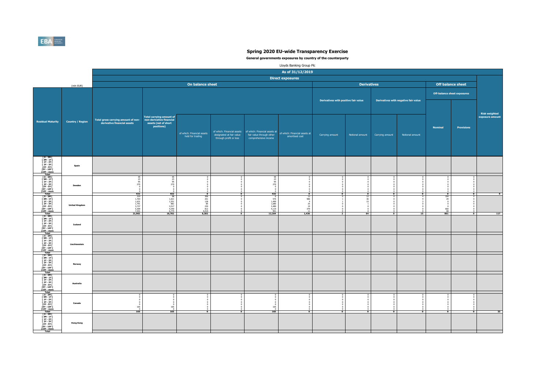**General governments exposures by country of the counterparty** 

| Lloyds Banking Group Plc |  |
|--------------------------|--|
|--------------------------|--|

|                                                                               |                                                                             | <b>Off balance sheet</b>                                        |                                         |
|-------------------------------------------------------------------------------|-----------------------------------------------------------------------------|-----------------------------------------------------------------|-----------------------------------------|
|                                                                               |                                                                             | <b>Off-balance sheet exposures</b>                              |                                         |
| air value                                                                     |                                                                             |                                                                 |                                         |
|                                                                               |                                                                             |                                                                 | <b>Risk weighted</b><br>exposure amount |
|                                                                               | <b>Nominal</b>                                                              | <b>Provisions</b>                                               |                                         |
| I amount                                                                      |                                                                             |                                                                 |                                         |
|                                                                               |                                                                             |                                                                 |                                         |
|                                                                               |                                                                             |                                                                 |                                         |
|                                                                               |                                                                             |                                                                 |                                         |
| $\overline{0}$<br>$\pmb{0}$<br>$\pmb{0}$                                      | $\overline{0}$<br>$\pmb{0}$<br>$\pmb{0}$                                    | $\pmb{0}$<br>$\pmb{0}$<br>$\pmb{0}$                             |                                         |
| $\pmb{0}$<br>$\pmb{0}$<br>$\pmb{0}$<br>$\mathbf 0$<br>$\overline{\mathbf{0}}$ | $\bf{0}$<br>$\bf{0}$<br>$\pmb{0}$<br>$\mathbf 0$<br>$\overline{\mathbf{0}}$ | $\pmb{0}$<br>$\pmb{0}$<br>$\pmb{0}$<br>$\pmb{0}$<br>$\mathbf 0$ | $\pmb{0}$                               |
| $\overline{4}$<br>$\frac{9}{3}$<br>$\pmb{0}$                                  | 104<br>29<br>$\pmb{0}$<br>$\pmb{0}$                                         | $\overline{0}$<br>$\pmb{0}$<br>$\pmb{0}$<br>$\pmb{0}$           |                                         |
| $\pmb{0}$<br>$\pmb{0}$<br>$\overline{0}$<br>$\overline{15}$                   | $\pmb{0}$<br>$660$<br>$68$<br>861                                           | $\pmb{0}$<br>$\pmb{0}$<br>$\bf{0}$<br>$\overline{\mathbf{0}}$   | $\overline{117}$                        |
|                                                                               |                                                                             |                                                                 |                                         |
|                                                                               |                                                                             |                                                                 |                                         |
|                                                                               |                                                                             |                                                                 |                                         |
|                                                                               |                                                                             |                                                                 |                                         |
|                                                                               |                                                                             |                                                                 |                                         |
|                                                                               |                                                                             |                                                                 |                                         |
| $\begin{matrix}0\\0\end{matrix}$                                              | $\begin{matrix}0\0\0\end{matrix}$                                           | $\overline{0}$<br>$\pmb{0}$<br>$\pmb{0}$<br>$\bf{0}$            |                                         |
| $\begin{matrix} 0 \\ 0 \\ 0 \\ 0 \end{matrix}$<br>$\overline{\mathbf{0}}$     | $\begin{matrix}0\\0\\0\\0\end{matrix}$<br>$\overline{\mathbf{0}}$           | $\bf{0}$<br>$\frac{0}{0}$<br>$\overline{\mathbf{0}}$            | $\overline{33}$                         |
|                                                                               |                                                                             |                                                                 |                                         |
|                                                                               |                                                                             |                                                                 |                                         |



|                                                                                                                                                                                                                                      |                         |                                                                            |                                                                                            |                                                               |                                                    |                                                                                                                                            | As of 31/12/2019                |                                      |                 |                                      |                          |                                     |                         |                                        |
|--------------------------------------------------------------------------------------------------------------------------------------------------------------------------------------------------------------------------------------|-------------------------|----------------------------------------------------------------------------|--------------------------------------------------------------------------------------------|---------------------------------------------------------------|----------------------------------------------------|--------------------------------------------------------------------------------------------------------------------------------------------|---------------------------------|--------------------------------------|-----------------|--------------------------------------|--------------------------|-------------------------------------|-------------------------|----------------------------------------|
|                                                                                                                                                                                                                                      |                         |                                                                            |                                                                                            |                                                               |                                                    |                                                                                                                                            |                                 |                                      |                 |                                      |                          |                                     |                         |                                        |
|                                                                                                                                                                                                                                      | (mln EUR)               |                                                                            |                                                                                            | On balance sheet                                              |                                                    |                                                                                                                                            |                                 | <b>Derivatives</b>                   |                 |                                      | <b>Off balance sheet</b> |                                     |                         |                                        |
|                                                                                                                                                                                                                                      |                         |                                                                            |                                                                                            |                                                               |                                                    |                                                                                                                                            |                                 | Derivatives with positive fair value |                 | Derivatives with negative fair value |                          | <b>Off-balance sheet exposures</b>  |                         |                                        |
| Residual Maturity                                                                                                                                                                                                                    | <b>Country / Region</b> | Total gross carrying amount of non-<br>derivative financial assets         | Total carrying amount of<br>non-derivative financial<br>assets (net of short<br>positions) | of which: Financial assets<br>held for trading                | designated at fair value<br>through profit or loss | of which: Financial assets of which: Financial assets at of which: Financial assets at<br>fair value through other<br>comprehensive income | amortised cost                  | Carrying amount                      | Notional amount | Carrying amount                      | Notional amount          | <b>Nominal</b>                      | <b>Provisions</b>       | <b>Risk weighted</b><br>exposure amoun |
| [ 0 - 3M [<br>[ 3M - 1Y [<br>[ 1Y - 2Y [<br>[ 2Y - 3Y [<br>[ 3Y - 5Y [<br>[ 5Y - 10Y [<br>10Y - more<br>Total                                                                                                                        | <b>Spain</b>            |                                                                            |                                                                                            |                                                               |                                                    |                                                                                                                                            |                                 |                                      |                 |                                      |                          |                                     |                         |                                        |
| [ 0 - 3M [<br>  3M - 1Y [<br>  1Y - 2Y [<br>[ 2Y - 3Y [<br>[ 3Y - 5Y [<br>[5Y - 10Y [<br>[10Y - more<br><b>Total</b>                                                                                                                 | <b>Sweden</b>           | 23<br>95<br>270<br>432                                                     | 45<br>23<br>432                                                                            | $\mathbf{0}$                                                  | $\mathbf{0}$                                       | - 45<br>23<br>95<br>270<br>$-432$                                                                                                          | $\Omega$                        | $\mathbf{0}$                         | $\mathbf{a}$    | $\mathbf{0}$                         | n n                      | $\mathbf{0}$                        | $\mathbf{0}$            |                                        |
| [0 - 3M [<br>[3M - 1Y [<br>[1Y - 2Y [<br>[2Y - 3Y [<br>[3Y - 5Y [<br>$[5Y - 10Y]$<br>[10Y - more<br>Total                                                                                                                            | <b>United Kingdom</b>   | $\frac{319}{1,764}$<br>1,631<br>1,791<br>3,737<br>5,309<br>7,431<br>21,982 | -98<br>1,621<br>1,551<br>881<br>3,517<br>4,340<br>6,774<br>18,782                          | 306<br>201<br>128<br>85<br>$230$<br>$812$<br>$6,519$<br>8,282 | $\overline{\mathbf{0}}$                            | 576<br>1,499<br>1,680<br>3,489<br>4,119<br>901<br>12,264                                                                                   | 13<br>986<br>19<br>379<br>1,436 | $\overline{2}$                       | 64              | $\bullet$                            | 15                       | 104<br>660<br>68<br>$\frac{1}{861}$ | $\overline{\mathbf{0}}$ | $\overline{117}$                       |
| ] 0 - 3M<br>] 3M - 1Y<br>[ 1Y - 2Y [<br>[ 2Y - 3Y [<br>[3Y - 5Y [<br>[5Y - 10Y [<br>$[10Y - more]$<br><b>Total</b>                                                                                                                   | <b>Iceland</b>          |                                                                            |                                                                                            |                                                               |                                                    |                                                                                                                                            |                                 |                                      |                 |                                      |                          |                                     |                         |                                        |
| [0 - 3M [<br>[3M - 1Y [<br>[1Y - 2Y [<br>[2Y - 3Y [<br>[3Y - 5Y [<br>[5Y - 10Y [<br>[10Y - more<br><b>Total</b>                                                                                                                      | Liechtenstein           |                                                                            |                                                                                            |                                                               |                                                    |                                                                                                                                            |                                 |                                      |                 |                                      |                          |                                     |                         |                                        |
| [0 - 3M [<br>[3M - 1Y [<br>[1Y - 2Y [<br>[2Y - 3Y [<br>[3Y - 5Y [<br>$[5Y - 10Y]$<br>$[10Y - more]$<br><b>Total</b>                                                                                                                  | <b>Norway</b>           |                                                                            |                                                                                            |                                                               |                                                    |                                                                                                                                            |                                 |                                      |                 |                                      |                          |                                     |                         |                                        |
| [0 - 3M [<br>[ 3M - 1Y [<br>[ 1Y - 2Y [<br>[ 2Y - 3Y [<br>[ 3Y - 5Y [<br>[ 5Y - 10Y [<br>[ 10Y - more<br><b>Total</b>                                                                                                                | <b>Australia</b>        |                                                                            |                                                                                            |                                                               |                                                    |                                                                                                                                            |                                 |                                      |                 |                                      |                          |                                     |                         |                                        |
| $\begin{array}{ c c } \hline 10.3M & [ \\ \hline 0.3M & [ \\ \hline 3M - 1Y & [ \\ \hline 1Y - 2Y & [ \\ \hline 2Y - 3Y & [ \\ \hline 3Y - 5Y & [ \\ \hline 5Y - 10Y & [ \\ \hline 10Y - more \\ \hline \end{array}$<br><b>Total</b> | Canada                  | 165<br>165                                                                 | 165<br>165                                                                                 | n.                                                            | $\mathbf{0}$                                       | 165<br>$\overline{165}$                                                                                                                    |                                 | $\mathbf{0}$                         | n.              | . വ                                  | $\mathbf{0}$             | $\mathbf{0}$                        |                         |                                        |
| [0 - 3M [<br>[3M - 1Y [<br>[1Y - 2Y [<br>[2Y - 3Y [<br>[3Y - 5Y [<br>$[5Y - 10Y]$<br>[10Y - more<br>Total                                                                                                                            | <b>Hong Kong</b>        |                                                                            |                                                                                            |                                                               |                                                    |                                                                                                                                            |                                 |                                      |                 |                                      |                          |                                     |                         |                                        |

|                                                                                                                                                                                                                                                                                                                                                                                    |                         |                                                                            |                                                                                            |                                                                                                                                                        |                                                    |                                                                                                                                            | As of 31/12/2019                                |                                      |                          |                                         |                                      |                                                                                                    |                                         |                                         |
|------------------------------------------------------------------------------------------------------------------------------------------------------------------------------------------------------------------------------------------------------------------------------------------------------------------------------------------------------------------------------------|-------------------------|----------------------------------------------------------------------------|--------------------------------------------------------------------------------------------|--------------------------------------------------------------------------------------------------------------------------------------------------------|----------------------------------------------------|--------------------------------------------------------------------------------------------------------------------------------------------|-------------------------------------------------|--------------------------------------|--------------------------|-----------------------------------------|--------------------------------------|----------------------------------------------------------------------------------------------------|-----------------------------------------|-----------------------------------------|
|                                                                                                                                                                                                                                                                                                                                                                                    |                         |                                                                            |                                                                                            |                                                                                                                                                        |                                                    |                                                                                                                                            | <b>Direct exposures</b>                         |                                      |                          |                                         |                                      |                                                                                                    |                                         |                                         |
|                                                                                                                                                                                                                                                                                                                                                                                    | (mln EUR)               |                                                                            |                                                                                            | On balance sheet                                                                                                                                       |                                                    |                                                                                                                                            |                                                 |                                      | <b>Derivatives</b>       |                                         |                                      | <b>Off balance sheet</b>                                                                           |                                         |                                         |
|                                                                                                                                                                                                                                                                                                                                                                                    |                         |                                                                            |                                                                                            |                                                                                                                                                        |                                                    |                                                                                                                                            |                                                 | Derivatives with positive fair value |                          |                                         | Derivatives with negative fair value | <b>Off-balance sheet exposures</b>                                                                 |                                         |                                         |
| <b>Idual Maturity</b>                                                                                                                                                                                                                                                                                                                                                              | <b>Country / Region</b> | Total gross carrying amount of non-<br>derivative financial assets         | Total carrying amount of<br>non-derivative financial<br>assets (net of short<br>positions) | of which: Financial assets<br>held for trading                                                                                                         | designated at fair value<br>through profit or loss | of which: Financial assets of which: Financial assets at of which: Financial assets at<br>fair value through other<br>comprehensive income | amortised cost                                  | Carrying amount                      | Notional amount          | Carrying amount                         | Notional amount                      | <b>Nominal</b>                                                                                     | <b>Provisions</b>                       | <b>Risk weighted</b><br>exposure amount |
| [0 - 3M [<br>[3M - 1Y [<br>[1Y - 2Y [<br>[2Y - 3Y [<br>[3Y - 5Y [<br>[5Y - 10Y [<br>Total<br>Total                                                                                                                                                                                                                                                                                 | <b>Spain</b>            |                                                                            |                                                                                            |                                                                                                                                                        |                                                    |                                                                                                                                            |                                                 |                                      |                          |                                         |                                      |                                                                                                    |                                         |                                         |
|                                                                                                                                                                                                                                                                                                                                                                                    | <b>Sweden</b>           |                                                                            | -45                                                                                        |                                                                                                                                                        |                                                    | 45<br>23<br>95<br>270                                                                                                                      |                                                 |                                      |                          |                                         |                                      |                                                                                                    |                                         |                                         |
|                                                                                                                                                                                                                                                                                                                                                                                    | <b>United Kingdom</b>   | 432<br>319<br>1,764<br>1,631<br>1,791<br>3,737<br>5,309<br>7,431<br>21,982 | 432<br>98<br>1,621<br>1,551<br>881<br>$3,517$<br>4,340<br>6,774<br><b>18,782</b>           | $\overline{\bullet}$<br>$\begin{array}{c c} 306 \\ 201 \end{array}$<br>128<br>85<br>$\begin{array}{r} 230 \\ 812 \\ 6,519 \\ \hline 8,282 \end{array}$ | $\bullet$<br>$\bullet$                             | 432<br>$\overline{0}$<br>576<br>1,499<br>1,680<br>$3,489$<br>4,119<br>901<br>12,264                                                        | $\mathbf{0}$<br>13<br>986<br>379<br>11<br>1,436 | $\bullet$<br>$\overline{\mathbf{2}}$ | $\mathbf{0}$<br>12<br>64 | $\mathbf{0}$<br>$\overline{\mathbf{0}}$ | $\mathbf{0}$<br>15                   | $\overline{\mathbf{0}}$<br>104<br>- 29<br>660<br>$\begin{array}{c c} 68 \\ \hline 861 \end{array}$ | $\mathbf{0}$<br>$\overline{\mathbf{0}}$ | $\overline{117}$                        |
| $\begin{array}{ c c } \hline 197 - 1011 & & \\ \hline \hline \hline \rule{0pt}{3.5ex} 1007 - more & \rule{0pt}{3.5ex} \hline \rule{0pt}{3.5ex} \hline \rule{0pt}{3.5ex} 1007 - 211 & & \\ \hline \rule{0pt}{3.5ex} 1507 - 311 & & \\ \hline \rule{0pt}{3.5ex} 157 - 511 & & \\ \hline \rule{0pt}{3.5ex} 157 - 101 & & \\ \hline \rule{0pt}{3.5ex} \hline \rule{0pt}{3.5ex} 1017 -$ | <b>Iceland</b>          |                                                                            |                                                                                            |                                                                                                                                                        |                                                    |                                                                                                                                            |                                                 |                                      |                          |                                         |                                      |                                                                                                    |                                         |                                         |
| Total<br>[ 0 - 3M [<br>[ 3M - 1Y [<br>[ 1Y - 2Y [<br>[ 2Y - 3Y [<br>[ 3Y - 5Y [<br>[ 3Y - 5Y [<br>[ 5Y - 10Y [<br>Total<br>[ 0 - 3M [<br>[ 1Y - 2Y [<br>[ 2Y - 3Y [<br>[ 3M - 1Y [<br>[ 2Y - 3Y [<br>[ 5Y - 10Y [<br>[ 1OY - more<br>Total<br><br>Total<br>[ 0 - 3M                                                                                                                | Liechtenstein           |                                                                            |                                                                                            |                                                                                                                                                        |                                                    |                                                                                                                                            |                                                 |                                      |                          |                                         |                                      |                                                                                                    |                                         |                                         |
|                                                                                                                                                                                                                                                                                                                                                                                    | <b>Norway</b>           |                                                                            |                                                                                            |                                                                                                                                                        |                                                    |                                                                                                                                            |                                                 |                                      |                          |                                         |                                      |                                                                                                    |                                         |                                         |
|                                                                                                                                                                                                                                                                                                                                                                                    | Australia               |                                                                            |                                                                                            |                                                                                                                                                        |                                                    |                                                                                                                                            |                                                 |                                      |                          |                                         |                                      |                                                                                                    |                                         |                                         |
| [0 - 3M [<br>[3M - 1Y [<br>[1Y - 2Y [<br>[1Y - 2Y [<br>[2Y - 3Y [<br>[3Y - 5Y [<br>[5Y - 10Y [<br>Total<br>[0 - 3M [<br>[1Y - 2Y [<br>[5Y - 10Y [<br>Total<br>[0 - 3M [1Y - 5Y [<br>]<br>Total<br>[0 - 3M [1Y - 2Y [1Y - 2Y ]<br>[10Y - more<br>Total<br>[0 - 3M [1Y - 2Y ]<br>[10Y - m                                                                                            | <b>Canada</b>           | 165                                                                        | 165<br>165                                                                                 | $\overline{\mathbf{0}}$                                                                                                                                | $\overline{\mathbf{o}}$                            | 165<br>165                                                                                                                                 | $\mathbf{0}$                                    | $\bullet$                            | $\mathbf{0}$             | $\mathbf 0$                             | $\mathbf{0}$                         | $\overline{\mathbf{o}}$                                                                            | $\overline{\mathbf{0}}$                 | 33                                      |
|                                                                                                                                                                                                                                                                                                                                                                                    | <b>Hong Kong</b>        |                                                                            |                                                                                            |                                                                                                                                                        |                                                    |                                                                                                                                            |                                                 |                                      |                          |                                         |                                      |                                                                                                    |                                         |                                         |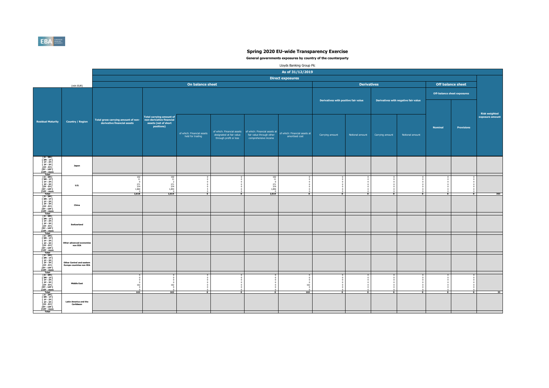**General governments exposures by country of the counterparty** 

| Lloyds Banking Group Plc |  |
|--------------------------|--|
|--------------------------|--|

|                                                                                                |                                                                                                | <b>Off balance sheet</b>                                                                       |                                         |
|------------------------------------------------------------------------------------------------|------------------------------------------------------------------------------------------------|------------------------------------------------------------------------------------------------|-----------------------------------------|
| air value                                                                                      |                                                                                                | <b>Off-balance sheet exposures</b>                                                             |                                         |
|                                                                                                |                                                                                                |                                                                                                | <b>Risk weighted</b><br>exposure amount |
|                                                                                                | <b>Nominal</b>                                                                                 | <b>Provisions</b>                                                                              |                                         |
| Il amount                                                                                      |                                                                                                |                                                                                                |                                         |
|                                                                                                |                                                                                                |                                                                                                |                                         |
|                                                                                                |                                                                                                |                                                                                                |                                         |
| $\overline{0}$<br>$\pmb{0}$<br>$\pmb{0}$<br>$\pmb{0}$<br>$\pmb{0}$<br>$\pmb{0}$<br>$\mathbf 0$ | $\overline{0}$<br>$\pmb{0}$<br>$\pmb{0}$<br>$\pmb{0}$<br>$\pmb{0}$<br>$\pmb{0}$<br>$\mathbf 0$ | $\overline{0}$<br>$\pmb{0}$<br>$\pmb{0}$<br>$\pmb{0}$<br>$\pmb{0}$<br>$\pmb{0}$<br>$\mathbf 0$ |                                         |
| $\mathbf 0$                                                                                    | $\mathbf 0$                                                                                    | $\mathbf 0$                                                                                    | $\frac{1}{363}$                         |
|                                                                                                |                                                                                                |                                                                                                |                                         |
|                                                                                                |                                                                                                |                                                                                                |                                         |
|                                                                                                |                                                                                                |                                                                                                |                                         |
| 0000000                                                                                        | $\bf{0}$                                                                                       | 0000000                                                                                        |                                         |
| $\overline{\mathbf{0}}$                                                                        | $\overline{\mathbf{0}}$                                                                        | $\overline{\mathbf{0}}$                                                                        | 33                                      |
|                                                                                                |                                                                                                |                                                                                                |                                         |

|                                                                                                                                                                                                                                                                                |                                                                     |                                                                    |                                                                                            |                                                |                                                    |                                                                                                                                            | As of 31/12/2019        |                                      |                    |                 |                                      |                         |                                    |                                        |
|--------------------------------------------------------------------------------------------------------------------------------------------------------------------------------------------------------------------------------------------------------------------------------|---------------------------------------------------------------------|--------------------------------------------------------------------|--------------------------------------------------------------------------------------------|------------------------------------------------|----------------------------------------------------|--------------------------------------------------------------------------------------------------------------------------------------------|-------------------------|--------------------------------------|--------------------|-----------------|--------------------------------------|-------------------------|------------------------------------|----------------------------------------|
|                                                                                                                                                                                                                                                                                |                                                                     |                                                                    |                                                                                            |                                                |                                                    |                                                                                                                                            | <b>Direct exposures</b> |                                      |                    |                 |                                      |                         |                                    |                                        |
|                                                                                                                                                                                                                                                                                | (mln EUR)                                                           |                                                                    |                                                                                            | On balance sheet                               |                                                    |                                                                                                                                            |                         |                                      | <b>Derivatives</b> |                 |                                      |                         | <b>Off balance sheet</b>           |                                        |
|                                                                                                                                                                                                                                                                                |                                                                     |                                                                    |                                                                                            |                                                |                                                    |                                                                                                                                            |                         | Derivatives with positive fair value |                    |                 | Derivatives with negative fair value |                         | <b>Off-balance sheet exposures</b> | <b>Risk weighted</b>                   |
| <b>idual Maturity</b>                                                                                                                                                                                                                                                          | <b>Country / Region</b>                                             | Total gross carrying amount of non-<br>derivative financial assets | Total carrying amount of<br>non-derivative financial<br>assets (net of short<br>positions) | of which: Financial assets<br>held for trading | designated at fair value<br>through profit or loss | of which: Financial assets of which: Financial assets at of which: Financial assets at<br>fair value through other<br>comprehensive income | amortised cost          | Carrying amount                      | Notional amount    | Carrying amount | Notional amount                      | <b>Nominal</b>          | <b>Provisions</b>                  | exposure amount                        |
|                                                                                                                                                                                                                                                                                | Japan                                                               |                                                                    |                                                                                            |                                                |                                                    |                                                                                                                                            |                         |                                      |                    |                 |                                      |                         |                                    |                                        |
|                                                                                                                                                                                                                                                                                | <b>U.S.</b>                                                         | 374<br>1,860<br>2,618                                              | 102<br>271<br>374<br>1,854<br>2,614                                                        | 5                                              | $\bullet$                                          | 102<br>271<br>374<br>1,856<br>2,614                                                                                                        | $\mathbf{0}$            | $\bullet$                            | $\mathbf{0}$       | $\mathbf{0}$    | $\mathbf{0}$                         | $\bullet$               | $\bullet$                          | $\overline{\overline{\phantom{a}363}}$ |
|                                                                                                                                                                                                                                                                                | China                                                               |                                                                    |                                                                                            |                                                |                                                    |                                                                                                                                            |                         |                                      |                    |                 |                                      |                         |                                    |                                        |
| [0 - 3M [<br>[3M - 1Y [<br>[1Y - 2Y [<br>7Y - 3Y [<br>7Y - 10Y [<br>5Y - 10Y [<br>5Y - 10Y [<br>5Y - 10Y [<br>5Y - 10Y [<br>10Y - more<br>10 - 3M [<br>7Y - 2Y [<br>7Y - 3Y [<br>5Y - 10Y [10Y - more<br>10d [0 - 3M [1Y - 2Y [<br>7Y - 3Y [5Y - 10Y [10Y - more<br>10d [0 - 3 | <b>Switzerland</b>                                                  |                                                                    |                                                                                            |                                                |                                                    |                                                                                                                                            |                         |                                      |                    |                 |                                      |                         |                                    |                                        |
|                                                                                                                                                                                                                                                                                | Other advanced economies<br>non EEA                                 |                                                                    |                                                                                            |                                                |                                                    |                                                                                                                                            |                         |                                      |                    |                 |                                      |                         |                                    |                                        |
|                                                                                                                                                                                                                                                                                | <b>Other Central and eastern</b><br><b>Europe countries non EEA</b> |                                                                    |                                                                                            |                                                |                                                    |                                                                                                                                            |                         |                                      |                    |                 |                                      |                         |                                    |                                        |
|                                                                                                                                                                                                                                                                                | <b>Middle East</b>                                                  |                                                                    |                                                                                            |                                                |                                                    |                                                                                                                                            |                         |                                      |                    |                 |                                      |                         |                                    | $\overline{\overline{\phantom{a}33}}$  |
| 0 - 3M [<br>  3M - 1Y [<br>  1Y - 2Y [<br>  1Y - 2Y [<br>  12Y - 3Y [<br>  15Y - 10Y [<br>  10Y - more<br>  Total                                                                                                                                                              | <b>Latin America and the</b><br><b>Caribbean</b>                    | 162                                                                | 162                                                                                        | $\overline{\mathbf{0}}$                        | $\mathbf{0}$                                       | $\overline{\mathbf{o}}$                                                                                                                    | 162                     | $\mathbf{0}$                         | 0 I                | $\mathbf{0}$    | $\bullet$                            | $\overline{\mathbf{0}}$ | $\bullet$                          |                                        |



|                                                                                                                                 | (mln EUR)                                                           |                                                                    |                                                                                                   | <b>On balance :</b>                            |
|---------------------------------------------------------------------------------------------------------------------------------|---------------------------------------------------------------------|--------------------------------------------------------------------|---------------------------------------------------------------------------------------------------|------------------------------------------------|
| <b>Residual Maturity</b>                                                                                                        | <b>Country / Region</b>                                             | Total gross carrying amount of non-<br>derivative financial assets | <b>Total carrying amount of</b><br>non-derivative financial<br>assets (net of short<br>positions) | of which: Financial assets<br>held for trading |
| $[0 - 3M]$<br>$[3M - 1Y]$<br>$[1Y - 2Y]$<br>[2Y - 3Y [<br>$[3Y - 5Y$ <sup>[</sup><br>[5Y - 10Y [<br>[10Y - more<br><b>Total</b> | <b>Japan</b>                                                        |                                                                    |                                                                                                   |                                                |
| $[0 - 3M]$<br>$[3M - 1Y]$<br>$[1Y - 2Y]$<br>$[2Y - 3Y]$<br>[3Y - 5Y [<br>[5Y - 10Y [<br>[10Y - more<br><b>Total</b>             | <b>U.S.</b>                                                         | 102<br>11<br>$\pmb{0}$<br>271<br>374<br>1,860<br>0<br>2,618        | 102<br>11<br>$\overline{2}$<br>271<br>374<br>1,854<br>0<br>$\overline{2,614}$                     | 0<br>5                                         |
| $[0 - 3M]$<br>[ 3M - 1Y [<br>$[1Y - 2Y]$<br>$[2Y - 3Y]$<br>[3Y - 5Y [<br>[5Y - 10Y [<br>[10Y - more<br><b>Total</b>             | China                                                               |                                                                    |                                                                                                   |                                                |
| $[0 - 3M]$<br>$[3M - 1Y]$<br>$[1Y - 2Y]$<br>[ 2Y - 3Y [<br>$[3Y - 5Y]$<br>[5Y - 10Y [<br>[10Y - more<br><b>Total</b>            | <b>Switzerland</b>                                                  |                                                                    |                                                                                                   |                                                |
| $[0 - 3M]$<br>$[3M - 1Y]$<br>$[1Y - 2Y]$<br>$[2Y - 3Y]$<br>[3Y - 5Y [<br>[5Y - 10Y [<br>[10Y - more<br><b>Total</b>             | <b>Other advanced economies</b><br>non EEA                          |                                                                    |                                                                                                   |                                                |
| $[0 - 3M]$<br>[ 3M - 1Y [<br>$[1Y - 2Y]$<br>$[2Y - 3Y]$<br>[3Y - 5Y [<br>[5Y - 10Y [<br>[10Y - more<br><b>Total</b>             | <b>Other Central and eastern</b><br><b>Europe countries non EEA</b> |                                                                    |                                                                                                   |                                                |
| $[0 - 3M]$<br>[ 3M - 1Y [<br>$[1Y - 2Y]$<br>$[2Y - 3Y]$<br>$[3Y - 5Y]$<br>[5Y - 10Y [<br>[10Y - more<br><b>Total</b>            | <b>Middle East</b>                                                  | 0<br>0<br>0<br>0<br>162<br>0<br>0<br>162                           | 0<br>0<br>0<br>0<br>162<br>0<br>0<br>162                                                          | 0<br>$\bf{0}$                                  |
| $[0 - 3M]$<br>$[3M - 1Y]$<br>$[1Y - 2Y]$<br>$[2Y - 3Y]$<br>[3Y - 5Y [<br>[5Y - 10Y [<br>[10Y - more<br><b>Total</b>             | <b>Latin America and the</b><br>Caribbean                           |                                                                    |                                                                                                   |                                                |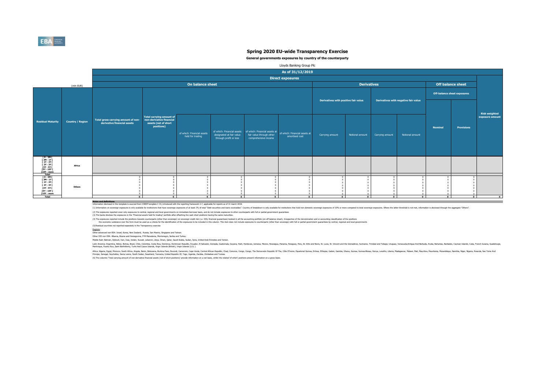**General governments exposures by country of the counterparty** 

#### Lloyds Banking Group Plc

|                             |                               | <b>Off balance sheet</b>           |                      |
|-----------------------------|-------------------------------|------------------------------------|----------------------|
|                             |                               | <b>Off-balance sheet exposures</b> |                      |
| air value                   |                               |                                    | <b>Risk weighted</b> |
|                             | <b>Nominal</b>                | <b>Provisions</b>                  | exposure amount      |
| I amount                    |                               |                                    |                      |
|                             |                               |                                    |                      |
|                             |                               |                                    |                      |
|                             |                               |                                    |                      |
| $\overline{0}$<br>$\pmb{0}$ | $\overline{0}$<br>$\bf{0}$    | $\overline{0}$<br>$\bf{0}$         |                      |
| $\pmb{0}$<br>$\pmb{0}$      | $\bf{0}$<br>$\bf{0}$          | $\bf{0}$<br>$\bf{0}$               |                      |
| $\pmb{0}$                   | $\bf{0}$                      | $\bf{0}$                           |                      |
| $\pmb{0}$<br>$\overline{0}$ | $\mathbf 0$<br>$\overline{0}$ | $\mathbf 0$<br>$\overline{0}$      |                      |
| $\overline{\mathbf{0}}$     | $\overline{\mathbf{0}}$       | $\overline{\mathbf{0}}$            | $\bf{0}$             |
|                             |                               |                                    |                      |

Information disclosed in this template is sourced from COREP template C 33, introduced with the reporting framework 2.7, applicable for reports as of 31 march 2018. (1) Information on sovereign exposures is only available for institutions that have sovereign exposures of at least 1% of total "Debt securities and loans receivables". Country of breakdown is only available for institutio

|                                                                                                                                                                                 |                         |  |                                                                    |                  |                                                                                            |                                                | As of 31/12/2019                                                                 |                                                  |                                                                               |                 |                                      |                 |                                    |                |                   |                                        |
|---------------------------------------------------------------------------------------------------------------------------------------------------------------------------------|-------------------------|--|--------------------------------------------------------------------|------------------|--------------------------------------------------------------------------------------------|------------------------------------------------|----------------------------------------------------------------------------------|--------------------------------------------------|-------------------------------------------------------------------------------|-----------------|--------------------------------------|-----------------|------------------------------------|----------------|-------------------|----------------------------------------|
|                                                                                                                                                                                 |                         |  |                                                                    |                  |                                                                                            |                                                | <b>Direct exposures</b>                                                          |                                                  |                                                                               |                 |                                      |                 |                                    |                |                   |                                        |
|                                                                                                                                                                                 | (mln EUR)               |  |                                                                    | On balance sheet |                                                                                            |                                                |                                                                                  |                                                  | <b>Derivatives</b>                                                            |                 |                                      |                 | <b>Off balance sheet</b>           |                |                   |                                        |
|                                                                                                                                                                                 |                         |  |                                                                    |                  |                                                                                            |                                                |                                                                                  |                                                  |                                                                               |                 |                                      |                 | <b>Off-balance sheet exposures</b> |                |                   |                                        |
|                                                                                                                                                                                 |                         |  |                                                                    |                  |                                                                                            |                                                |                                                                                  | Derivatives with positive fair value             |                                                                               |                 | Derivatives with negative fair value |                 |                                    |                |                   |                                        |
| <b>dual Maturity</b>                                                                                                                                                            | <b>Country / Region</b> |  | Total gross carrying amount of non-<br>derivative financial assets |                  | Total carrying amount of<br>non-derivative financial<br>assets (net of short<br>positions) | of which: Financial assets<br>held for trading | of which: Financial assets<br>designated at fair value<br>through profit or loss | fair value through other<br>comprehensive income | of which: Financial assets at of which: Financial assets at<br>amortised cost | Carrying amount | Notional amount                      | Carrying amount | Notional amount                    | <b>Nominal</b> | <b>Provisions</b> | <b>Risk weighted</b><br>exposure amoun |
| [ 0 - 3M [<br>[ 3M - 1Y [<br>[ 1Y - 2Y [<br>[ 2Y - 3Y [<br>[3Y - 5Y [<br>[ 10Y - more<br>Total                                                                                  | <b>Africa</b>           |  |                                                                    |                  |                                                                                            |                                                |                                                                                  |                                                  |                                                                               |                 |                                      |                 |                                    |                |                   |                                        |
| $\begin{array}{ c c } \hline 0-3M & [ \\ \hline 3M-1Y & [ \\ \hline 1Y-2Y & [ \\\hline \end{array}$<br>[ 2Y - 3Y [<br>[ 3Y - 5Y [<br>[5Y - 10Y [<br>[10Y - more<br><b>Total</b> | <b>Others</b>           |  |                                                                    | $\mathbf{0}$     | $\mathbf{0}$                                                                               | $\mathbf{0}$                                   | n.                                                                               | $\mathbf{0}$                                     |                                                                               |                 |                                      | $\mathbf{0}$    | $\mathbf{0}$                       |                |                   |                                        |

Latin America: Argentina, Belize, Bolivia, Brazil, Chile, Colombia, Costa Rica, Dominica, Dominica, Dominican Republic, Ecuador, El Salvador, Grenada, Guyana, Haiti, Honduras, Jamaica, Mexico, Nicaragua, Panama, Paraguay,

**Notes and definitions**

(4) The exposures reported include the positions towards counterparts (other than sovereign) on sovereign) on sovereign credit risk (i.e. CDS, financial guarantees) booked in all the accounting portfolio (on-off balance sh the economic substance over the form must be used as a criteria for the identification of the exposures to be included in this column. This item does not include exposures to counterparts (other than sovereign) with full o (5) Residual countries not reported separately in the Transparency exercise



|                                                                                                                                  | (mln EUR)               |                                                                    |                                                                                                   | On balance s                                   |
|----------------------------------------------------------------------------------------------------------------------------------|-------------------------|--------------------------------------------------------------------|---------------------------------------------------------------------------------------------------|------------------------------------------------|
| <b>Residual Maturity</b>                                                                                                         | <b>Country / Region</b> | Total gross carrying amount of non-<br>derivative financial assets | <b>Total carrying amount of</b><br>non-derivative financial<br>assets (net of short<br>positions) | of which: Financial assets<br>held for trading |
| $[0 - 3M]$<br>[ 3M - 1Y [<br>$[1Y - 2Y]$<br>$[2Y - 3Y]$<br>[3Y - 5Y [<br>[5Y - 10Y [<br>[10Y - more<br><b>Total</b>              | <b>Africa</b>           |                                                                    |                                                                                                   |                                                |
| $[0 - 3M]$<br>$[3M - 1Y]$<br>[ 1Y - 2Y [<br>[ 2Y - 3Y [<br>$[3Y - 5Y$ <sup>[</sup><br>[5Y - 10Y [<br>[10Y - more<br><b>Total</b> | <b>Others</b>           | 0<br>0<br>0<br>0<br>0<br>0<br>0<br>$\mathbf 0$                     | $\bf{0}$<br>0<br>0<br>0<br>0<br>0<br>0<br>$\pmb{0}$                                               | ŋ<br>$\mathbf 0$                               |

(2) The exposures reported cover only exposures to central, regional and local governments on immediate borrower basis, and do not include exposures to other counterparts with full or partial government guarantees (3) The banks disclose the exposures in the "Financial assets held for trading" portfolio after offsetting the cash short positions having the same maturities.

Africa: Algeria, Egypt, Morocco, South Africa, Angola, Benin, Botswana, Burkina Faso, Burundi, Cameroon, Cape Verde, Central African Republic, Chad, Comoros, Congo, The Democratic Republic, Ghana, Guinea, Burkeya, Lesotho, Principe, Senegal, Seychelles, Sierra Leone, South Sudan, Swaziland, Tanzania, United Republic Of, Togo, Uganda, Zambia, Zimbabwe and Tunisia.

#### Regions:

Other advanced non EEA: Israel, Korea, New Zealand, Russia, San Marino, Singapore and Taiwan.

Other CEE non EEA: Albania, Bosnia and Herzegovina, FYR Macedonia, Montenegro, Serbia and Turkey.

Middle East: Bahrain, Djibouti, Iran, Iraq, Jordan, Kuwait, Lebanon, Libya, Oman, Qatar, Saudi Arabia, Sudan, Syria, United Arab Emirates and Yemen.

(6) The columns 'Total carrying amount of non-derivative financial assets (net of short positions)' provide information on a net basis, whilst the related 'of which' positions present information on a gross basis.

Martinique, Puerto Rico, Saint Barthélemy, Turks And Caicos Islands, Virgin Islands (British), Virgin Islands (U.S. ).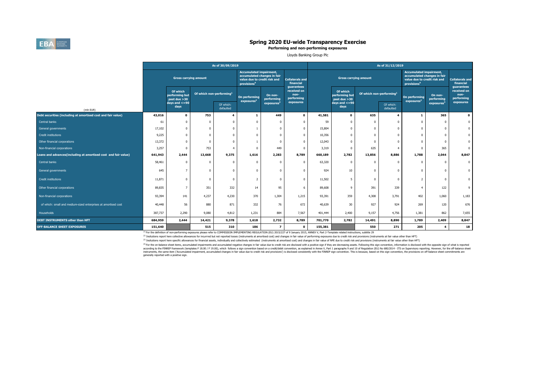<sup>(4)</sup> For the on-balance sheet items, accumulated impairments and accumulated negative changes in fair value due to credit risk are disclosed with a positive sign if they are decreasing assets. Following this sign conventi according to the FINREP framework (templates F 18.00 / F 19.00), which follows a sign convention based on a credit/debit convention, as explained in Annex V, Part 1 paragraphs 9 and 10 of Regulation (EU) No 680/2014 - ITS instruments, the same item ('Accumulated impairment, accumulated changes in fair value due to credit risk and provisions') is disclosed consistently with the FINREP sign convention. This is because, based on this sign conv generally reported with a positive sign.



|                                                                |         |                                              |                             | As of 30/09/2019       |                                                                                           |                             |                                                 | As of 31/12/2019 |                                            |                                      |                        |                        |                                                                                               |                                                 |
|----------------------------------------------------------------|---------|----------------------------------------------|-----------------------------|------------------------|-------------------------------------------------------------------------------------------|-----------------------------|-------------------------------------------------|------------------|--------------------------------------------|--------------------------------------|------------------------|------------------------|-----------------------------------------------------------------------------------------------|-------------------------------------------------|
|                                                                |         | <b>Gross carrying amount</b>                 |                             |                        | <b>Accumulated impairment,</b><br>value due to credit risk and<br>provisions <sup>4</sup> | accumulated changes in fair | <b>Collaterals and</b><br>financial             |                  | <b>Gross carrying amount</b>               |                                      |                        |                        | <b>Accumulated impairment,</b><br>accumulated changes in fair<br>value due to credit risk and | <b>Collaterals and</b><br>financial             |
|                                                                |         | Of which<br>performing but<br>past due $>30$ | Of which non-performing $1$ |                        | On performing                                                                             | On non-<br>performing       | guarantees<br>received on<br>non-<br>performing |                  | Of which<br>performing but<br>past due >30 | Of which non-performing <sup>1</sup> |                        | On performing          | On non-<br>performing                                                                         | guarantees<br>received on<br>non-<br>performing |
| (mln EUR)                                                      |         | days and $\leq$ =90<br>days                  |                             | Of which:<br>defaulted | exposures <sup>2</sup>                                                                    | exposures <sup>3</sup>      | exposures                                       |                  | days and $\leq$ =90<br>days                |                                      | Of which:<br>defaulted | exposures <sup>2</sup> | exposures <sup>3</sup>                                                                        | exposures                                       |
| Debt securities (including at amortised cost and fair value)   | 43,016  | $\mathbf{0}$                                 | 753                         |                        |                                                                                           | 449                         | $\mathbf 0$                                     | 41,581           | $\mathbf 0$                                | 635                                  | 4                      |                        | 365                                                                                           | $\mathbf 0$                                     |
| Central banks                                                  | 61      |                                              |                             |                        |                                                                                           |                             |                                                 | 59               | $\mathbf 0$                                | $\overline{0}$                       |                        |                        | $\Omega$                                                                                      | $\mathbf 0$                                     |
| General governments                                            | 17,102  |                                              |                             |                        |                                                                                           |                             | $\mathbf 0$                                     | 15,804           | $\mathbf{0}$                               | $\Omega$                             | $\overline{0}$         |                        |                                                                                               |                                                 |
| Credit institutions                                            | 9,225   |                                              |                             |                        |                                                                                           |                             | $\overline{0}$                                  | 10,356           | $\mathbf{0}$                               |                                      |                        |                        |                                                                                               |                                                 |
| Other financial corporations                                   | 13,372  |                                              |                             |                        |                                                                                           |                             |                                                 | 12,043           | $\Omega$                                   |                                      |                        |                        |                                                                                               |                                                 |
| Non-financial corporations                                     | 3,257   |                                              | 753                         |                        |                                                                                           | 449                         |                                                 | 3,319            | $\Omega$                                   | 635                                  |                        |                        | 365                                                                                           | $\mathbf 0$                                     |
| Loans and advances(including at amortised cost and fair value) | 641,943 | 2,444                                        | 13,668                      | 9,375                  | 1,616                                                                                     | 2,283                       | 8,789                                           | 660,189          | 2,782                                      | 13,856                               | 8,886                  | 1,788                  | 2,044                                                                                         | 8,847                                           |
| Central banks                                                  | 58,461  |                                              |                             |                        | $\Omega$                                                                                  |                             | $\Omega$                                        | 63,320           | $\mathbf{0}$                               | $\Omega$                             |                        | $\Omega$               | $\Omega$                                                                                      | $\mathbf{0}$                                    |
| General governments                                            | 645     | $\overline{\phantom{a}}$                     |                             |                        |                                                                                           |                             |                                                 | 924              | 10 <sub>1</sub>                            |                                      |                        |                        |                                                                                               |                                                 |
| Credit institutions                                            | 11,871  |                                              |                             |                        |                                                                                           |                             |                                                 | 11,502           |                                            |                                      | $\overline{0}$         |                        | 0                                                                                             | $\mathbf{0}$                                    |
| Other financial corporations                                   | 89,835  | - 7                                          | 351                         | 332                    | 14                                                                                        | 95                          | 6 <sup>1</sup>                                  | 89,608           | 9                                          | 391                                  | 339                    |                        | 122                                                                                           | 9                                               |
| Non-financial corporations                                     | 93,394  | 141                                          | 4,237                       | 4,230                  | 370                                                                                       | 1,304                       | 1,215                                           | 93,391           | 359                                        | 4,308                                | 3,791                  | 402                    | 1,060                                                                                         | 1,183                                           |
| of which: small and medium-sized enterprises at amortised cost | 40,448  | 56                                           | 880                         | 871                    | 332                                                                                       | 76                          | 672                                             | 40,639           | 30 <sup>°</sup>                            | 927                                  | 924                    | 269                    | 120                                                                                           | 676                                             |
| Households                                                     | 387,737 | 2,290                                        | 9,080                       | 4,812                  | 1,231                                                                                     | 884                         | 7,567                                           | 401,444          | 2,400                                      | 9,157                                | 4,756                  | 1,381                  | 862                                                                                           | 7,655                                           |
| <b>DEBT INSTRUMENTS other than HFT</b>                         | 684,959 | 2,444                                        | 14,421                      | 9,378                  | 1,618                                                                                     | 2,732                       | 8,789                                           | 701,770          | 2,782                                      | 14,491                               | 8,890                  | 1,789                  | 2,409                                                                                         | 8,847                                           |
| <b>OFF-BALANCE SHEET EXPOSURES</b>                             | 151,640 |                                              | 515                         | 310                    | 186                                                                                       | $\overline{\phantom{a}}$    | $\mathbf 0$                                     | 155,381          |                                            | 550                                  | 271                    | 205                    | -4                                                                                            | 18                                              |

 $^{(1)}$  For the definition of non-performing exposures please refer to COMMISSION IMPLEMENTING REGULATION (EU) 2015/227 of 9 January 2015, ANNEX V, Part 2-Template related instructions, subtitle 29 (2) Insitutions report here collective allowances for incurrred but not reported losses (instruments at amortised cost) and changes in fair value of performing exposures due to credit risk and provisions (instruments at fa (3) Insitutions report here specific allowances for financial assets, individually and collectively estimated (instruments at amortised cost) and changes in fair value of NPE due to credit risk and provisions (instruments

## **Spring 2020 EU-wide Transparency Exercise**

#### **Performing and non-performing exposures**

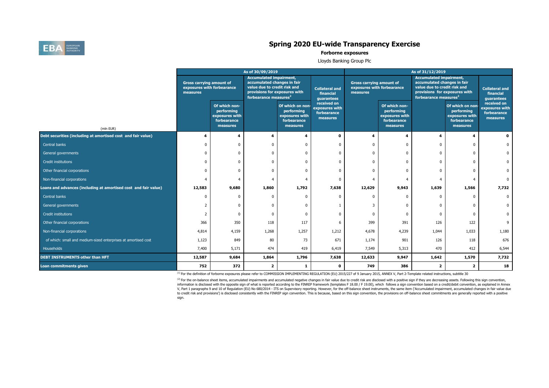$^{(2)}$  For the on-balance sheet items, accumulated impairments and accumulated negative changes in fair value due to credit risk are disclosed with a positive sign if they are decreasing assets. Following this sign conven information is disclosed with the opposite sign of what is reported according to the FINREP framework (templates F 18.00 / F 19.00), which follows a sign convention based on a credit/debit convention, as explained in Annex V, Part 1 paragraphs 9 and 10 of Regulation (EU) No 680/2014 - ITS on Supervisory reporting. However, for the off-balance sheet instruments, the same item ('Accumulated impairment, accumulated changes in fair value due to credit risk and provisions') is disclosed consistently with the FINREP sign convention. This is because, based on this sign convention, the provisions on off-balance sheet commitments are generally reported with a posit sign.

# EBA BANKING

## **Spring 2020 EU-wide Transparency Exercise**

#### **Forborne exposures**

Lloyds Banking Group Plc

|                                                                 | As of 30/09/2019                                                          |                                                                          |                                                                                                                                                                     |                                                                             |                                                          | As of 31/12/2019                                                          |                                                                          |                                                                                                                                                                     |                                                                             |                                                          |  |
|-----------------------------------------------------------------|---------------------------------------------------------------------------|--------------------------------------------------------------------------|---------------------------------------------------------------------------------------------------------------------------------------------------------------------|-----------------------------------------------------------------------------|----------------------------------------------------------|---------------------------------------------------------------------------|--------------------------------------------------------------------------|---------------------------------------------------------------------------------------------------------------------------------------------------------------------|-----------------------------------------------------------------------------|----------------------------------------------------------|--|
|                                                                 | <b>Gross carrying amount of</b><br>exposures with forbearance<br>measures |                                                                          | <b>Accumulated impairment,</b><br>accumulated changes in fair<br>value due to credit risk and<br>provisions for exposures with<br>forbearance measures <sup>2</sup> |                                                                             | <b>Collateral and</b><br>financial<br>guarantees         | <b>Gross carrying amount of</b><br>exposures with forbearance<br>measures |                                                                          | <b>Accumulated impairment,</b><br>accumulated changes in fair<br>value due to credit risk and<br>provisions for exposures with<br>forbearance measures <sup>2</sup> |                                                                             | <b>Collateral and</b><br>financial<br>guarantees         |  |
| (mln EUR)                                                       |                                                                           | Of which non-<br>performing<br>exposures with<br>forbearance<br>measures |                                                                                                                                                                     | Of which on non-<br>performing<br>exposures with<br>forbearance<br>measures | received on<br>exposures with<br>forbearance<br>measures |                                                                           | Of which non-<br>performing<br>exposures with<br>forbearance<br>measures |                                                                                                                                                                     | Of which on non-<br>performing<br>exposures with<br>forbearance<br>measures | received on<br>exposures with<br>forbearance<br>measures |  |
| Debt securities (including at amortised cost and fair value)    |                                                                           |                                                                          |                                                                                                                                                                     |                                                                             | 0                                                        |                                                                           |                                                                          |                                                                                                                                                                     |                                                                             | $\mathbf 0$                                              |  |
| Central banks                                                   |                                                                           |                                                                          |                                                                                                                                                                     |                                                                             |                                                          |                                                                           |                                                                          |                                                                                                                                                                     |                                                                             |                                                          |  |
| General governments                                             |                                                                           |                                                                          |                                                                                                                                                                     |                                                                             |                                                          |                                                                           |                                                                          |                                                                                                                                                                     |                                                                             |                                                          |  |
| Credit institutions                                             |                                                                           |                                                                          |                                                                                                                                                                     |                                                                             |                                                          |                                                                           |                                                                          |                                                                                                                                                                     |                                                                             |                                                          |  |
| Other financial corporations                                    |                                                                           |                                                                          |                                                                                                                                                                     |                                                                             |                                                          |                                                                           |                                                                          |                                                                                                                                                                     |                                                                             |                                                          |  |
| Non-financial corporations                                      |                                                                           |                                                                          |                                                                                                                                                                     |                                                                             |                                                          |                                                                           |                                                                          |                                                                                                                                                                     |                                                                             |                                                          |  |
| Loans and advances (including at amortised cost and fair value) | 12,583                                                                    | 9,680                                                                    | 1,860                                                                                                                                                               | 1,792                                                                       | 7,638                                                    | 12,629                                                                    | 9,943                                                                    | 1,639                                                                                                                                                               | 1,566                                                                       | 7,732                                                    |  |
| Central banks                                                   |                                                                           |                                                                          |                                                                                                                                                                     |                                                                             |                                                          |                                                                           |                                                                          |                                                                                                                                                                     |                                                                             |                                                          |  |
| General governments                                             |                                                                           |                                                                          |                                                                                                                                                                     |                                                                             |                                                          |                                                                           |                                                                          |                                                                                                                                                                     |                                                                             |                                                          |  |
| Credit institutions                                             |                                                                           |                                                                          |                                                                                                                                                                     |                                                                             |                                                          |                                                                           |                                                                          |                                                                                                                                                                     |                                                                             |                                                          |  |
| Other financial corporations                                    | 366                                                                       | 350                                                                      | 118                                                                                                                                                                 | 117                                                                         | 6                                                        | 399                                                                       | 391                                                                      | 126                                                                                                                                                                 | 122                                                                         | 9                                                        |  |
| Non-financial corporations                                      | 4,814                                                                     | 4,159                                                                    | 1,268                                                                                                                                                               | 1,257                                                                       | 1,212                                                    | 4,678                                                                     | 4,239                                                                    | 1,044                                                                                                                                                               | 1,033                                                                       | 1,180                                                    |  |
| of which: small and medium-sized enterprises at amortised cost  | 1,123                                                                     | 849                                                                      | 80                                                                                                                                                                  | 73                                                                          | 671                                                      | 1,174                                                                     | 901                                                                      | 126                                                                                                                                                                 | 118                                                                         | 676                                                      |  |
| Households                                                      | 7,400                                                                     | 5,171                                                                    | 474                                                                                                                                                                 | 419                                                                         | 6,419                                                    | 7,549                                                                     | 5,313                                                                    | 470                                                                                                                                                                 | 412                                                                         | 6,544                                                    |  |
| <b>DEBT INSTRUMENTS other than HFT</b>                          | 12,587                                                                    | 9,684                                                                    | 1,864                                                                                                                                                               | 1,796                                                                       | 7,638                                                    | 12,633                                                                    | 9,947                                                                    | 1,642                                                                                                                                                               | 1,570                                                                       | 7,732                                                    |  |
| Loan commitments given                                          | 752                                                                       | 372                                                                      | $\overline{\mathbf{2}}$                                                                                                                                             |                                                                             | $\mathbf 0$                                              | 749                                                                       | 386                                                                      | $\overline{2}$                                                                                                                                                      |                                                                             | 18                                                       |  |

 $^{(1)}$  For the definition of forborne exposures please refer to COMMISSION IMPLEMENTING REGULATION (EU) 2015/227 of 9 January 2015, ANNEX V, Part 2-Template related instructions, subtitle 30